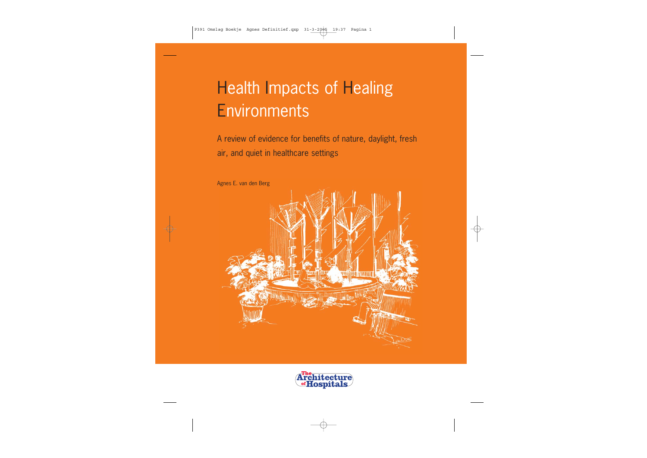# Health Impacts of Healing **Environments**

A review of evidence for benefits of nature, daylight, fresh air, and quiet in healthcare settings



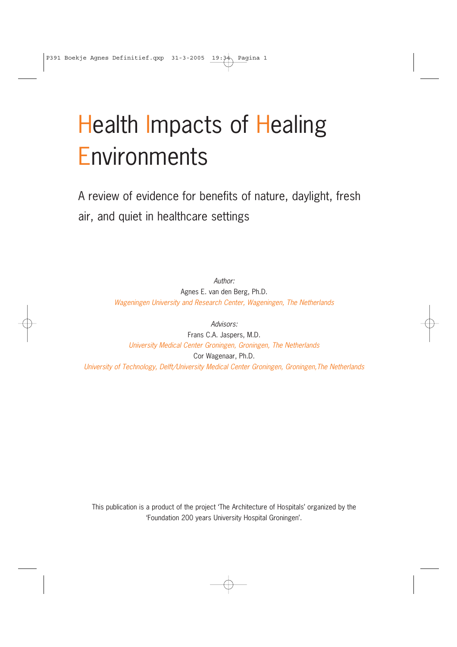# Health Impacts of Healing **Environments**

A review of evidence for benefits of nature, daylight, fresh air, and quiet in healthcare settings

> Author: Agnes E. van den Berg, Ph.D. Wageningen University and Research Center, Wageningen, The Netherlands

> > Advisors:

Frans C.A. Jaspers, M.D. University Medical Center Groningen, Groningen, The Netherlands Cor Wagenaar, Ph.D. University of Technology, Delft/University Medical Center Groningen, Groningen, The Netherlands

This publication is a product of the project 'The Architecture of Hospitals' organized by the 'Foundation 200 years University Hospital Groningen'.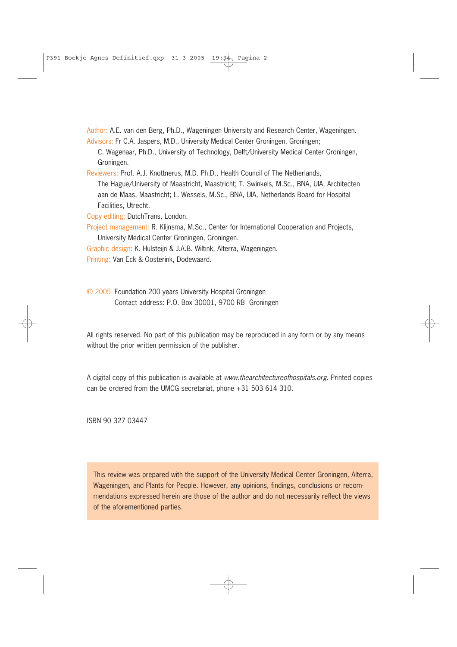Author: A.E. van den Berg, Ph.D., Wageningen University and Research Center, Wageningen. Advisors: Fr C.A. Jaspers, M.D., University Medical Center Groningen, Groningen;

C. Wagenaar, Ph.D., University of Technology, Delft/University Medical Center Groningen, Groningen.

Reviewers: Prof. A.J. Knottnerus, M.D. Ph.D., Health Council of The Netherlands, The Hague/University of Maastricht, Maastricht; T. Swinkels, M.Sc., BNA, UIA, Architecten aan de Maas, Maastricht; L. Wessels, M.Sc., BNA, UIA, Netherlands Board for Hospital Facilities, Utrecht.

Copy editing: DutchTrans, London.

Project management: R. Klijnsma, M.Sc., Center for International Cooperation and Projects, University Medical Center Groningen, Groningen.

Graphic design: K. Hulsteijn & J.A.B. Wiltink, Alterra, Wageningen.

Printing: Van Eck & Oosterink, Dodewaard.

© 2005 Foundation 200 years University Hospital Groningen Contact address: P.O. Box 30001, 9700 RB Groningen

All rights reserved. No part of this publication may be reproduced in any form or by any means without the prior written permission of the publisher.

A digital copy of this publication is available at www.thearchitectureofhospitals.org. Printed copies can be ordered from the UMCG secretariat, phone +31 503 614 310.

ISBN 90 327 03447

This review was prepared with the support of the University Medical Center Groningen, Alterra, Wageningen, and Plants for People. However, any opinions, findings, conclusions or recommendations expressed herein are those of the author and do not necessarily reflect the views of the aforementioned parties.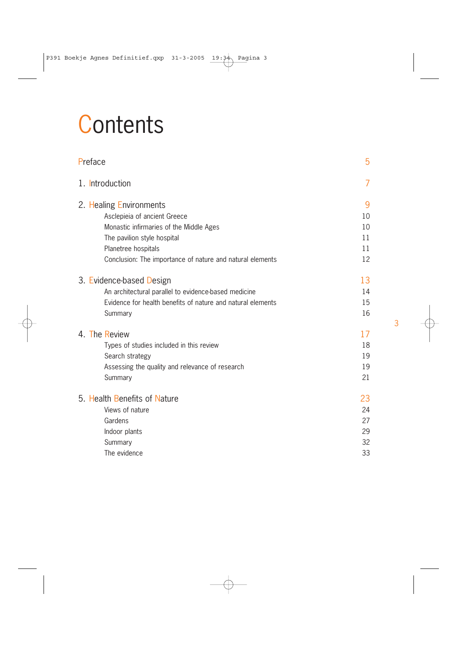### **Contents**

| Preface                                                     | 5  |
|-------------------------------------------------------------|----|
| 1. Introduction                                             | 7  |
| 2. Healing Environments                                     | 9  |
| Asclepieia of ancient Greece                                | 10 |
| Monastic infirmaries of the Middle Ages                     | 10 |
| The pavilion style hospital                                 | 11 |
| Planetree hospitals                                         | 11 |
| Conclusion: The importance of nature and natural elements   | 12 |
| 3. Evidence-based Design                                    | 13 |
| An architectural parallel to evidence-based medicine        | 14 |
| Evidence for health benefits of nature and natural elements | 15 |
| Summary                                                     | 16 |
| 4. The Review                                               | 17 |
| Types of studies included in this review                    | 18 |
| Search strategy                                             | 19 |
| Assessing the quality and relevance of research             | 19 |
| Summary                                                     | 21 |
| 5. Health Benefits of Nature                                | 23 |
| Views of nature                                             | 24 |
| Gardens                                                     | 27 |
| Indoor plants                                               | 29 |
| Summary                                                     | 32 |
| The evidence                                                | 33 |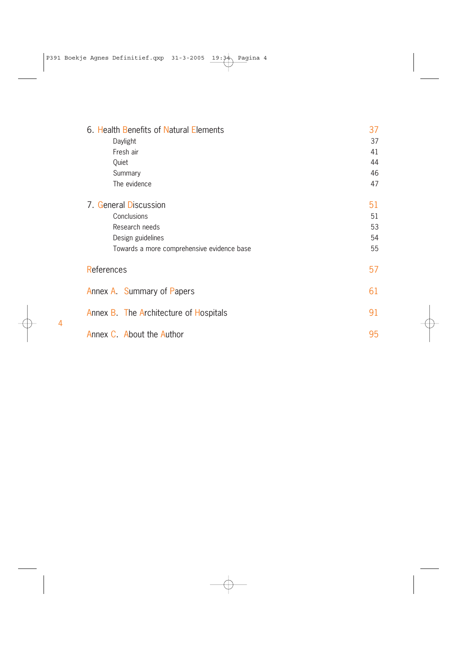| 6. Health Benefits of Natural Elements     | 37 |  |  |
|--------------------------------------------|----|--|--|
| Daylight                                   |    |  |  |
| Fresh air                                  | 41 |  |  |
| Quiet                                      | 44 |  |  |
| Summary                                    | 46 |  |  |
| The evidence                               | 47 |  |  |
| 7. General Discussion                      | 51 |  |  |
| Conclusions                                | 51 |  |  |
| Research needs                             | 53 |  |  |
| Design guidelines                          | 54 |  |  |
| Towards a more comprehensive evidence base | 55 |  |  |
| References                                 | 57 |  |  |
| Annex A. Summary of Papers                 | 61 |  |  |
| Annex B. The Architecture of Hospitals     | 91 |  |  |
| Annex C. About the Author                  | 95 |  |  |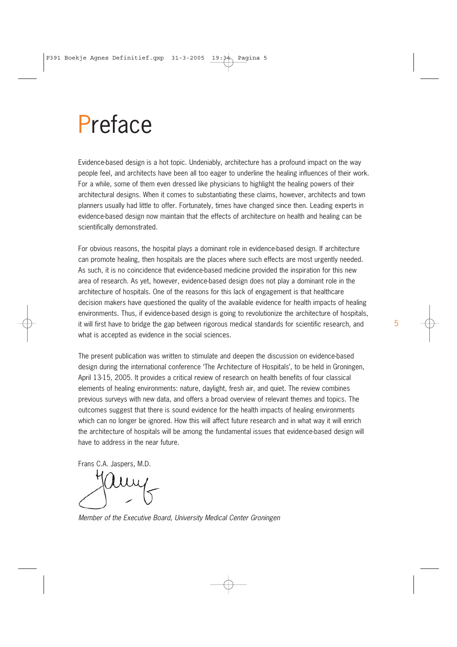### Preface

Evidence-based design is a hot topic. Undeniably, architecture has a profound impact on the way people feel, and architects have been all too eager to underline the healing influences of their work. For a while, some of them even dressed like physicians to highlight the healing powers of their architectural designs. When it comes to substantiating these claims, however, architects and town planners usually had little to offer. Fortunately, times have changed since then. Leading experts in evidence-based design now maintain that the effects of architecture on health and healing can be scientifically demonstrated.

For obvious reasons, the hospital plays a dominant role in evidence-based design. If architecture can promote healing, then hospitals are the places where such effects are most urgently needed. As such, it is no coincidence that evidence-based medicine provided the inspiration for this new area of research. As yet, however, evidence-based design does not play a dominant role in the architecture of hospitals. One of the reasons for this lack of engagement is that healthcare decision makers have questioned the quality of the available evidence for health impacts of healing environments. Thus, if evidence-based design is going to revolutionize the architecture of hospitals, it will first have to bridge the gap between rigorous medical standards for scientific research, and what is accepted as evidence in the social sciences.

The present publication was written to stimulate and deepen the discussion on evidence-based design during the international conference 'The Architecture of Hospitals', to be held in Groningen, April 13-15, 2005. It provides a critical review of research on health benefits of four classical elements of healing environments: nature, daylight, fresh air, and quiet. The review combines previous surveys with new data, and offers a broad overview of relevant themes and topics. The outcomes suggest that there is sound evidence for the health impacts of healing environments which can no longer be ignored. How this will affect future research and in what way it will enrich the architecture of hospitals will be among the fundamental issues that evidence-based design will have to address in the near future.

Frans C.A. Jaspers, M.D.

Member of the Executive Board, University Medical Center Groningen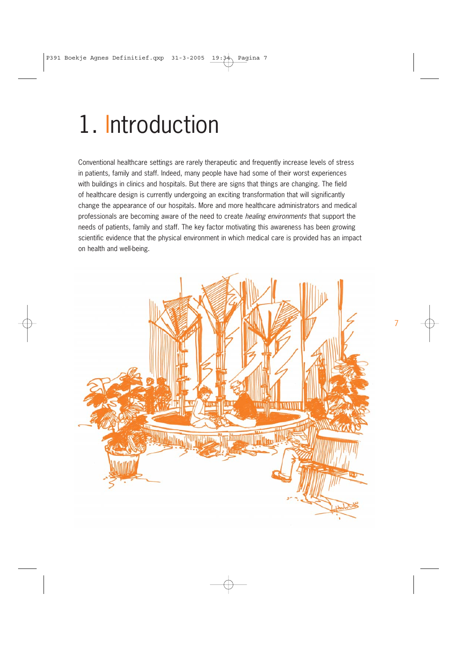## 1. Introduction

Conventional healthcare settings are rarely therapeutic and frequently increase levels of stress in patients, family and staff. Indeed, many people have had some of their worst experiences with buildings in clinics and hospitals. But there are signs that things are changing. The field of healthcare design is currently undergoing an exciting transformation that will significantly change the appearance of our hospitals. More and more healthcare administrators and medical professionals are becoming aware of the need to create healing environments that support the needs of patients, family and staff. The key factor motivating this awareness has been growing scientific evidence that the physical environment in which medical care is provided has an impact on health and well-being.

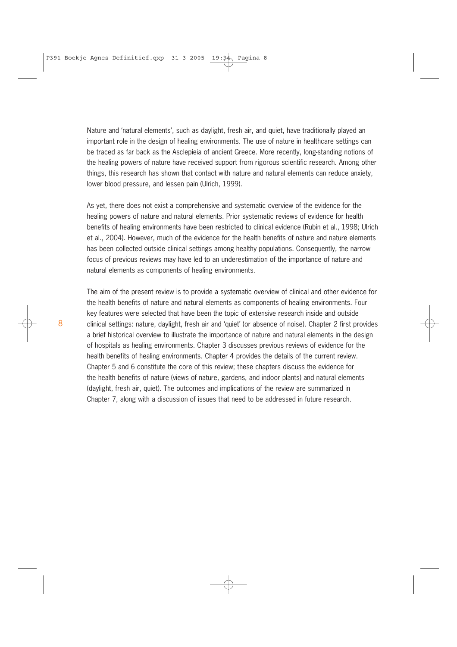Nature and 'natural elements', such as daylight, fresh air, and quiet, have traditionally played an important role in the design of healing environments. The use of nature in healthcare settings can be traced as far back as the Asclepieia of ancient Greece. More recently, long-standing notions of the healing powers of nature have received support from rigorous scientific research. Among other things, this research has shown that contact with nature and natural elements can reduce anxiety, lower blood pressure, and lessen pain (Ulrich, 1999).

As yet, there does not exist a comprehensive and systematic overview of the evidence for the healing powers of nature and natural elements. Prior systematic reviews of evidence for health benefits of healing environments have been restricted to clinical evidence (Rubin et al., 1998; Ulrich et al., 2004). However, much of the evidence for the health benefits of nature and nature elements has been collected outside clinical settings among healthy populations. Consequently, the narrow focus of previous reviews may have led to an underestimation of the importance of nature and natural elements as components of healing environments.

The aim of the present review is to provide a systematic overview of clinical and other evidence for the health benefits of nature and natural elements as components of healing environments. Four key features were selected that have been the topic of extensive research inside and outside clinical settings: nature, daylight, fresh air and 'quiet' (or absence of noise). Chapter 2 first provides a brief historical overview to illustrate the importance of nature and natural elements in the design of hospitals as healing environments. Chapter 3 discusses previous reviews of evidence for the health benefits of healing environments. Chapter 4 provides the details of the current review. Chapter 5 and 6 constitute the core of this review; these chapters discuss the evidence for the health benefits of nature (views of nature, gardens, and indoor plants) and natural elements (daylight, fresh air, quiet). The outcomes and implications of the review are summarized in Chapter 7, along with a discussion of issues that need to be addressed in future research.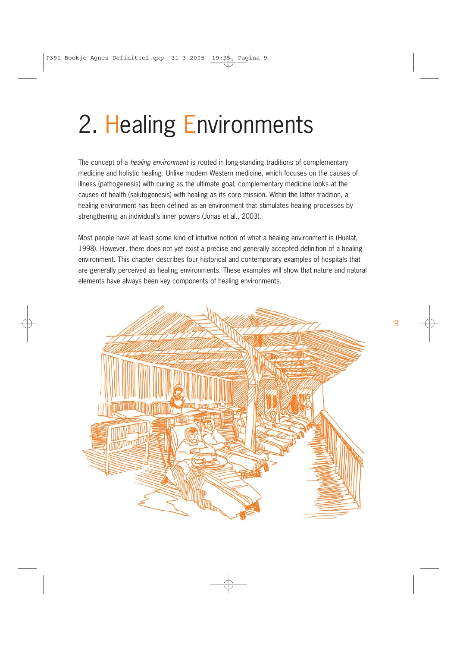## 2. Healing Environments

The concept of a *healing environment* is rooted in long-standing traditions of complementary medicine and holistic healing. Unlike modern Western medicine, which focuses on the causes of illness (pathogenesis) with curing as the ultimate goal, complementary medicine looks at the causes of health (salutogenesis) with healing as its core mission. Within the latter tradition, a healing environment has been defined as an environment that stimulates healing processes by strengthening an individual's inner powers (Jonas et al., 2003).

Most people have at least some kind of intuitive notion of what a healing environment is (Huelat, 1998). However, there does not yet exist a precise and generally accepted definition of a healing environment. This chapter describes four historical and contemporary examples of hospitals that are generally perceived as healing environments. These examples will show that nature and natural elements have always been key components of healing environments.

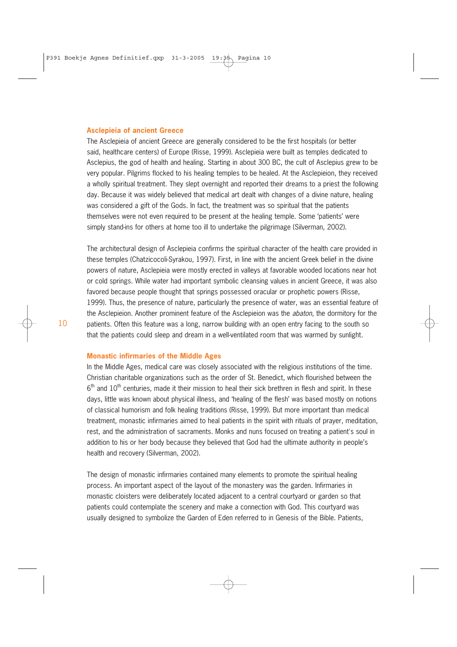#### **Asclepieia of ancient Greece**

The Asclepieia of ancient Greece are generally considered to be the first hospitals (or better said, healthcare centers) of Europe (Risse, 1999). Asclepieia were built as temples dedicated to Asclepius, the god of health and healing. Starting in about 300 BC, the cult of Asclepius grew to be very popular. Pilgrims flocked to his healing temples to be healed. At the Asclepieion, they received a wholly spiritual treatment. They slept overnight and reported their dreams to a priest the following day. Because it was widely believed that medical art dealt with changes of a divine nature, healing was considered a gift of the Gods. In fact, the treatment was so spiritual that the patients themselves were not even required to be present at the healing temple. Some 'patients' were simply stand-ins for others at home too ill to undertake the pilgrimage (Silverman, 2002).

The architectural design of Asclepieia confirms the spiritual character of the health care provided in these temples (Chatzicocoli-Syrakou, 1997). First, in line with the ancient Greek belief in the divine powers of nature, Asclepieia were mostly erected in valleys at favorable wooded locations near hot or cold springs. While water had important symbolic cleansing values in ancient Greece, it was also favored because people thought that springs possessed oracular or prophetic powers (Risse, 1999). Thus, the presence of nature, particularly the presence of water, was an essential feature of the Asclepieion. Another prominent feature of the Asclepieion was the *abaton*, the dormitory for the patients. Often this feature was a long, narrow building with an open entry facing to the south so that the patients could sleep and dream in a well-ventilated room that was warmed by sunlight.

#### **Monastic infirmaries of the Middle Ages**

In the Middle Ages, medical care was closely associated with the religious institutions of the time. Christian charitable organizations such as the order of St. Benedict, which flourished between the  $6<sup>th</sup>$  and  $10<sup>th</sup>$  centuries, made it their mission to heal their sick brethren in flesh and spirit. In these days, little was known about physical illness, and 'healing of the flesh' was based mostly on notions of classical humorism and folk healing traditions (Risse, 1999). But more important than medical treatment, monastic infirmaries aimed to heal patients in the spirit with rituals of prayer, meditation, rest, and the administration of sacraments. Monks and nuns focused on treating a patient's soul in addition to his or her body because they believed that God had the ultimate authority in people's health and recovery (Silverman, 2002).

The design of monastic infirmaries contained many elements to promote the spiritual healing process. An important aspect of the layout of the monastery was the garden. Infirmaries in monastic cloisters were deliberately located adjacent to a central courtyard or garden so that patients could contemplate the scenery and make a connection with God. This courtyard was usually designed to symbolize the Garden of Eden referred to in Genesis of the Bible. Patients,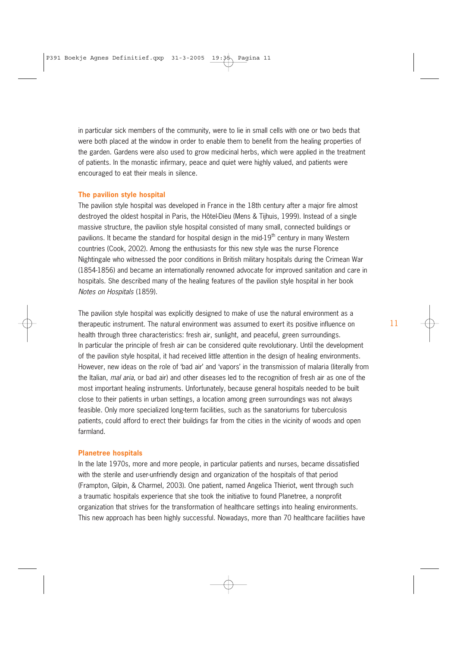in particular sick members of the community, were to lie in small cells with one or two beds that were both placed at the window in order to enable them to benefit from the healing properties of the garden. Gardens were also used to grow medicinal herbs, which were applied in the treatment of patients. In the monastic infirmary, peace and quiet were highly valued, and patients were encouraged to eat their meals in silence.

#### **The pavilion style hospital**

The pavilion style hospital was developed in France in the 18th century after a major fire almost destroyed the oldest hospital in Paris, the Hôtel-Dieu (Mens & Tijhuis, 1999). Instead of a single massive structure, the pavilion style hospital consisted of many small, connected buildings or pavilions. It became the standard for hospital design in the mid-19<sup>th</sup> century in many Western countries (Cook, 2002). Among the enthusiasts for this new style was the nurse Florence Nightingale who witnessed the poor conditions in British military hospitals during the Crimean War (1854-1856) and became an internationally renowned advocate for improved sanitation and care in hospitals. She described many of the healing features of the pavilion style hospital in her book Notes on Hospitals (1859).

The pavilion style hospital was explicitly designed to make of use the natural environment as a therapeutic instrument. The natural environment was assumed to exert its positive influence on health through three characteristics: fresh air, sunlight, and peaceful, green surroundings. In particular the principle of fresh air can be considered quite revolutionary. Until the development of the pavilion style hospital, it had received little attention in the design of healing environments. However, new ideas on the role of 'bad air' and 'vapors' in the transmission of malaria (literally from the Italian, mal aria, or bad air) and other diseases led to the recognition of fresh air as one of the most important healing instruments. Unfortunately, because general hospitals needed to be built close to their patients in urban settings, a location among green surroundings was not always feasible. Only more specialized long-term facilities, such as the sanatoriums for tuberculosis patients, could afford to erect their buildings far from the cities in the vicinity of woods and open farmland.

#### **Planetree hospitals**

In the late 1970s, more and more people, in particular patients and nurses, became dissatisfied with the sterile and user-unfriendly design and organization of the hospitals of that period (Frampton, Gilpin, & Charmel, 2003). One patient, named Angelica Thieriot, went through such a traumatic hospitals experience that she took the initiative to found Planetree, a nonprofit organization that strives for the transformation of healthcare settings into healing environments. This new approach has been highly successful. Nowadays, more than 70 healthcare facilities have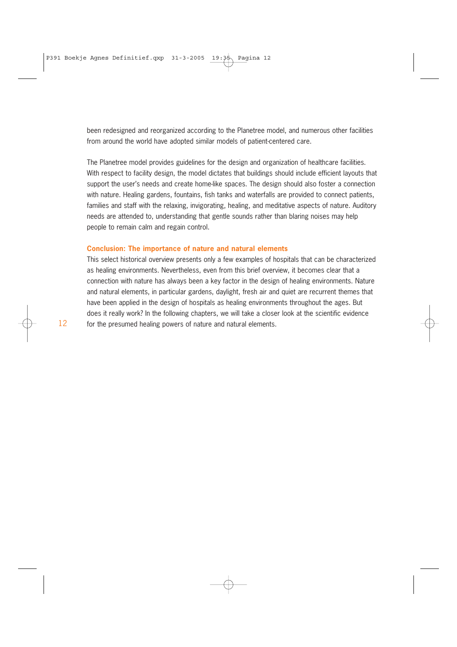been redesigned and reorganized according to the Planetree model, and numerous other facilities from around the world have adopted similar models of patient-centered care.

The Planetree model provides guidelines for the design and organization of healthcare facilities. With respect to facility design, the model dictates that buildings should include efficient layouts that support the user's needs and create home-like spaces. The design should also foster a connection with nature. Healing gardens, fountains, fish tanks and waterfalls are provided to connect patients, families and staff with the relaxing, invigorating, healing, and meditative aspects of nature. Auditory needs are attended to, understanding that gentle sounds rather than blaring noises may help people to remain calm and regain control.

#### **Conclusion: The importance of nature and natural elements**

This select historical overview presents only a few examples of hospitals that can be characterized as healing environments. Nevertheless, even from this brief overview, it becomes clear that a connection with nature has always been a key factor in the design of healing environments. Nature and natural elements, in particular gardens, daylight, fresh air and quiet are recurrent themes that have been applied in the design of hospitals as healing environments throughout the ages. But does it really work? In the following chapters, we will take a closer look at the scientific evidence 12 for the presumed healing powers of nature and natural elements.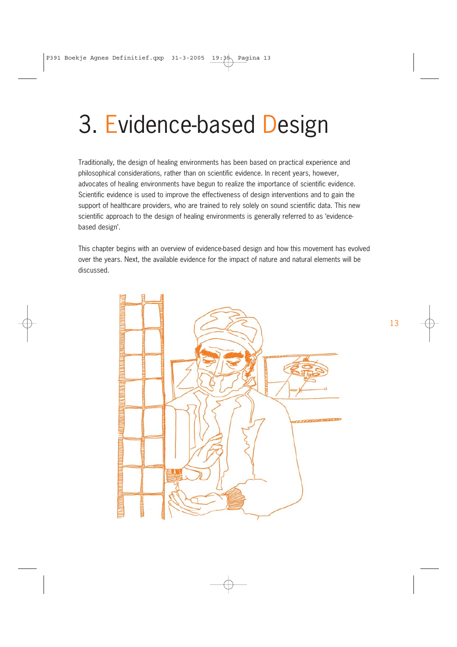# 3. Evidence-based Design

Traditionally, the design of healing environments has been based on practical experience and philosophical considerations, rather than on scientific evidence. In recent years, however, advocates of healing environments have begun to realize the importance of scientific evidence. Scientific evidence is used to improve the effectiveness of design interventions and to gain the support of healthcare providers, who are trained to rely solely on sound scientific data. This new scientific approach to the design of healing environments is generally referred to as 'evidencebased design'.

This chapter begins with an overview of evidence-based design and how this movement has evolved over the years. Next, the available evidence for the impact of nature and natural elements will be discussed.

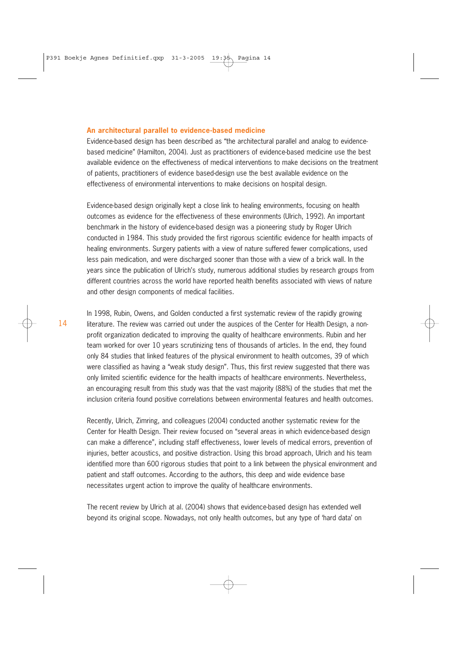#### **An architectural parallel to evidence-based medicine**

Evidence-based design has been described as "the architectural parallel and analog to evidencebased medicine" (Hamilton, 2004). Just as practitioners of evidence-based medicine use the best available evidence on the effectiveness of medical interventions to make decisions on the treatment of patients, practitioners of evidence based-design use the best available evidence on the effectiveness of environmental interventions to make decisions on hospital design.

Evidence-based design originally kept a close link to healing environments, focusing on health outcomes as evidence for the effectiveness of these environments (Ulrich, 1992). An important benchmark in the history of evidence-based design was a pioneering study by Roger Ulrich conducted in 1984. This study provided the first rigorous scientific evidence for health impacts of healing environments. Surgery patients with a view of nature suffered fewer complications, used less pain medication, and were discharged sooner than those with a view of a brick wall. In the years since the publication of Ulrich's study, numerous additional studies by research groups from different countries across the world have reported health benefits associated with views of nature and other design components of medical facilities.

In 1998, Rubin, Owens, and Golden conducted a first systematic review of the rapidly growing literature. The review was carried out under the auspices of the Center for Health Design, a nonprofit organization dedicated to improving the quality of healthcare environments. Rubin and her team worked for over 10 years scrutinizing tens of thousands of articles. In the end, they found only 84 studies that linked features of the physical environment to health outcomes, 39 of which were classified as having a "weak study design". Thus, this first review suggested that there was only limited scientific evidence for the health impacts of healthcare environments. Nevertheless, an encouraging result from this study was that the vast majority (88%) of the studies that met the inclusion criteria found positive correlations between environmental features and health outcomes.

Recently, Ulrich, Zimring, and colleagues (2004) conducted another systematic review for the Center for Health Design. Their review focused on "several areas in which evidence-based design can make a difference", including staff effectiveness, lower levels of medical errors, prevention of injuries, better acoustics, and positive distraction. Using this broad approach, Ulrich and his team identified more than 600 rigorous studies that point to a link between the physical environment and patient and staff outcomes. According to the authors, this deep and wide evidence base necessitates urgent action to improve the quality of healthcare environments.

The recent review by Ulrich at al. (2004) shows that evidence-based design has extended well beyond its original scope. Nowadays, not only health outcomes, but any type of 'hard data' on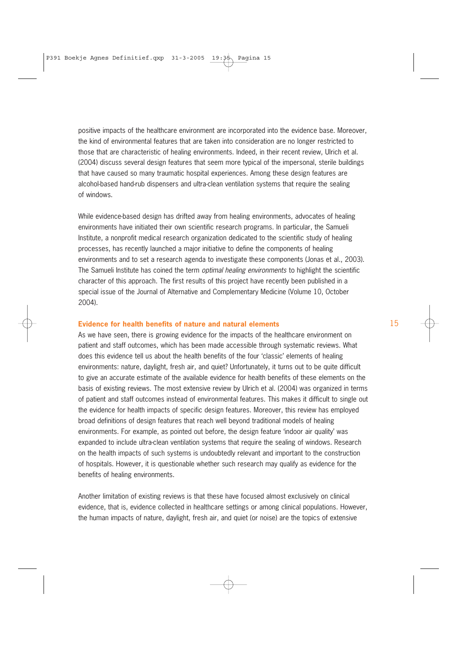positive impacts of the healthcare environment are incorporated into the evidence base. Moreover, the kind of environmental features that are taken into consideration are no longer restricted to those that are characteristic of healing environments. Indeed, in their recent review, Ulrich et al. (2004) discuss several design features that seem more typical of the impersonal, sterile buildings that have caused so many traumatic hospital experiences. Among these design features are alcohol-based hand-rub dispensers and ultra-clean ventilation systems that require the sealing of windows.

While evidence-based design has drifted away from healing environments, advocates of healing environments have initiated their own scientific research programs. In particular, the Samueli Institute, a nonprofit medical research organization dedicated to the scientific study of healing processes, has recently launched a major initiative to define the components of healing environments and to set a research agenda to investigate these components (Jonas et al., 2003). The Samueli Institute has coined the term *optimal healing environments* to highlight the scientific character of this approach. The first results of this project have recently been published in a special issue of the Journal of Alternative and Complementary Medicine (Volume 10, October 2004).

#### **Evidence for health benefits of nature and natural elements**

As we have seen, there is growing evidence for the impacts of the healthcare environment on patient and staff outcomes, which has been made accessible through systematic reviews. What does this evidence tell us about the health benefits of the four 'classic' elements of healing environments: nature, daylight, fresh air, and quiet? Unfortunately, it turns out to be quite difficult to give an accurate estimate of the available evidence for health benefits of these elements on the basis of existing reviews. The most extensive review by Ulrich et al. (2004) was organized in terms of patient and staff outcomes instead of environmental features. This makes it difficult to single out the evidence for health impacts of specific design features. Moreover, this review has employed broad definitions of design features that reach well beyond traditional models of healing environments. For example, as pointed out before, the design feature 'indoor air quality' was expanded to include ultra-clean ventilation systems that require the sealing of windows. Research on the health impacts of such systems is undoubtedly relevant and important to the construction of hospitals. However, it is questionable whether such research may qualify as evidence for the benefits of healing environments.

Another limitation of existing reviews is that these have focused almost exclusively on clinical evidence, that is, evidence collected in healthcare settings or among clinical populations. However, the human impacts of nature, daylight, fresh air, and quiet (or noise) are the topics of extensive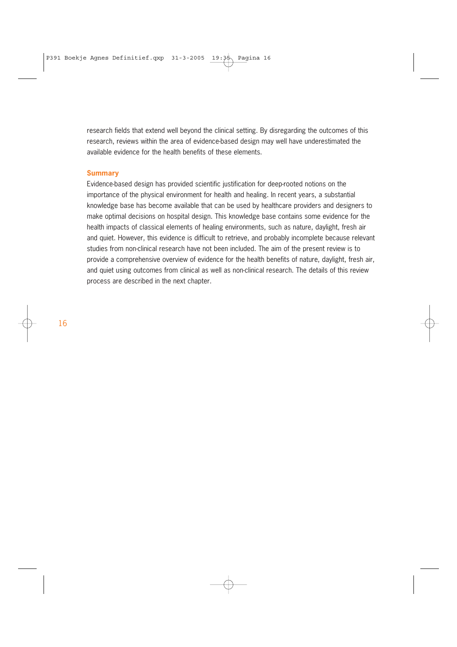research fields that extend well beyond the clinical setting. By disregarding the outcomes of this research, reviews within the area of evidence-based design may well have underestimated the available evidence for the health benefits of these elements.

#### **Summary**

Evidence-based design has provided scientific justification for deep-rooted notions on the importance of the physical environment for health and healing. In recent years, a substantial knowledge base has become available that can be used by healthcare providers and designers to make optimal decisions on hospital design. This knowledge base contains some evidence for the health impacts of classical elements of healing environments, such as nature, daylight, fresh air and quiet. However, this evidence is difficult to retrieve, and probably incomplete because relevant studies from non-clinical research have not been included. The aim of the present review is to provide a comprehensive overview of evidence for the health benefits of nature, daylight, fresh air, and quiet using outcomes from clinical as well as non-clinical research. The details of this review process are described in the next chapter.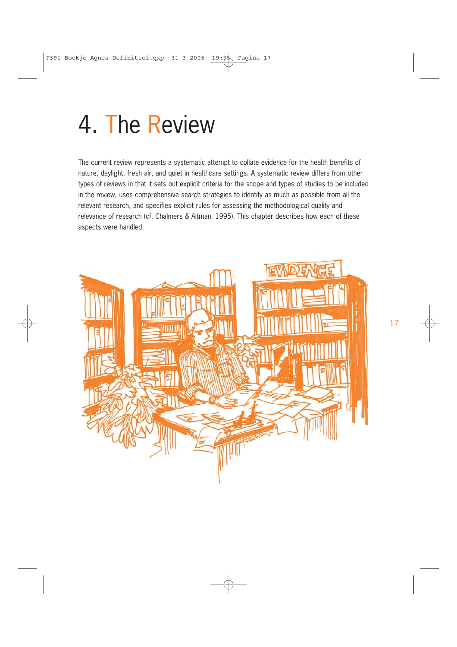### 4. The Review

The current review represents a systematic attempt to collate evidence for the health benefits of nature, daylight, fresh air, and quiet in healthcare settings. A systematic review differs from other types of reviews in that it sets out explicit criteria for the scope and types of studies to be included in the review, uses comprehensive search strategies to identify as much as possible from all the relevant research, and specifies explicit rules for assessing the methodological quality and relevance of research (cf. Chalmers & Altman, 1995). This chapter describes how each of these aspects were handled.

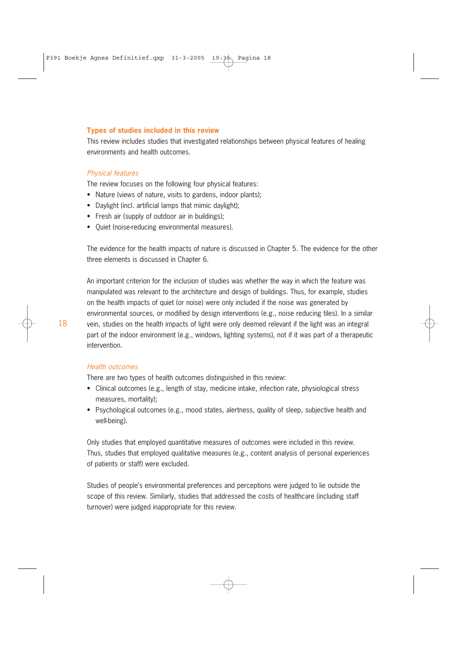#### **Types of studies included in this review**

This review includes studies that investigated relationships between physical features of healing environments and health outcomes.

#### Physical features

The review focuses on the following four physical features:

- Nature (views of nature, visits to gardens, indoor plants);
- Daylight (incl. artificial lamps that mimic daylight):
- Fresh air (supply of outdoor air in buildings);
- Quiet (noise-reducing environmental measures).

The evidence for the health impacts of nature is discussed in Chapter 5. The evidence for the other three elements is discussed in Chapter 6.

An important criterion for the inclusion of studies was whether the way in which the feature was manipulated was relevant to the architecture and design of buildings. Thus, for example, studies on the health impacts of quiet (or noise) were only included if the noise was generated by environmental sources, or modified by design interventions (e.g., noise reducing tiles). In a similar vein, studies on the health impacts of light were only deemed relevant if the light was an integral part of the indoor environment (e.g., windows, lighting systems), not if it was part of a therapeutic intervention.

#### Health outcomes

There are two types of health outcomes distinguished in this review:

- Clinical outcomes (e.g., length of stay, medicine intake, infection rate, physiological stress measures, mortality);
- Psychological outcomes (e.g., mood states, alertness, quality of sleep, subjective health and well-being).

Only studies that employed quantitative measures of outcomes were included in this review. Thus, studies that employed qualitative measures (e.g., content analysis of personal experiences of patients or staff) were excluded.

Studies of people's environmental preferences and perceptions were judged to lie outside the scope of this review. Similarly, studies that addressed the costs of healthcare (including staff turnover) were judged inappropriate for this review.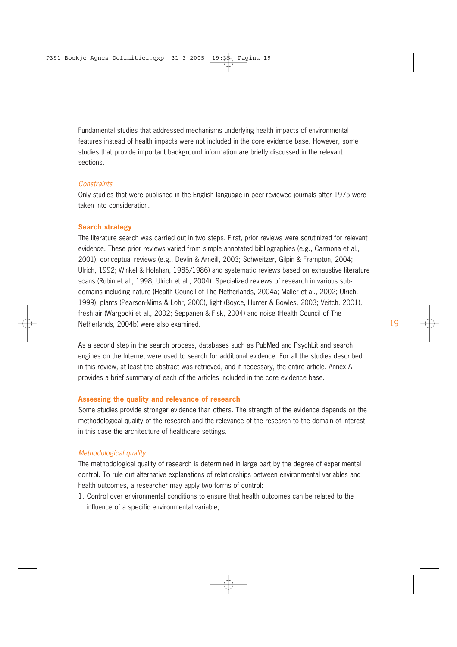Fundamental studies that addressed mechanisms underlying health impacts of environmental features instead of health impacts were not included in the core evidence base. However, some studies that provide important background information are briefly discussed in the relevant sections.

#### **Constraints**

Only studies that were published in the English language in peer-reviewed journals after 1975 were taken into consideration.

#### **Search strategy**

The literature search was carried out in two steps. First, prior reviews were scrutinized for relevant evidence. These prior reviews varied from simple annotated bibliographies (e.g., Carmona et al., 2001), conceptual reviews (e.g., Devlin & Arneill, 2003; Schweitzer, Gilpin & Frampton, 2004; Ulrich, 1992; Winkel & Holahan, 1985/1986) and systematic reviews based on exhaustive literature scans (Rubin et al., 1998; Ulrich et al., 2004). Specialized reviews of research in various subdomains including nature (Health Council of The Netherlands, 2004a; Maller et al., 2002; Ulrich, 1999), plants (Pearson-Mims & Lohr, 2000), light (Boyce, Hunter & Bowles, 2003; Veitch, 2001), fresh air (Wargocki et al., 2002; Seppanen & Fisk, 2004) and noise (Health Council of The Netherlands, 2004b) were also examined.

As a second step in the search process, databases such as PubMed and PsychLit and search engines on the Internet were used to search for additional evidence. For all the studies described in this review, at least the abstract was retrieved, and if necessary, the entire article. Annex A provides a brief summary of each of the articles included in the core evidence base.

#### **Assessing the quality and relevance of research**

Some studies provide stronger evidence than others. The strength of the evidence depends on the methodological quality of the research and the relevance of the research to the domain of interest, in this case the architecture of healthcare settings.

#### Methodological quality

The methodological quality of research is determined in large part by the degree of experimental control. To rule out alternative explanations of relationships between environmental variables and health outcomes, a researcher may apply two forms of control:

1. Control over environmental conditions to ensure that health outcomes can be related to the influence of a specific environmental variable;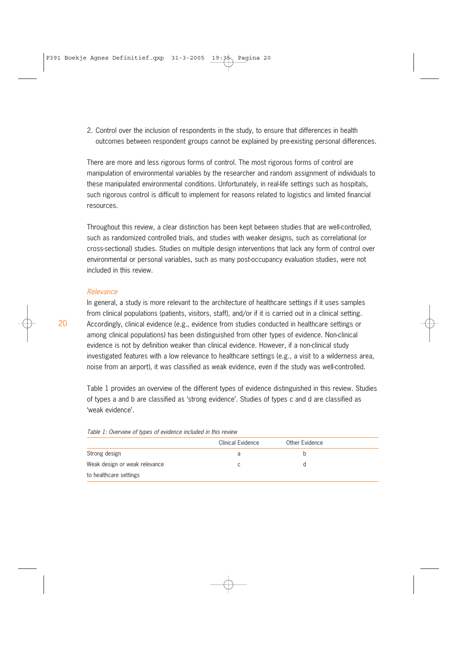2. Control over the inclusion of respondents in the study, to ensure that differences in health outcomes between respondent groups cannot be explained by pre-existing personal differences.

There are more and less rigorous forms of control. The most rigorous forms of control are manipulation of environmental variables by the researcher and random assignment of individuals to these manipulated environmental conditions. Unfortunately, in real-life settings such as hospitals, such rigorous control is difficult to implement for reasons related to logistics and limited financial resources.

Throughout this review, a clear distinction has been kept between studies that are well-controlled, such as randomized controlled trials, and studies with weaker designs, such as correlational (or cross-sectional) studies. Studies on multiple design interventions that lack any form of control over environmental or personal variables, such as many post-occupancy evaluation studies, were not included in this review.

#### Relevance

In general, a study is more relevant to the architecture of healthcare settings if it uses samples from clinical populations (patients, visitors, staff), and/or if it is carried out in a clinical setting. Accordingly, clinical evidence (e.g., evidence from studies conducted in healthcare settings or among clinical populations) has been distinguished from other types of evidence. Non-clinical evidence is not by definition weaker than clinical evidence. However, if a non-clinical study investigated features with a low relevance to healthcare settings (e.g., a visit to a wilderness area, noise from an airport), it was classified as weak evidence, even if the study was well-controlled.

Table 1 provides an overview of the different types of evidence distinguished in this review. Studies of types a and b are classified as 'strong evidence'. Studies of types c and d are classified as 'weak evidence'.

|                               | Clinical Evidence | Other Evidence |  |
|-------------------------------|-------------------|----------------|--|
| Strong design                 |                   |                |  |
| Weak design or weak relevance |                   |                |  |
| to healthcare settings        |                   |                |  |

Table 1: Overview of types of evidence included in this review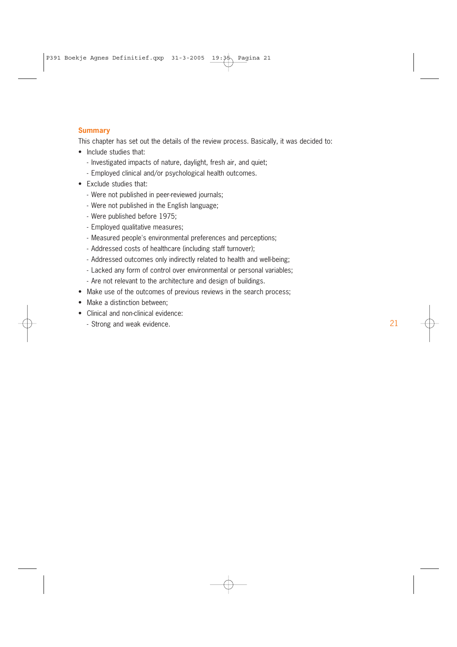#### **Summary**

This chapter has set out the details of the review process. Basically, it was decided to:

- Include studies that:
	- Investigated impacts of nature, daylight, fresh air, and quiet;
	- Employed clinical and/or psychological health outcomes.
- Exclude studies that:
	- Were not published in peer-reviewed journals;
	- Were not published in the English language;
	- Were published before 1975;
	- Employed qualitative measures;
	- Measured people's environmental preferences and perceptions;
	- Addressed costs of healthcare (including staff turnover);
	- Addressed outcomes only indirectly related to health and well-being;
	- Lacked any form of control over environmental or personal variables;
	- Are not relevant to the architecture and design of buildings.
- Make use of the outcomes of previous reviews in the search process;
- Make a distinction between:
- Clinical and non-clinical evidence:
	- Strong and weak evidence. 21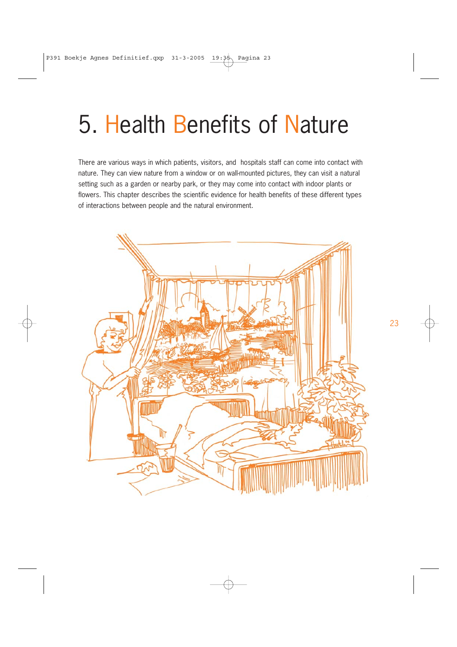### 5. Health Benefits of Nature

There are various ways in which patients, visitors, and hospitals staff can come into contact with nature. They can view nature from a window or on wall-mounted pictures, they can visit a natural setting such as a garden or nearby park, or they may come into contact with indoor plants or flowers. This chapter describes the scientific evidence for health benefits of these different types of interactions between people and the natural environment.

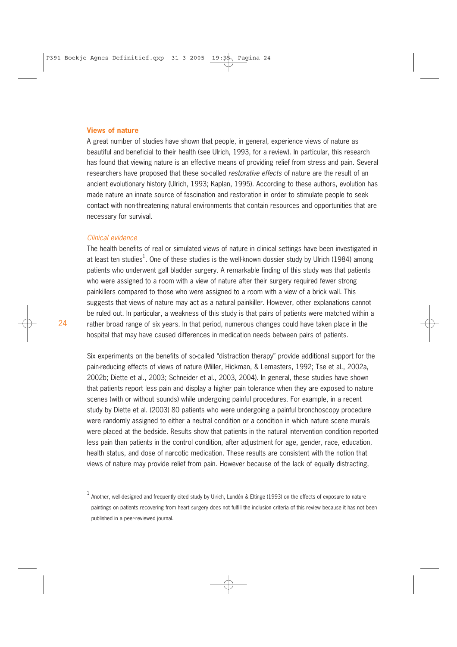#### **Views of nature**

A great number of studies have shown that people, in general, experience views of nature as beautiful and beneficial to their health (see Ulrich, 1993, for a review). In particular, this research has found that viewing nature is an effective means of providing relief from stress and pain. Several researchers have proposed that these so-called restorative effects of nature are the result of an ancient evolutionary history (Ulrich, 1993; Kaplan, 1995). According to these authors, evolution has made nature an innate source of fascination and restoration in order to stimulate people to seek contact with non-threatening natural environments that contain resources and opportunities that are necessary for survival.

#### Clinical evidence

The health benefits of real or simulated views of nature in clinical settings have been investigated in at least ten studies<sup>1</sup>. One of these studies is the well-known dossier study by Ulrich (1984) among patients who underwent gall bladder surgery. A remarkable finding of this study was that patients who were assigned to a room with a view of nature after their surgery required fewer strong painkillers compared to those who were assigned to a room with a view of a brick wall. This suggests that views of nature may act as a natural painkiller. However, other explanations cannot be ruled out. In particular, a weakness of this study is that pairs of patients were matched within a rather broad range of six years. In that period, numerous changes could have taken place in the hospital that may have caused differences in medication needs between pairs of patients.

Six experiments on the benefits of so-called "distraction therapy" provide additional support for the pain-reducing effects of views of nature (Miller, Hickman, & Lemasters, 1992; Tse et al., 2002a, 2002b; Diette et al., 2003; Schneider et al., 2003, 2004). In general, these studies have shown that patients report less pain and display a higher pain tolerance when they are exposed to nature scenes (with or without sounds) while undergoing painful procedures. For example, in a recent study by Diette et al. (2003) 80 patients who were undergoing a painful bronchoscopy procedure were randomly assigned to either a neutral condition or a condition in which nature scene murals were placed at the bedside. Results show that patients in the natural intervention condition reported less pain than patients in the control condition, after adjustment for age, gender, race, education, health status, and dose of narcotic medication. These results are consistent with the notion that views of nature may provide relief from pain. However because of the lack of equally distracting,

<sup>1</sup> Another, well-designed and frequently cited study by Ulrich, Lundén & Eltinge (1993) on the effects of exposure to nature paintings on patients recovering from heart surgery does not fulfill the inclusion criteria of this review because it has not been published in a peer-reviewed journal.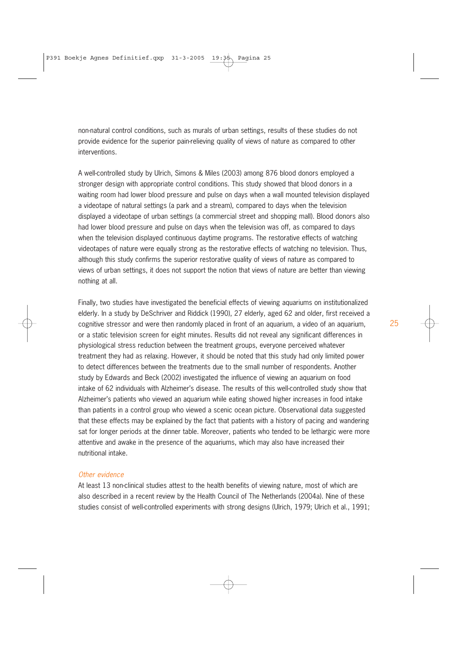non-natural control conditions, such as murals of urban settings, results of these studies do not provide evidence for the superior pain-relieving quality of views of nature as compared to other interventions.

A well-controlled study by Ulrich, Simons & Miles (2003) among 876 blood donors employed a stronger design with appropriate control conditions. This study showed that blood donors in a waiting room had lower blood pressure and pulse on days when a wall mounted television displayed a videotape of natural settings (a park and a stream), compared to days when the television displayed a videotape of urban settings (a commercial street and shopping mall). Blood donors also had lower blood pressure and pulse on days when the television was off, as compared to days when the television displayed continuous daytime programs. The restorative effects of watching videotapes of nature were equally strong as the restorative effects of watching no television. Thus, although this study confirms the superior restorative quality of views of nature as compared to views of urban settings, it does not support the notion that views of nature are better than viewing nothing at all.

Finally, two studies have investigated the beneficial effects of viewing aquariums on institutionalized elderly. In a study by DeSchriver and Riddick (1990), 27 elderly, aged 62 and older, first received a cognitive stressor and were then randomly placed in front of an aquarium, a video of an aquarium, or a static television screen for eight minutes. Results did not reveal any significant differences in physiological stress reduction between the treatment groups, everyone perceived whatever treatment they had as relaxing. However, it should be noted that this study had only limited power to detect differences between the treatments due to the small number of respondents. Another study by Edwards and Beck (2002) investigated the influence of viewing an aquarium on food intake of 62 individuals with Alzheimer's disease. The results of this well-controlled study show that Alzheimer's patients who viewed an aquarium while eating showed higher increases in food intake than patients in a control group who viewed a scenic ocean picture. Observational data suggested that these effects may be explained by the fact that patients with a history of pacing and wandering sat for longer periods at the dinner table. Moreover, patients who tended to be lethargic were more attentive and awake in the presence of the aquariums, which may also have increased their nutritional intake.

#### Other evidence

At least 13 non-clinical studies attest to the health benefits of viewing nature, most of which are also described in a recent review by the Health Council of The Netherlands (2004a). Nine of these studies consist of well-controlled experiments with strong designs (Ulrich, 1979; Ulrich et al., 1991;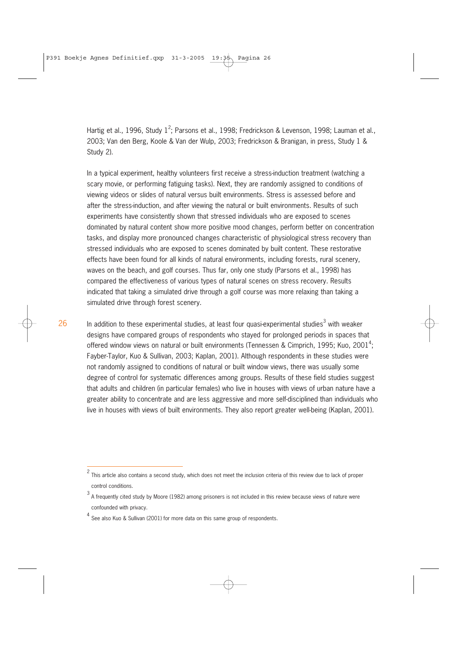Hartig et al., 1996, Study 1<sup>2</sup>; Parsons et al., 1998; Fredrickson & Levenson, 1998; Lauman et al., 2003; Van den Berg, Koole & Van der Wulp, 2003; Fredrickson & Branigan, in press, Study 1 & Study 2).

In a typical experiment, healthy volunteers first receive a stress-induction treatment (watching a scary movie, or performing fatiguing tasks). Next, they are randomly assigned to conditions of viewing videos or slides of natural versus built environments. Stress is assessed before and after the stress-induction, and after viewing the natural or built environments. Results of such experiments have consistently shown that stressed individuals who are exposed to scenes dominated by natural content show more positive mood changes, perform better on concentration tasks, and display more pronounced changes characteristic of physiological stress recovery than stressed individuals who are exposed to scenes dominated by built content. These restorative effects have been found for all kinds of natural environments, including forests, rural scenery, waves on the beach, and golf courses. Thus far, only one study (Parsons et al., 1998) has compared the effectiveness of various types of natural scenes on stress recovery. Results indicated that taking a simulated drive through a golf course was more relaxing than taking a simulated drive through forest scenery.

In addition to these experimental studies, at least four quasi-experimental studies<sup>3</sup> with weaker designs have compared groups of respondents who stayed for prolonged periods in spaces that offered window views on natural or built environments (Tennessen & Cimprich, 1995; Kuo, 2001<sup>4</sup>; Fayber-Taylor, Kuo & Sullivan, 2003; Kaplan, 2001). Although respondents in these studies were not randomly assigned to conditions of natural or built window views, there was usually some degree of control for systematic differences among groups. Results of these field studies suggest that adults and children (in particular females) who live in houses with views of urban nature have a greater ability to concentrate and are less aggressive and more self-disciplined than individuals who live in houses with views of built environments. They also report greater well-being (Kaplan, 2001).

<sup>&</sup>lt;sup>2</sup> This article also contains a second study, which does not meet the inclusion criteria of this review due to lack of proper control conditions.

<sup>&</sup>lt;sup>3</sup> A frequently cited study by Moore (1982) among prisoners is not included in this review because views of nature were confounded with privacy.

 $4$  See also Kuo & Sullivan (2001) for more data on this same group of respondents.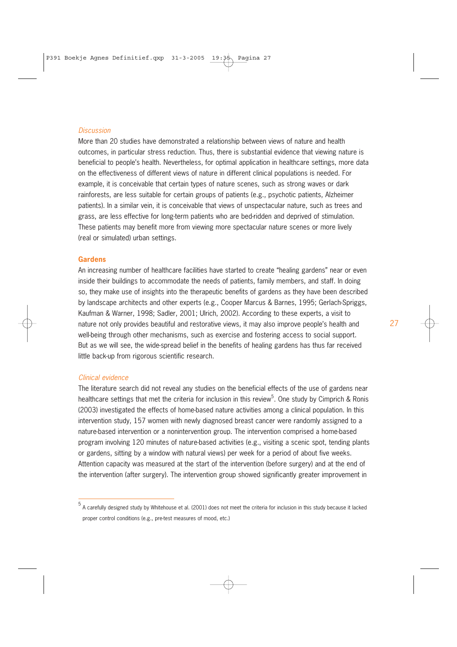#### **Discussion**

More than 20 studies have demonstrated a relationship between views of nature and health outcomes, in particular stress reduction. Thus, there is substantial evidence that viewing nature is beneficial to people's health. Nevertheless, for optimal application in healthcare settings, more data on the effectiveness of different views of nature in different clinical populations is needed. For example, it is conceivable that certain types of nature scenes, such as strong waves or dark rainforests, are less suitable for certain groups of patients (e.g., psychotic patients, Alzheimer patients). In a similar vein, it is conceivable that views of unspectacular nature, such as trees and grass, are less effective for long-term patients who are bed-ridden and deprived of stimulation. These patients may benefit more from viewing more spectacular nature scenes or more lively (real or simulated) urban settings.

#### **Gardens**

An increasing number of healthcare facilities have started to create "healing gardens" near or even inside their buildings to accommodate the needs of patients, family members, and staff. In doing so, they make use of insights into the therapeutic benefits of gardens as they have been described by landscape architects and other experts (e.g., Cooper Marcus & Barnes, 1995; Gerlach-Spriggs, Kaufman & Warner, 1998; Sadler, 2001; Ulrich, 2002). According to these experts, a visit to nature not only provides beautiful and restorative views, it may also improve people's health and well-being through other mechanisms, such as exercise and fostering access to social support. But as we will see, the wide-spread belief in the benefits of healing gardens has thus far received little back-up from rigorous scientific research.

#### Clinical evidence

The literature search did not reveal any studies on the beneficial effects of the use of gardens near healthcare settings that met the criteria for inclusion in this review<sup>5</sup>. One study by Cimprich & Ronis (2003) investigated the effects of home-based nature activities among a clinical population. In this intervention study, 157 women with newly diagnosed breast cancer were randomly assigned to a nature-based intervention or a nonintervention group. The intervention comprised a home-based program involving 120 minutes of nature-based activities (e.g., visiting a scenic spot, tending plants or gardens, sitting by a window with natural views) per week for a period of about five weeks. Attention capacity was measured at the start of the intervention (before surgery) and at the end of the intervention (after surgery). The intervention group showed significantly greater improvement in

<sup>5</sup> A carefully designed study by Whitehouse et al. (2001) does not meet the criteria for inclusion in this study because it lacked proper control conditions (e.g., pre-test measures of mood, etc.)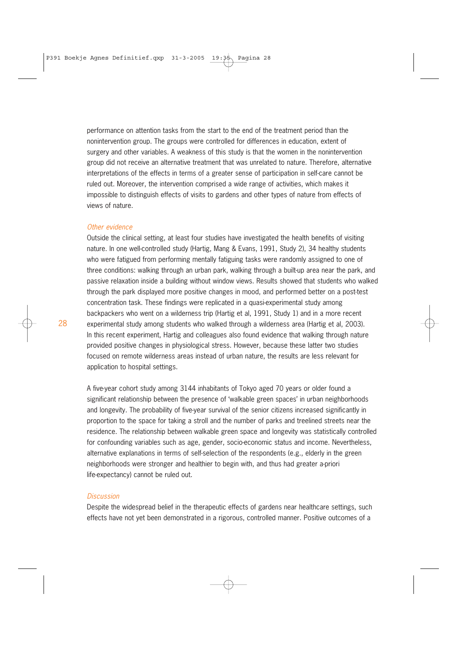performance on attention tasks from the start to the end of the treatment period than the nonintervention group. The groups were controlled for differences in education, extent of surgery and other variables. A weakness of this study is that the women in the nonintervention group did not receive an alternative treatment that was unrelated to nature. Therefore, alternative interpretations of the effects in terms of a greater sense of participation in self-care cannot be ruled out. Moreover, the intervention comprised a wide range of activities, which makes it impossible to distinguish effects of visits to gardens and other types of nature from effects of views of nature.

#### Other evidence

Outside the clinical setting, at least four studies have investigated the health benefits of visiting nature. In one well-controlled study (Hartig, Mang & Evans, 1991, Study 2), 34 healthy students who were fatigued from performing mentally fatiguing tasks were randomly assigned to one of three conditions: walking through an urban park, walking through a built-up area near the park, and passive relaxation inside a building without window views. Results showed that students who walked through the park displayed more positive changes in mood, and performed better on a post-test concentration task. These findings were replicated in a quasi-experimental study among backpackers who went on a wilderness trip (Hartig et al, 1991, Study 1) and in a more recent experimental study among students who walked through a wilderness area (Hartig et al, 2003). In this recent experiment, Hartig and colleagues also found evidence that walking through nature provided positive changes in physiological stress. However, because these latter two studies focused on remote wilderness areas instead of urban nature, the results are less relevant for application to hospital settings.

A five-year cohort study among 3144 inhabitants of Tokyo aged 70 years or older found a significant relationship between the presence of 'walkable green spaces' in urban neighborhoods and longevity. The probability of five-year survival of the senior citizens increased significantly in proportion to the space for taking a stroll and the number of parks and treelined streets near the residence. The relationship between walkable green space and longevity was statistically controlled for confounding variables such as age, gender, socio-economic status and income. Nevertheless, alternative explanations in terms of self-selection of the respondents (e.g., elderly in the green neighborhoods were stronger and healthier to begin with, and thus had greater a-priori life-expectancy) cannot be ruled out.

#### **Discussion**

Despite the widespread belief in the therapeutic effects of gardens near healthcare settings, such effects have not yet been demonstrated in a rigorous, controlled manner. Positive outcomes of a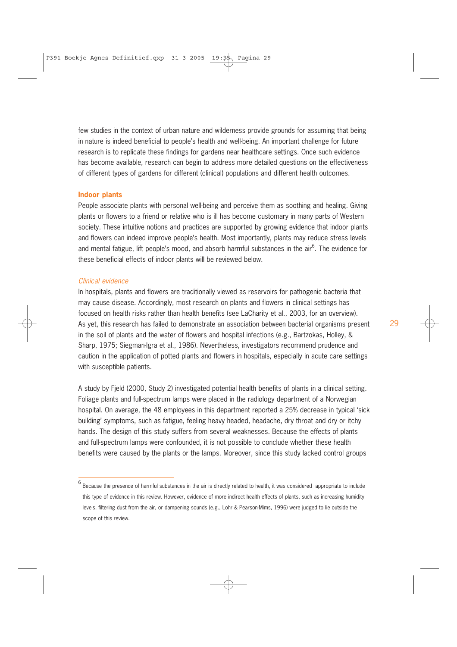few studies in the context of urban nature and wilderness provide grounds for assuming that being in nature is indeed beneficial to people's health and well-being. An important challenge for future research is to replicate these findings for gardens near healthcare settings. Once such evidence has become available, research can begin to address more detailed questions on the effectiveness of different types of gardens for different (clinical) populations and different health outcomes.

#### **Indoor plants**

People associate plants with personal well-being and perceive them as soothing and healing. Giving plants or flowers to a friend or relative who is ill has become customary in many parts of Western society. These intuitive notions and practices are supported by growing evidence that indoor plants and flowers can indeed improve people's health. Most importantly, plants may reduce stress levels and mental fatigue, lift people's mood, and absorb harmful substances in the air<sup>6</sup>. The evidence for these beneficial effects of indoor plants will be reviewed below.

#### Clinical evidence

In hospitals, plants and flowers are traditionally viewed as reservoirs for pathogenic bacteria that may cause disease. Accordingly, most research on plants and flowers in clinical settings has focused on health risks rather than health benefits (see LaCharity et al., 2003, for an overview). As yet, this research has failed to demonstrate an association between bacterial organisms present in the soil of plants and the water of flowers and hospital infections (e.g., Bartzokas, Holley, & Sharp, 1975; Siegman-Igra et al., 1986). Nevertheless, investigators recommend prudence and caution in the application of potted plants and flowers in hospitals, especially in acute care settings with susceptible patients.

A study by Fjeld (2000, Study 2) investigated potential health benefits of plants in a clinical setting. Foliage plants and full-spectrum lamps were placed in the radiology department of a Norwegian hospital. On average, the 48 employees in this department reported a 25% decrease in typical 'sick building' symptoms, such as fatigue, feeling heavy headed, headache, dry throat and dry or itchy hands. The design of this study suffers from several weaknesses. Because the effects of plants and full-spectrum lamps were confounded, it is not possible to conclude whether these health benefits were caused by the plants or the lamps. Moreover, since this study lacked control groups

Because the presence of harmful substances in the air is directly related to health, it was considered appropriate to include this type of evidence in this review. However, evidence of more indirect health effects of plants, such as increasing humidity levels, filtering dust from the air, or dampening sounds (e.g., Lohr & Pearson-Mims, 1996) were judged to lie outside the scope of this review.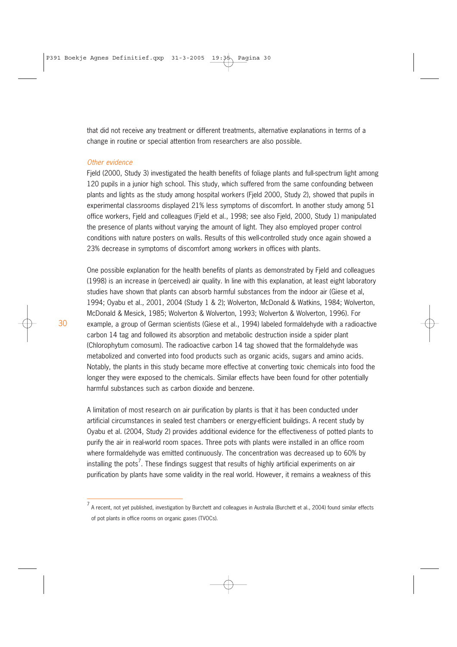that did not receive any treatment or different treatments, alternative explanations in terms of a change in routine or special attention from researchers are also possible.

#### Other evidence

Fjeld (2000, Study 3) investigated the health benefits of foliage plants and full-spectrum light among 120 pupils in a junior high school. This study, which suffered from the same confounding between plants and lights as the study among hospital workers (Fjeld 2000, Study 2), showed that pupils in experimental classrooms displayed 21% less symptoms of discomfort. In another study among 51 office workers, Fjeld and colleagues (Fjeld et al., 1998; see also Fjeld, 2000, Study 1) manipulated the presence of plants without varying the amount of light. They also employed proper control conditions with nature posters on walls. Results of this well-controlled study once again showed a 23% decrease in symptoms of discomfort among workers in offices with plants.

One possible explanation for the health benefits of plants as demonstrated by Fjeld and colleagues (1998) is an increase in (perceived) air quality. In line with this explanation, at least eight laboratory studies have shown that plants can absorb harmful substances from the indoor air (Giese et al, 1994; Oyabu et al., 2001, 2004 (Study 1 & 2); Wolverton, McDonald & Watkins, 1984; Wolverton, McDonald & Mesick, 1985; Wolverton & Wolverton, 1993; Wolverton & Wolverton, 1996). For example, a group of German scientists (Giese et al., 1994) labeled formaldehyde with a radioactive carbon 14 tag and followed its absorption and metabolic destruction inside a spider plant (Chlorophytum comosum). The radioactive carbon 14 tag showed that the formaldehyde was metabolized and converted into food products such as organic acids, sugars and amino acids. Notably, the plants in this study became more effective at converting toxic chemicals into food the longer they were exposed to the chemicals. Similar effects have been found for other potentially harmful substances such as carbon dioxide and benzene.

A limitation of most research on air purification by plants is that it has been conducted under artificial circumstances in sealed test chambers or energy-efficient buildings. A recent study by Oyabu et al. (2004, Study 2) provides additional evidence for the effectiveness of potted plants to purify the air in real-world room spaces. Three pots with plants were installed in an office room where formaldehyde was emitted continuously. The concentration was decreased up to 60% by installing the pots<sup>7</sup>. These findings suggest that results of highly artificial experiments on air purification by plants have some validity in the real world. However, it remains a weakness of this

 $^7$  A recent, not vet published, investigation by Burchett and colleagues in Australia (Burchett et al., 2004) found similar effects of pot plants in office rooms on organic gases (TVOCs).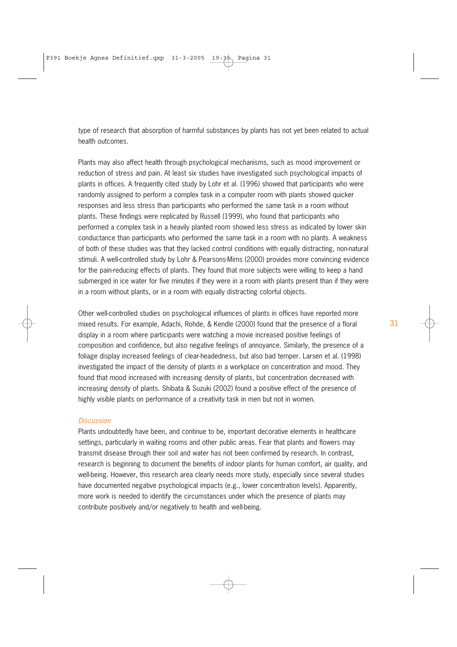type of research that absorption of harmful substances by plants has not yet been related to actual health outcomes.

Plants may also affect health through psychological mechanisms, such as mood improvement or reduction of stress and pain. At least six studies have investigated such psychological impacts of plants in offices. A frequently cited study by Lohr et al. (1996) showed that participants who were randomly assigned to perform a complex task in a computer room with plants showed quicker responses and less stress than participants who performed the same task in a room without plants. These findings were replicated by Russell (1999), who found that participants who performed a complex task in a heavily planted room showed less stress as indicated by lower skin conductance than participants who performed the same task in a room with no plants. A weakness of both of these studies was that they lacked control conditions with equally distracting, non-natural stimuli. A well-controlled study by Lohr & Pearsons-Mims (2000) provides more convincing evidence for the pain-reducing effects of plants. They found that more subjects were willing to keep a hand submerged in ice water for five minutes if they were in a room with plants present than if they were in a room without plants, or in a room with equally distracting colorful objects.

Other well-controlled studies on psychological influences of plants in offices have reported more mixed results. For example, Adachi, Rohde, & Kendle (2000) found that the presence of a floral display in a room where participants were watching a movie increased positive feelings of composition and confidence, but also negative feelings of annoyance. Similarly, the presence of a foliage display increased feelings of clear-headedness, but also bad temper. Larsen et al. (1998) investigated the impact of the density of plants in a workplace on concentration and mood. They found that mood increased with increasing density of plants, but concentration decreased with increasing density of plants. Shibata & Suzuki (2002) found a positive effect of the presence of highly visible plants on performance of a creativity task in men but not in women.

#### **Discussion**

Plants undoubtedly have been, and continue to be, important decorative elements in healthcare settings, particularly in waiting rooms and other public areas. Fear that plants and flowers may transmit disease through their soil and water has not been confirmed by research. In contrast, research is beginning to document the benefits of indoor plants for human comfort, air quality, and well-being. However, this research area clearly needs more study, especially since several studies have documented negative psychological impacts (e.g., lower concentration levels). Apparently, more work is needed to identify the circumstances under which the presence of plants may contribute positively and/or negatively to health and well-being.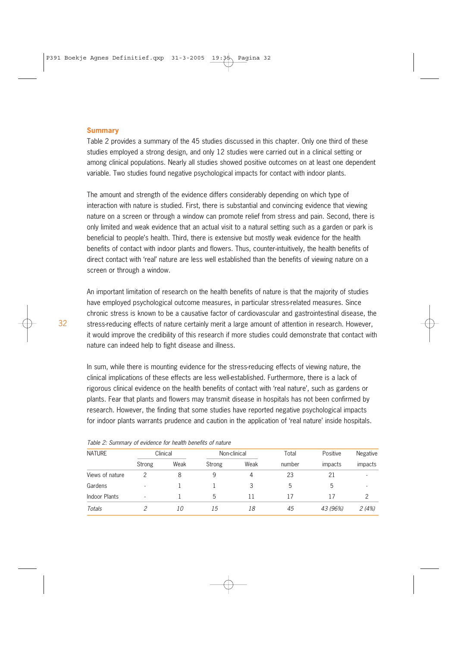#### **Summary**

Table 2 provides a summary of the 45 studies discussed in this chapter. Only one third of these studies employed a strong design, and only 12 studies were carried out in a clinical setting or among clinical populations. Nearly all studies showed positive outcomes on at least one dependent variable. Two studies found negative psychological impacts for contact with indoor plants.

The amount and strength of the evidence differs considerably depending on which type of interaction with nature is studied. First, there is substantial and convincing evidence that viewing nature on a screen or through a window can promote relief from stress and pain. Second, there is only limited and weak evidence that an actual visit to a natural setting such as a garden or park is beneficial to people's health. Third, there is extensive but mostly weak evidence for the health benefits of contact with indoor plants and flowers. Thus, counter-intuitively, the health benefits of direct contact with 'real' nature are less well established than the benefits of viewing nature on a screen or through a window.

An important limitation of research on the health benefits of nature is that the majority of studies have employed psychological outcome measures, in particular stress-related measures. Since chronic stress is known to be a causative factor of cardiovascular and gastrointestinal disease, the stress-reducing effects of nature certainly merit a large amount of attention in research. However, it would improve the credibility of this research if more studies could demonstrate that contact with nature can indeed help to fight disease and illness.

In sum, while there is mounting evidence for the stress-reducing effects of viewing nature, the clinical implications of these effects are less well-established. Furthermore, there is a lack of rigorous clinical evidence on the health benefits of contact with 'real nature', such as gardens or plants. Fear that plants and flowers may transmit disease in hospitals has not been confirmed by research. However, the finding that some studies have reported negative psychological impacts for indoor plants warrants prudence and caution in the application of 'real nature' inside hospitals.

| <b>NATURE</b>        | Clinical |           | Non-clinical |      | Total  | Positive | Negative |
|----------------------|----------|-----------|--------------|------|--------|----------|----------|
|                      | Strong   | Weak      | Strong       | Weak | number | impacts  | impacts  |
| Views of nature      |          |           | 9            | 4    | 23     | 21       |          |
| Gardens              | -        |           |              |      | b      | b        |          |
| <b>Indoor Plants</b> | ۰        |           | 5            | 11   | 17     | 17       |          |
| Totals               |          | <i>10</i> | 15           | 18   | 45     | 43 (96%) | 2(4%)    |

Table 2: Summary of evidence for health benefits of nature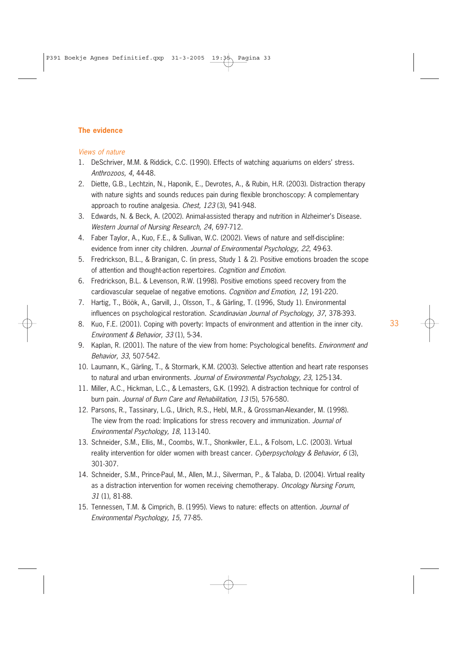#### **The evidence**

#### Views of nature

- 1. DeSchriver, M.M. & Riddick, C.C. (1990). Effects of watching aquariums on elders' stress. Anthrozoos, 4, 44-48.
- 2. Diette, G.B., Lechtzin, N., Haponik, E., Devrotes, A., & Rubin, H.R. (2003). Distraction therapy with nature sights and sounds reduces pain during flexible bronchoscopy: A complementary approach to routine analgesia. Chest, 123 (3), 941-948.
- 3. Edwards, N. & Beck, A. (2002). Animal-assisted therapy and nutrition in Alzheimer's Disease. Western Journal of Nursing Research, 24, 697-712.
- 4. Faber Taylor, A., Kuo, F.E., & Sullivan, W.C. (2002). Views of nature and self-discipline: evidence from inner city children. Journal of Environmental Psychology, 22, 49-63.
- 5. Fredrickson, B.L., & Branigan, C. (in press, Study 1 & 2). Positive emotions broaden the scope of attention and thought-action repertoires. Cognition and Emotion.
- 6. Fredrickson, B.L. & Levenson, R.W. (1998). Positive emotions speed recovery from the cardiovascular sequelae of negative emotions. Cognition and Emotion, 12, 191-220.
- 7. Hartig, T., Böök, A., Garvill, J., Olsson, T., & Gärling, T. (1996, Study 1). Environmental influences on psychological restoration. Scandinavian Journal of Psychology, 37, 378-393.
- 8. Kuo, F.E. (2001). Coping with poverty: Impacts of environment and attention in the inner city. Environment & Behavior, 33 (1), 5-34.
- 9. Kaplan, R. (2001). The nature of the view from home: Psychological benefits. Environment and Behavior, 33, 507-542.
- 10. Laumann, K., Gärling, T., & Stormark, K.M. (2003). Selective attention and heart rate responses to natural and urban environments. Journal of Environmental Psychology, 23, 125-134.
- 11. Miller, A.C., Hickman, L.C., & Lemasters, G.K. (1992). A distraction technique for control of burn pain. Journal of Burn Care and Rehabilitation, 13 (5), 576-580.
- 12. Parsons, R., Tassinary, L.G., Ulrich, R.S., Hebl, M.R., & Grossman-Alexander, M. (1998). The view from the road: Implications for stress recovery and immunization. Journal of Environmental Psychology, 18, 113-140.
- 13. Schneider, S.M., Ellis, M., Coombs, W.T., Shonkwiler, E.L., & Folsom, L.C. (2003). Virtual reality intervention for older women with breast cancer. Cyberpsychology & Behavior,  $6$  (3), 301-307.
- 14. Schneider, S.M., Prince-Paul, M., Allen, M.J., Silverman, P., & Talaba, D. (2004). Virtual reality as a distraction intervention for women receiving chemotherapy. *Oncology Nursing Forum*, 31 (1), 81-88.
- 15. Tennessen, T.M. & Cimprich, B. (1995). Views to nature: effects on attention. Journal of Environmental Psychology, 15, 77-85.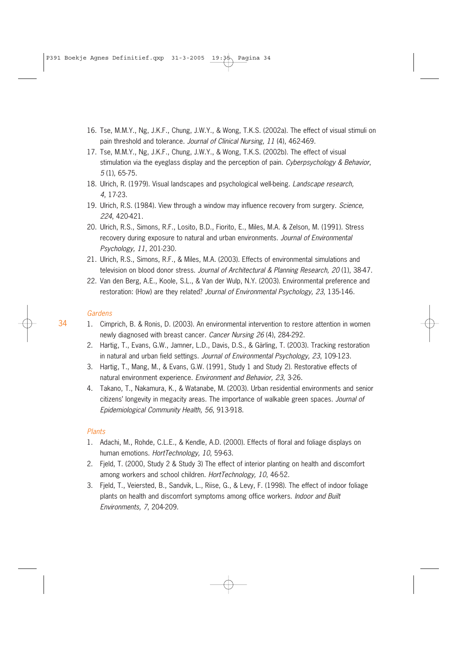- 16. Tse, M.M.Y., Ng, J.K.F., Chung, J.W.Y., & Wong, T.K.S. (2002a). The effect of visual stimuli on pain threshold and tolerance. Journal of Clinical Nursing, 11 (4), 462-469.
- 17. Tse, M.M.Y., Ng, J.K.F., Chung, J.W.Y., & Wong, T.K.S. (2002b). The effect of visual stimulation via the eyeglass display and the perception of pain. Cyberpsychology & Behavior, 5 (1), 65-75.
- 18. Ulrich, R. (1979). Visual landscapes and psychological well-being. Landscape research, 4, 17-23.
- 19. Ulrich, R.S. (1984). View through a window may influence recovery from surgery. Science, 224, 420-421.
- 20. Ulrich, R.S., Simons, R.F., Losito, B.D., Fiorito, E., Miles, M.A. & Zelson, M. (1991). Stress recovery during exposure to natural and urban environments. Journal of Environmental Psychology, 11, 201-230.
- 21. Ulrich, R.S., Simons, R.F., & Miles, M.A. (2003). Effects of environmental simulations and television on blood donor stress. Journal of Architectural & Planning Research, 20(1), 38-47.
- 22. Van den Berg, A.E., Koole, S.L., & Van der Wulp, N.Y. (2003). Environmental preference and restoration: (How) are they related? Journal of Environmental Psychology, 23, 135-146.

#### **Gardens**

- 1. Cimprich, B. & Ronis, D. (2003). An environmental intervention to restore attention in women newly diagnosed with breast cancer. Cancer Nursing 26 (4), 284-292.
	- 2. Hartig, T., Evans, G.W., Jamner, L.D., Davis, D.S., & Gärling, T. (2003). Tracking restoration in natural and urban field settings. Journal of Environmental Psychology, 23, 109-123.
	- 3. Hartig, T., Mang, M., & Evans, G.W. (1991, Study 1 and Study 2). Restorative effects of natural environment experience. Environment and Behavior, 23, 3-26.
	- 4. Takano, T., Nakamura, K., & Watanabe, M. (2003). Urban residential environments and senior citizens' longevity in megacity areas. The importance of walkable green spaces. Journal of Epidemiological Community Health, 56, 913-918.

#### Plants

- 1. Adachi, M., Rohde, C.L.E., & Kendle, A.D. (2000). Effects of floral and foliage displays on human emotions. HortTechnology, 10, 59-63.
- 2. Fjeld, T. (2000, Study 2 & Study 3) The effect of interior planting on health and discomfort among workers and school children. HortTechnology, 10, 46-52.
- 3. Fjeld, T., Veiersted, B., Sandvik, L., Riise, G., & Levy, F. (1998). The effect of indoor foliage plants on health and discomfort symptoms among office workers. Indoor and Built Environments, 7, 204-209.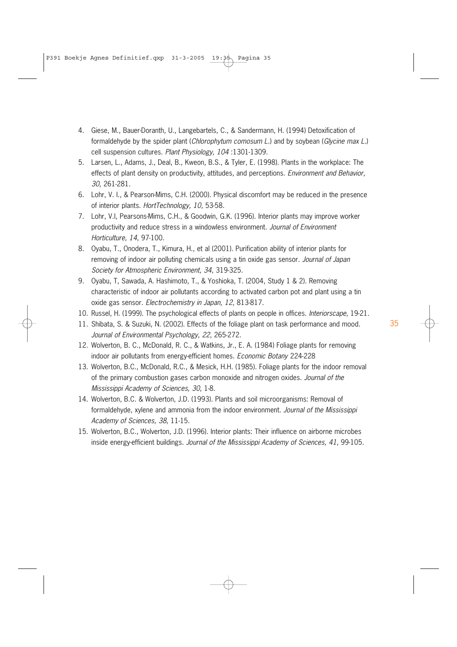- 4. Giese, M., Bauer-Doranth, U., Langebartels, C., & Sandermann, H. (1994) Detoxification of formaldehyde by the spider plant (*Chlorophytum comosum L*.) and by soybean (*Glycine max L.*) cell suspension cultures. Plant Physiology, 104 :1301-1309.
- 5. Larsen, L., Adams, J., Deal, B., Kweon, B.S., & Tyler, E. (1998). Plants in the workplace: The effects of plant density on productivity, attitudes, and perceptions. Environment and Behavior, 30, 261-281.
- 6. Lohr, V. I., & Pearson-Mims, C.H. (2000). Physical discomfort may be reduced in the presence of interior plants. HortTechnology, 10, 53-58.
- 7. Lohr, V.I, Pearsons-Mims, C.H., & Goodwin, G.K. (1996). Interior plants may improve worker productivity and reduce stress in a windowless environment. Journal of Environment Horticulture, 14, 97-100.
- 8. Oyabu, T., Onodera, T., Kimura, H., et al (2001). Purification ability of interior plants for removing of indoor air polluting chemicals using a tin oxide gas sensor. Journal of Japan Society for Atmospheric Environment, 34, 319-325.
- 9. Oyabu, T, Sawada, A. Hashimoto, T., & Yoshioka, T. (2004, Study 1 & 2). Removing characteristic of indoor air pollutants according to activated carbon pot and plant using a tin oxide gas sensor. Electrochemistry in Japan, 12, 813-817.
- 10. Russel, H. (1999). The psychological effects of plants on people in offices. Interiorscape, 19-21.
- 11. Shibata, S. & Suzuki, N. (2002). Effects of the foliage plant on task performance and mood. Journal of Environmental Psychology, 22, 265-272.
- 12. Wolverton, B. C., McDonald, R. C., & Watkins, Jr., E. A. (1984) Foliage plants for removing indoor air pollutants from energy-efficient homes. Economic Botany 224-228
- 13. Wolverton, B.C., McDonald, R.C., & Mesick, H.H. (1985). Foliage plants for the indoor removal of the primary combustion gases carbon monoxide and nitrogen oxides. Journal of the Mississippi Academy of Sciences, 30, 1-8.
- 14. Wolverton, B.C. & Wolverton, J.D. (1993). Plants and soil microorganisms: Removal of formaldehyde, xylene and ammonia from the indoor environment. Journal of the Mississippi Academy of Sciences, 38, 11-15.
- 15. Wolverton, B.C., Wolverton, J.D. (1996). Interior plants: Their influence on airborne microbes inside energy-efficient buildings. Journal of the Mississippi Academy of Sciences, 41, 99-105.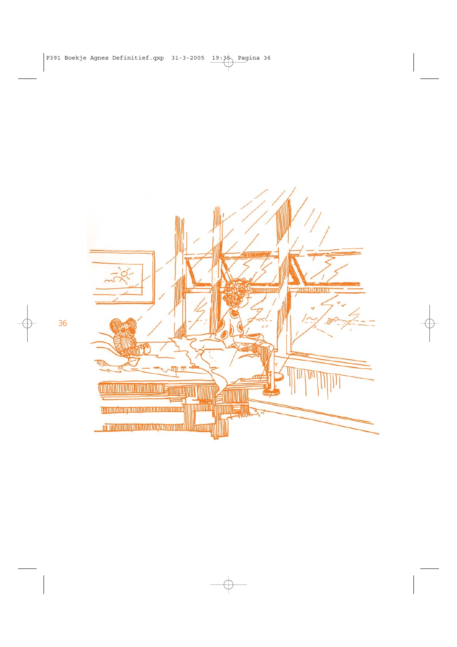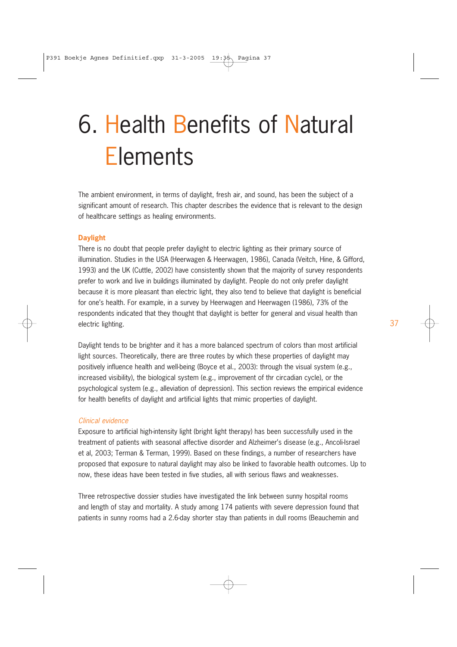# 6. Health Benefits of Natural **Elements**

The ambient environment, in terms of daylight, fresh air, and sound, has been the subject of a significant amount of research. This chapter describes the evidence that is relevant to the design of healthcare settings as healing environments.

#### **Daylight**

There is no doubt that people prefer daylight to electric lighting as their primary source of illumination. Studies in the USA (Heerwagen & Heerwagen, 1986), Canada (Veitch, Hine, & Gifford, 1993) and the UK (Cuttle, 2002) have consistently shown that the majority of survey respondents prefer to work and live in buildings illuminated by daylight. People do not only prefer daylight because it is more pleasant than electric light, they also tend to believe that daylight is beneficial for one's health. For example, in a survey by Heerwagen and Heerwagen (1986), 73% of the respondents indicated that they thought that daylight is better for general and visual health than electric lighting.

Daylight tends to be brighter and it has a more balanced spectrum of colors than most artificial light sources. Theoretically, there are three routes by which these properties of daylight may positively influence health and well-being (Boyce et al., 2003): through the visual system (e.g., increased visibility), the biological system (e.g., improvement of thr circadian cycle), or the psychological system (e.g., alleviation of depression). This section reviews the empirical evidence for health benefits of daylight and artificial lights that mimic properties of daylight.

#### Clinical evidence

Exposure to artificial high-intensity light (bright light therapy) has been successfully used in the treatment of patients with seasonal affective disorder and Alzheimer's disease (e.g., Ancoli-Israel et al, 2003; Terman & Terman, 1999). Based on these findings, a number of researchers have proposed that exposure to natural daylight may also be linked to favorable health outcomes. Up to now, these ideas have been tested in five studies, all with serious flaws and weaknesses.

Three retrospective dossier studies have investigated the link between sunny hospital rooms and length of stay and mortality. A study among 174 patients with severe depression found that patients in sunny rooms had a 2.6-day shorter stay than patients in dull rooms (Beauchemin and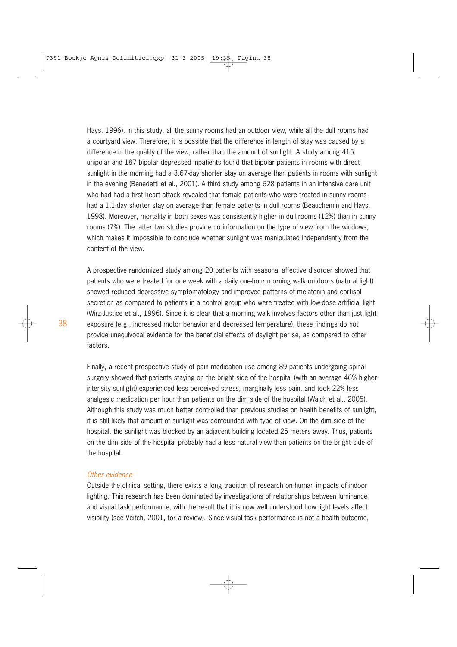Hays, 1996). In this study, all the sunny rooms had an outdoor view, while all the dull rooms had a courtyard view. Therefore, it is possible that the difference in length of stay was caused by a difference in the quality of the view, rather than the amount of sunlight. A study among 415 unipolar and 187 bipolar depressed inpatients found that bipolar patients in rooms with direct sunlight in the morning had a 3.67-day shorter stay on average than patients in rooms with sunlight in the evening (Benedetti et al., 2001). A third study among 628 patients in an intensive care unit who had had a first heart attack revealed that female patients who were treated in sunny rooms had a 1.1-day shorter stay on average than female patients in dull rooms (Beauchemin and Hays, 1998). Moreover, mortality in both sexes was consistently higher in dull rooms (12%) than in sunny rooms (7%). The latter two studies provide no information on the type of view from the windows, which makes it impossible to conclude whether sunlight was manipulated independently from the content of the view.

A prospective randomized study among 20 patients with seasonal affective disorder showed that patients who were treated for one week with a daily one-hour morning walk outdoors (natural light) showed reduced depressive symptomatology and improved patterns of melatonin and cortisol secretion as compared to patients in a control group who were treated with low-dose artificial light (Wirz-Justice et al., 1996). Since it is clear that a morning walk involves factors other than just light exposure (e.g., increased motor behavior and decreased temperature), these findings do not provide unequivocal evidence for the beneficial effects of daylight per se, as compared to other factors.

Finally, a recent prospective study of pain medication use among 89 patients undergoing spinal surgery showed that patients staying on the bright side of the hospital (with an average 46% higherintensity sunlight) experienced less perceived stress, marginally less pain, and took 22% less analgesic medication per hour than patients on the dim side of the hospital (Walch et al., 2005). Although this study was much better controlled than previous studies on health benefits of sunlight, it is still likely that amount of sunlight was confounded with type of view. On the dim side of the hospital, the sunlight was blocked by an adjacent building located 25 meters away. Thus, patients on the dim side of the hospital probably had a less natural view than patients on the bright side of the hospital.

#### Other evidence

Outside the clinical setting, there exists a long tradition of research on human impacts of indoor lighting. This research has been dominated by investigations of relationships between luminance and visual task performance, with the result that it is now well understood how light levels affect visibility (see Veitch, 2001, for a review). Since visual task performance is not a health outcome,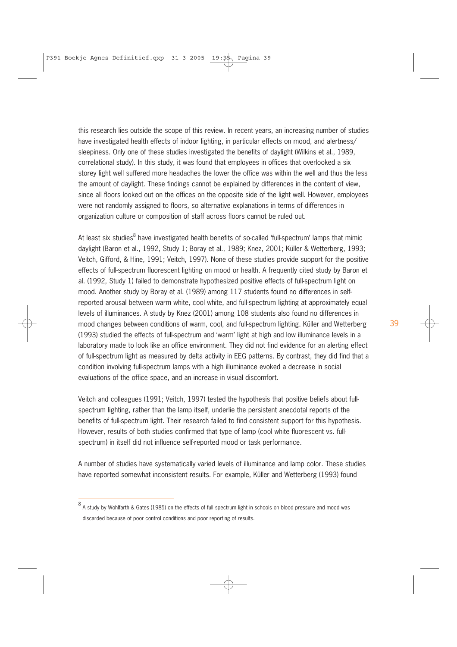this research lies outside the scope of this review. In recent years, an increasing number of studies have investigated health effects of indoor lighting, in particular effects on mood, and alertness/ sleepiness. Only one of these studies investigated the benefits of daylight (Wilkins et al., 1989, correlational study). In this study, it was found that employees in offices that overlooked a six storey light well suffered more headaches the lower the office was within the well and thus the less the amount of daylight. These findings cannot be explained by differences in the content of view, since all floors looked out on the offices on the opposite side of the light well. However, employees were not randomly assigned to floors, so alternative explanations in terms of differences in organization culture or composition of staff across floors cannot be ruled out.

At least six studies<sup>8</sup> have investigated health benefits of so-called 'full-spectrum' lamps that mimic daylight (Baron et al., 1992, Study 1; Boray et al., 1989; Knez, 2001; Küller & Wetterberg, 1993; Veitch, Gifford, & Hine, 1991; Veitch, 1997). None of these studies provide support for the positive effects of full-spectrum fluorescent lighting on mood or health. A frequently cited study by Baron et al. (1992, Study 1) failed to demonstrate hypothesized positive effects of full-spectrum light on mood. Another study by Boray et al. (1989) among 117 students found no differences in selfreported arousal between warm white, cool white, and full-spectrum lighting at approximately equal levels of illuminances. A study by Knez (2001) among 108 students also found no differences in mood changes between conditions of warm, cool, and full-spectrum lighting. Küller and Wetterberg (1993) studied the effects of full-spectrum and 'warm' light at high and low illuminance levels in a laboratory made to look like an office environment. They did not find evidence for an alerting effect of full-spectrum light as measured by delta activity in EEG patterns. By contrast, they did find that a condition involving full-spectrum lamps with a high illuminance evoked a decrease in social evaluations of the office space, and an increase in visual discomfort.

Veitch and colleagues (1991; Veitch, 1997) tested the hypothesis that positive beliefs about fullspectrum lighting, rather than the lamp itself, underlie the persistent anecdotal reports of the benefits of full-spectrum light. Their research failed to find consistent support for this hypothesis. However, results of both studies confirmed that type of lamp (cool white fluorescent vs. fullspectrum) in itself did not influence self-reported mood or task performance.

A number of studies have systematically varied levels of illuminance and lamp color. These studies have reported somewhat inconsistent results. For example, Küller and Wetterberg (1993) found

<sup>8</sup> A study by Wohlfarth & Gates (1985) on the effects of full spectrum light in schools on blood pressure and mood was discarded because of poor control conditions and poor reporting of results.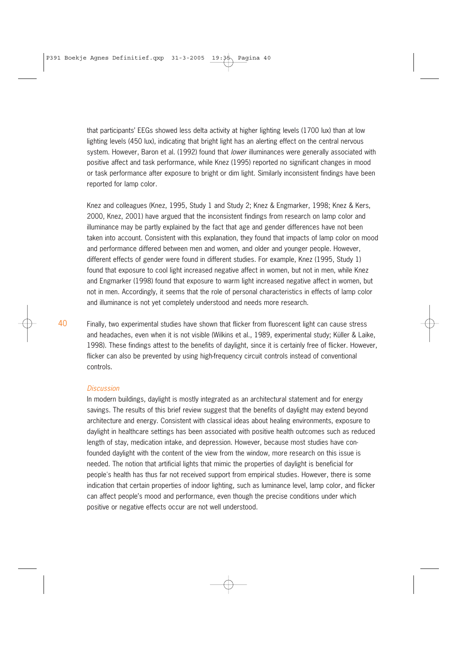that participants' EEGs showed less delta activity at higher lighting levels (1700 lux) than at low lighting levels (450 lux), indicating that bright light has an alerting effect on the central nervous system. However, Baron et al. (1992) found that *lower* illuminances were generally associated with positive affect and task performance, while Knez (1995) reported no significant changes in mood or task performance after exposure to bright or dim light. Similarly inconsistent findings have been reported for lamp color.

Knez and colleagues (Knez, 1995, Study 1 and Study 2; Knez & Engmarker, 1998; Knez & Kers, 2000, Knez, 2001) have argued that the inconsistent findings from research on lamp color and illuminance may be partly explained by the fact that age and gender differences have not been taken into account. Consistent with this explanation, they found that impacts of lamp color on mood and performance differed between men and women, and older and younger people. However, different effects of gender were found in different studies. For example, Knez (1995, Study 1) found that exposure to cool light increased negative affect in women, but not in men, while Knez and Engmarker (1998) found that exposure to warm light increased negative affect in women, but not in men. Accordingly, it seems that the role of personal characteristics in effects of lamp color and illuminance is not yet completely understood and needs more research.

Finally, two experimental studies have shown that flicker from fluorescent light can cause stress and headaches, even when it is not visible (Wilkins et al., 1989, experimental study; Küller & Laike, 1998). These findings attest to the benefits of daylight, since it is certainly free of flicker. However, flicker can also be prevented by using high-frequency circuit controls instead of conventional controls.

#### **Discussion**

In modern buildings, daylight is mostly integrated as an architectural statement and for energy savings. The results of this brief review suggest that the benefits of daylight may extend beyond architecture and energy. Consistent with classical ideas about healing environments, exposure to daylight in healthcare settings has been associated with positive health outcomes such as reduced length of stay, medication intake, and depression. However, because most studies have confounded daylight with the content of the view from the window, more research on this issue is needed. The notion that artificial lights that mimic the properties of daylight is beneficial for people's health has thus far not received support from empirical studies. However, there is some indication that certain properties of indoor lighting, such as luminance level, lamp color, and flicker can affect people's mood and performance, even though the precise conditions under which positive or negative effects occur are not well understood.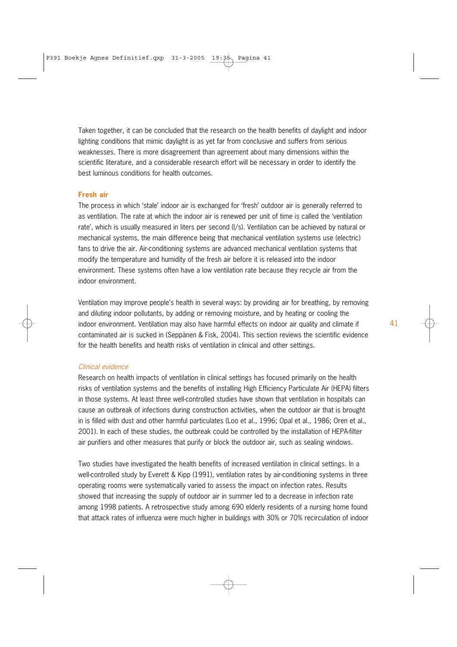Taken together, it can be concluded that the research on the health benefits of daylight and indoor lighting conditions that mimic daylight is as yet far from conclusive and suffers from serious weaknesses. There is more disagreement than agreement about many dimensions within the scientific literature, and a considerable research effort will be necessary in order to identify the best luminous conditions for health outcomes.

#### **Fresh air**

The process in which 'stale' indoor air is exchanged for 'fresh' outdoor air is generally referred to as ventilation. The rate at which the indoor air is renewed per unit of time is called the 'ventilation rate', which is usually measured in liters per second (l/s). Ventilation can be achieved by natural or mechanical systems, the main difference being that mechanical ventilation systems use (electric) fans to drive the air. Air-conditioning systems are advanced mechanical ventilation systems that modify the temperature and humidity of the fresh air before it is released into the indoor environment. These systems often have a low ventilation rate because they recycle air from the indoor environment.

Ventilation may improve people's health in several ways: by providing air for breathing, by removing and diluting indoor pollutants, by adding or removing moisture, and by heating or cooling the indoor environment. Ventilation may also have harmful effects on indoor air quality and climate if contaminated air is sucked in (Seppänen & Fisk, 2004). This section reviews the scientific evidence for the health benefits and health risks of ventilation in clinical and other settings.

#### Clinical evidence

Research on health impacts of ventilation in clinical settings has focused primarily on the health risks of ventilation systems and the benefits of installing High Efficiency Particulate Air (HEPA) filters in those systems. At least three well-controlled studies have shown that ventilation in hospitals can cause an outbreak of infections during construction activities, when the outdoor air that is brought in is filled with dust and other harmful particulates (Loo et al., 1996; Opal et al., 1986; Oren et al., 2001). In each of these studies, the outbreak could be controlled by the installation of HEPA-filter air purifiers and other measures that purify or block the outdoor air, such as sealing windows.

Two studies have investigated the health benefits of increased ventilation in clinical settings. In a well-controlled study by Everett & Kipp (1991), ventilation rates by air-conditioning systems in three operating rooms were systematically varied to assess the impact on infection rates. Results showed that increasing the supply of outdoor air in summer led to a decrease in infection rate among 1998 patients. A retrospective study among 690 elderly residents of a nursing home found that attack rates of influenza were much higher in buildings with 30% or 70% recirculation of indoor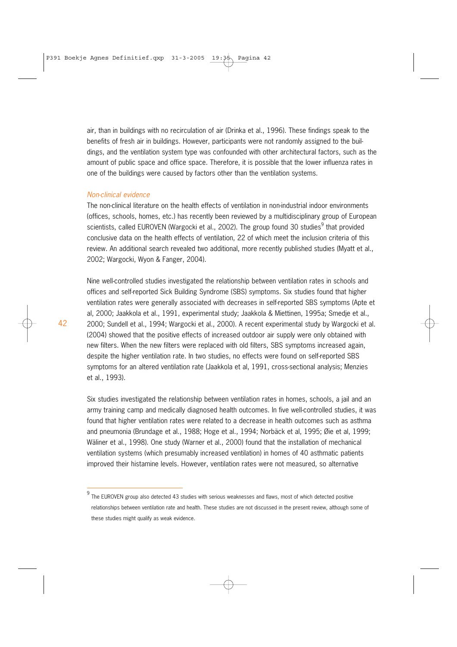air, than in buildings with no recirculation of air (Drinka et al., 1996). These findings speak to the benefits of fresh air in buildings. However, participants were not randomly assigned to the buildings, and the ventilation system type was confounded with other architectural factors, such as the amount of public space and office space. Therefore, it is possible that the lower influenza rates in one of the buildings were caused by factors other than the ventilation systems.

#### Non-clinical evidence

The non-clinical literature on the health effects of ventilation in non-industrial indoor environments (offices, schools, homes, etc.) has recently been reviewed by a multidisciplinary group of European scientists, called EUROVEN (Wargocki et al., 2002). The group found 30 studies<sup>9</sup> that provided conclusive data on the health effects of ventilation, 22 of which meet the inclusion criteria of this review. An additional search revealed two additional, more recently published studies (Myatt et al., 2002; Wargocki, Wyon & Fanger, 2004).

Nine well-controlled studies investigated the relationship between ventilation rates in schools and offices and self-reported Sick Building Syndrome (SBS) symptoms. Six studies found that higher ventilation rates were generally associated with decreases in self-reported SBS symptoms (Apte et al, 2000; Jaakkola et al., 1991, experimental study; Jaakkola & Miettinen, 1995a; Smedje et al., 2000; Sundell et al., 1994; Wargocki et al., 2000). A recent experimental study by Wargocki et al. (2004) showed that the positive effects of increased outdoor air supply were only obtained with new filters. When the new filters were replaced with old filters, SBS symptoms increased again, despite the higher ventilation rate. In two studies, no effects were found on self-reported SBS symptoms for an altered ventilation rate (Jaakkola et al, 1991, cross-sectional analysis; Menzies et al., 1993).

Six studies investigated the relationship between ventilation rates in homes, schools, a jail and an army training camp and medically diagnosed health outcomes. In five well-controlled studies, it was found that higher ventilation rates were related to a decrease in health outcomes such as asthma and pneumonia (Brundage et al., 1988; Hoge et al., 1994; Norbäck et al, 1995; Øie et al, 1999; Wäliner et al., 1998). One study (Warner et al., 2000) found that the installation of mechanical ventilation systems (which presumably increased ventilation) in homes of 40 asthmatic patients improved their histamine levels. However, ventilation rates were not measured, so alternative

The EUROVEN group also detected 43 studies with serious weaknesses and flaws, most of which detected positive relationships between ventilation rate and health. These studies are not discussed in the present review, although some of these studies might qualify as weak evidence.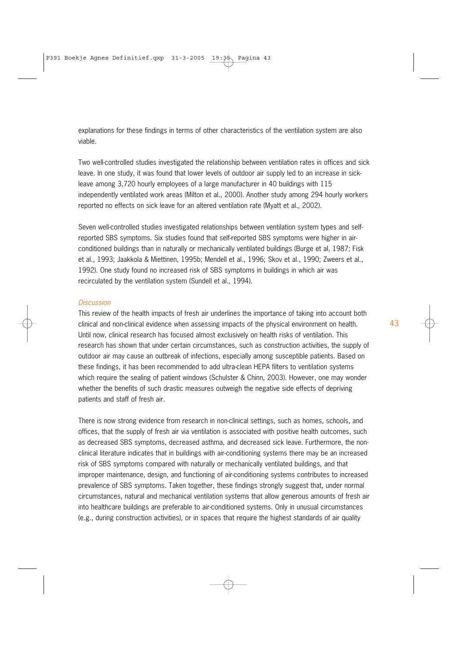explanations for these findings in terms of other characteristics of the ventilation system are also viable.

Two well-controlled studies investigated the relationship between ventilation rates in offices and sick leave. In one study, it was found that lower levels of outdoor air supply led to an increase in sickleave among 3,720 hourly employees of a large manufacturer in 40 buildings with 115 independently ventilated work areas (Milton et al., 2000). Another study among 294 hourly workers reported no effects on sick leave for an altered ventilation rate (Myatt et al., 2002).

Seven well-controlled studies investigated relationships between ventilation system types and selfreported SBS symptoms. Six studies found that self-reported SBS symptoms were higher in airconditioned buildings than in naturally or mechanically ventilated buildings (Burge et al, 1987; Fisk et al., 1993; Jaakkola & Miettinen, 1995b; Mendell et al., 1996; Skov et al., 1990; Zweers et al., 1992). One study found no increased risk of SBS symptoms in buildings in which air was recirculated by the ventilation system (Sundell et al., 1994).

#### **Discussion**

This review of the health impacts of fresh air underlines the importance of taking into account both clinical and non-clinical evidence when assessing impacts of the physical environment on health. Until now, clinical research has focused almost exclusively on health risks of ventilation. This research has shown that under certain circumstances, such as construction activities, the supply of outdoor air may cause an outbreak of infections, especially among susceptible patients. Based on these findings, it has been recommended to add ultra-clean HEPA filters to ventilation systems which require the sealing of patient windows (Schulster & Chinn, 2003). However, one may wonder whether the benefits of such drastic measures outweigh the negative side effects of depriving patients and staff of fresh air.

There is now strong evidence from research in non-clinical settings, such as homes, schools, and offices, that the supply of fresh air via ventilation is associated with positive health outcomes, such as decreased SBS symptoms, decreased asthma, and decreased sick leave. Furthermore, the nonclinical literature indicates that in buildings with air-conditioning systems there may be an increased risk of SBS symptoms compared with naturally or mechanically ventilated buildings, and that improper maintenance, design, and functioning of air-conditioning systems contributes to increased prevalence of SBS symptoms. Taken together, these findings strongly suggest that, under normal circumstances, natural and mechanical ventilation systems that allow generous amounts of fresh air into healthcare buildings are preferable to air-conditioned systems. Only in unusual circumstances (e.g., during construction activities), or in spaces that require the highest standards of air quality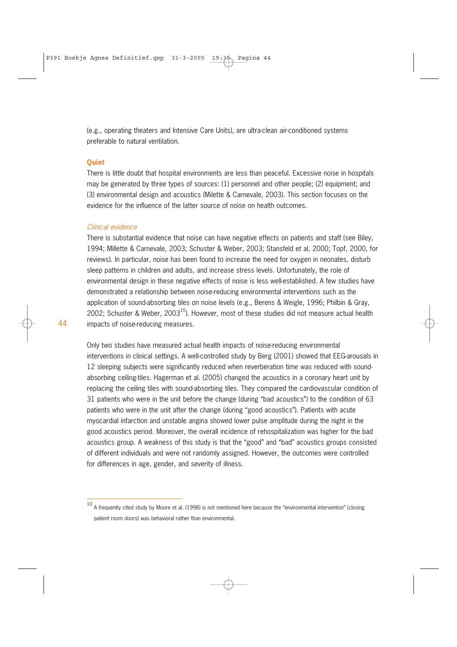(e.g., operating theaters and Intensive Care Units), are ultra-clean air-conditioned systems preferable to natural ventilation.

#### **Quiet**

There is little doubt that hospital environments are less than peaceful. Excessive noise in hospitals may be generated by three types of sources: (1) personnel and other people; (2) equipment; and (3) environmental design and acoustics (Milette & Carnevale, 2003). This section focuses on the evidence for the influence of the latter source of noise on health outcomes.

#### Clinical evidence

There is substantial evidence that noise can have negative effects on patients and staff (see Biley, 1994; Millette & Carnevale, 2003; Schuster & Weber, 2003; Stansfeld et al, 2000; Topf, 2000, for reviews). In particular, noise has been found to increase the need for oxygen in neonates, disturb sleep patterns in children and adults, and increase stress levels. Unfortunately, the role of environmental design in these negative effects of noise is less well-established. A few studies have demonstrated a relationship between noise-reducing environmental interventions such as the application of sound-absorbing tiles on noise levels (e.g., Berens & Weigle, 1996; Philbin & Gray, 2002; Schuster & Weber, 2003 $^{10}$ ). However, most of these studies did not measure actual health impacts of noise-reducing measures.

Only two studies have measured actual health impacts of noise-reducing environmental interventions in clinical settings. A well-controlled study by Berg (2001) showed that EEG-arousals in 12 sleeping subjects were significantly reduced when reverberation time was reduced with soundabsorbing ceiling-tiles. Hagerman et al. (2005) changed the acoustics in a coronary heart unit by replacing the ceiling tiles with sound-absorbing tiles. They compared the cardiovascular condition of 31 patients who were in the unit before the change (during "bad acoustics") to the condition of 63 patients who were in the unit after the change (during "good acoustics"). Patients with acute myocardial infarction and unstable angina showed lower pulse amplitude during the night in the good acoustics period. Moreover, the overall incidence of rehospitalization was higher for the bad acoustics group. A weakness of this study is that the "good" and "bad" acoustics groups consisted of different individuals and were not randomly assigned. However, the outcomes were controlled for differences in age, gender, and severity of illness.

 $10$  A frequently cited study by Moore et al. (1998) is not mentioned here because the "environmental intervention" (closing patient room doors) was behavioral rather than environmental.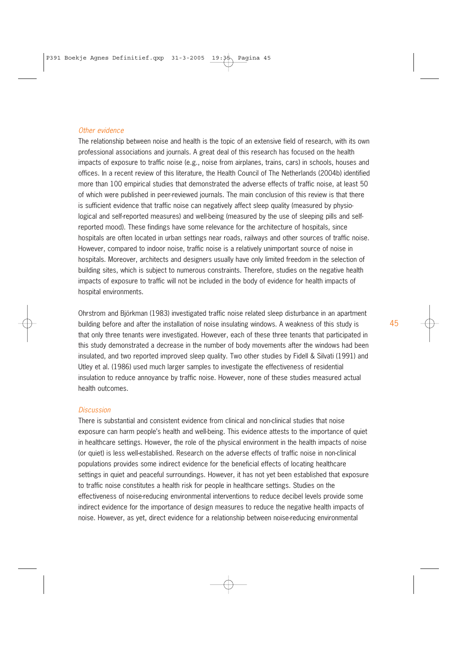#### Other evidence

The relationship between noise and health is the topic of an extensive field of research, with its own professional associations and journals. A great deal of this research has focused on the health impacts of exposure to traffic noise (e.g., noise from airplanes, trains, cars) in schools, houses and offices. In a recent review of this literature, the Health Council of The Netherlands (2004b) identified more than 100 empirical studies that demonstrated the adverse effects of traffic noise, at least 50 of which were published in peer-reviewed journals. The main conclusion of this review is that there is sufficient evidence that traffic noise can negatively affect sleep quality (measured by physiological and self-reported measures) and well-being (measured by the use of sleeping pills and selfreported mood). These findings have some relevance for the architecture of hospitals, since hospitals are often located in urban settings near roads, railways and other sources of traffic noise. However, compared to indoor noise, traffic noise is a relatively unimportant source of noise in hospitals. Moreover, architects and designers usually have only limited freedom in the selection of building sites, which is subject to numerous constraints. Therefore, studies on the negative health impacts of exposure to traffic will not be included in the body of evidence for health impacts of hospital environments.

Ohrstrom and Björkman (1983) investigated traffic noise related sleep disturbance in an apartment building before and after the installation of noise insulating windows. A weakness of this study is that only three tenants were investigated. However, each of these three tenants that participated in this study demonstrated a decrease in the number of body movements after the windows had been insulated, and two reported improved sleep quality. Two other studies by Fidell & Silvati (1991) and Utley et al. (1986) used much larger samples to investigate the effectiveness of residential insulation to reduce annoyance by traffic noise. However, none of these studies measured actual health outcomes.

### **Discussion**

There is substantial and consistent evidence from clinical and non-clinical studies that noise exposure can harm people's health and well-being. This evidence attests to the importance of quiet in healthcare settings. However, the role of the physical environment in the health impacts of noise (or quiet) is less well-established. Research on the adverse effects of traffic noise in non-clinical populations provides some indirect evidence for the beneficial effects of locating healthcare settings in quiet and peaceful surroundings. However, it has not yet been established that exposure to traffic noise constitutes a health risk for people in healthcare settings. Studies on the effectiveness of noise-reducing environmental interventions to reduce decibel levels provide some indirect evidence for the importance of design measures to reduce the negative health impacts of noise. However, as yet, direct evidence for a relationship between noise-reducing environmental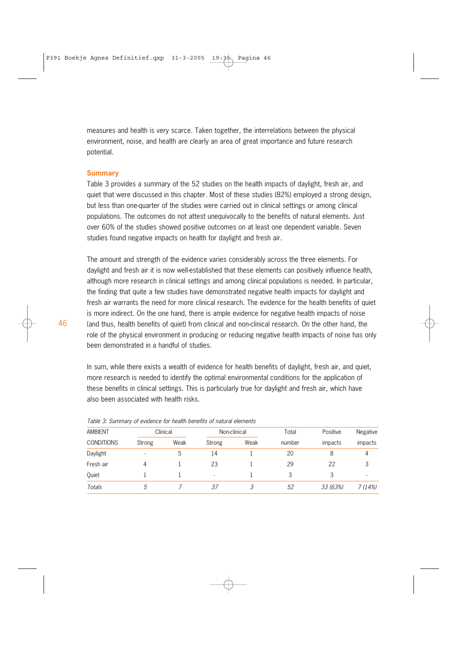measures and health is very scarce. Taken together, the interrelations between the physical environment, noise, and health are clearly an area of great importance and future research potential.

#### **Summary**

Table 3 provides a summary of the 52 studies on the health impacts of daylight, fresh air, and quiet that were discussed in this chapter. Most of these studies (82%) employed a strong design, but less than one-quarter of the studies were carried out in clinical settings or among clinical populations. The outcomes do not attest unequivocally to the benefits of natural elements. Just over 60% of the studies showed positive outcomes on at least one dependent variable. Seven studies found negative impacts on health for daylight and fresh air.

The amount and strength of the evidence varies considerably across the three elements. For daylight and fresh air it is now well-established that these elements can positively influence health, although more research in clinical settings and among clinical populations is needed. In particular, the finding that quite a few studies have demonstrated negative health impacts for daylight and fresh air warrants the need for more clinical research. The evidence for the health benefits of quiet is more indirect. On the one hand, there is ample evidence for negative health impacts of noise (and thus, health benefits of quiet) from clinical and non-clinical research. On the other hand, the role of the physical environment in producing or reducing negative health impacts of noise has only been demonstrated in a handful of studies.

In sum, while there exists a wealth of evidence for health benefits of daylight, fresh air, and quiet, more research is needed to identify the optimal environmental conditions for the application of these benefits in clinical settings. This is particularly true for daylight and fresh air, which have also been associated with health risks.

| <b>AMBIENT</b><br><b>CONDITIONS</b> | Clinical                 |      | Non-clinical |      | Total  | Positive | Negative |
|-------------------------------------|--------------------------|------|--------------|------|--------|----------|----------|
|                                     | Strong                   | Weak | Strong       | Weak | number | impacts  | impacts  |
| Daylight                            | $\overline{\phantom{0}}$ | 5    | 14           |      | 20     | 8        | 4        |
| Fresh air                           | 4                        |      | 23           |      | 29     | 22       | 3        |
| Quiet                               |                          |      | ٠            |      | 3      | 3        |          |
| Totals                              | 5                        |      | 37           | 3    | 52     | 33 (63%) | 7 (14%)  |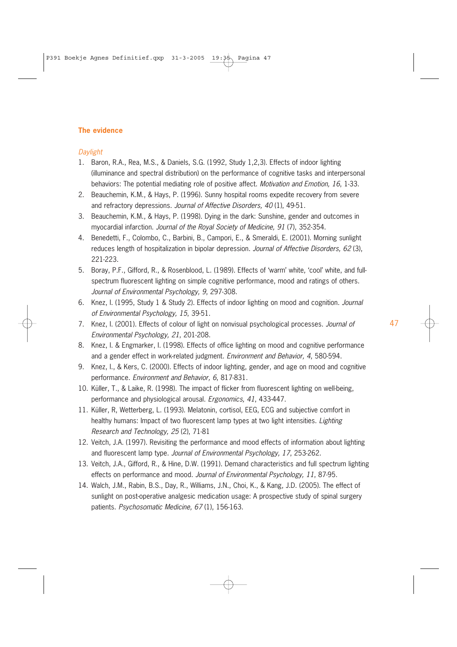## **The evidence**

#### Daylight

- 1. Baron, R.A., Rea, M.S., & Daniels, S.G. (1992, Study 1,2,3). Effects of indoor lighting (illuminance and spectral distribution) on the performance of cognitive tasks and interpersonal behaviors: The potential mediating role of positive affect. Motivation and Emotion, 16, 1-33.
- 2. Beauchemin, K.M., & Hays, P. (1996). Sunny hospital rooms expedite recovery from severe and refractory depressions. Journal of Affective Disorders, 40 (1), 49-51.
- 3. Beauchemin, K.M., & Hays, P. (1998). Dying in the dark: Sunshine, gender and outcomes in myocardial infarction. Journal of the Royal Society of Medicine, 91 (7), 352-354.
- 4. Benedetti, F., Colombo, C., Barbini, B., Campori, E., & Smeraldi, E. (2001). Morning sunlight reduces length of hospitalization in bipolar depression. Journal of Affective Disorders, 62 (3), 221-223.
- 5. Boray, P.F., Gifford, R., & Rosenblood, L. (1989). Effects of 'warm' white, 'cool' white, and fullspectrum fluorescent lighting on simple cognitive performance, mood and ratings of others. Journal of Environmental Psychology, 9, 297-308.
- 6. Knez, I. (1995, Study 1 & Study 2). Effects of indoor lighting on mood and cognition. Journal of Environmental Psychology, 15, 39-51.
- 7. Knez, I. (2001). Effects of colour of light on nonvisual psychological processes. Journal of Environmental Psychology, 21, 201-208.
- 8. Knez, I. & Engmarker, I. (1998). Effects of office lighting on mood and cognitive performance and a gender effect in work-related judgment. Environment and Behavior, 4, 580-594.
- 9. Knez, I., & Kers, C. (2000). Effects of indoor lighting, gender, and age on mood and cognitive performance. Environment and Behavior, 6, 817-831.
- 10. Küller, T., & Laike, R. (1998). The impact of flicker from fluorescent lighting on well-being, performance and physiological arousal. Ergonomics, 41, 433-447.
- 11. Küller, R, Wetterberg, L. (1993). Melatonin, cortisol, EEG, ECG and subjective comfort in healthy humans: Impact of two fluorescent lamp types at two light intensities. Lighting Research and Technology, 25 (2), 71-81
- 12. Veitch, J.A. (1997). Revisiting the performance and mood effects of information about lighting and fluorescent lamp type. Journal of Environmental Psychology, 17, 253-262.
- 13. Veitch, J.A., Gifford, R., & Hine, D.W. (1991). Demand characteristics and full spectrum lighting effects on performance and mood. Journal of Environmental Psychology, 11, 87-95.
- 14. Walch, J.M., Rabin, B.S., Day, R., Williams, J.N., Choi, K., & Kang, J.D. (2005). The effect of sunlight on post-operative analgesic medication usage: A prospective study of spinal surgery patients. Psychosomatic Medicine, 67 (1), 156-163.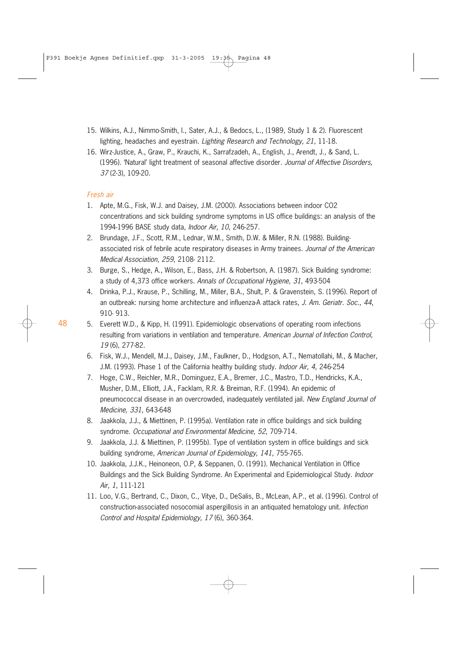- 15. Wilkins, A.J., Nimmo-Smith, I., Sater, A.J., & Bedocs, L., (1989, Study 1 & 2). Fluorescent lighting, headaches and eyestrain. Lighting Research and Technology, 21, 11-18.
- 16. Wirz-Justice, A., Graw, P., Krauchi, K., Sarrafzadeh, A., English, J., Arendt, J., & Sand, L. (1996). 'Natural' light treatment of seasonal affective disorder. Journal of Affective Disorders, 37 (2-3), 109-20.

## Fresh air

- 1. Apte, M.G., Fisk, W.J. and Daisey, J.M. (2000). Associations between indoor CO2 concentrations and sick building syndrome symptoms in US office buildings: an analysis of the 1994-1996 BASE study data, Indoor Air, 10, 246-257.
- 2. Brundage, J.F., Scott, R.M., Lednar, W.M., Smith, D.W. & Miller, R.N. (1988). Buildingassociated risk of febrile acute respiratory diseases in Army trainees. Journal of the American Medical Association, 259, 2108- 2112.
- 3. Burge, S., Hedge, A., Wilson, E., Bass, J.H. & Robertson, A. (1987). Sick Building syndrome: a study of 4,373 office workers. Annals of Occupational Hygiene, 31, 493-504
- 4. Drinka, P.J., Krause, P., Schilling, M., Miller, B.A., Shult, P. & Gravenstein, S. (1996). Report of an outbreak: nursing home architecture and influenza-A attack rates, J. Am. Geriatr. Soc., 44, 910- 913.
- 5. Everett W.D., & Kipp, H. (1991). Epidemiologic observations of operating room infections resulting from variations in ventilation and temperature. American Journal of Infection Control,
	- 19 (6), 277-82. 6. Fisk, W.J., Mendell, M.J., Daisey, J.M., Faulkner, D., Hodgson, A.T., Nematollahi, M., & Macher,
	- J.M. (1993). Phase 1 of the California healthy building study. *Indoor Air*, 4, 246-254
	- 7. Hoge, C.W., Reichler, M.R., Dominguez, E.A., Bremer, J.C., Mastro, T.D., Hendricks, K.A., Musher, D.M., Elliott, J.A., Facklam, R.R. & Breiman, R.F. (1994). An epidemic of pneumococcal disease in an overcrowded, inadequately ventilated jail. New England Journal of Medicine, 331, 643-648
	- 8. Jaakkola, J.J., & Miettinen, P. (1995a). Ventilation rate in office buildings and sick building syndrome. Occupational and Environmental Medicine, 52, 709-714.
	- 9. Jaakkola, J.J. & Miettinen, P. (1995b). Type of ventilation system in office buildings and sick building syndrome, American Journal of Epidemiology, 141, 755-765.
	- 10. Jaakkola, J.J.K., Heinoneon, O.P, & Seppanen, O. (1991). Mechanical Ventilation in Office Buildings and the Sick Building Syndrome. An Experimental and Epidemiological Study. Indoor Air, 1, 111-121
	- 11. Loo, V.G., Bertrand, C., Dixon, C., Vitye, D., DeSalis, B., McLean, A.P., et al. (1996). Control of construction-associated nosocomial aspergillosis in an antiquated hematology unit. Infection Control and Hospital Epidemiology, 17 (6), 360-364.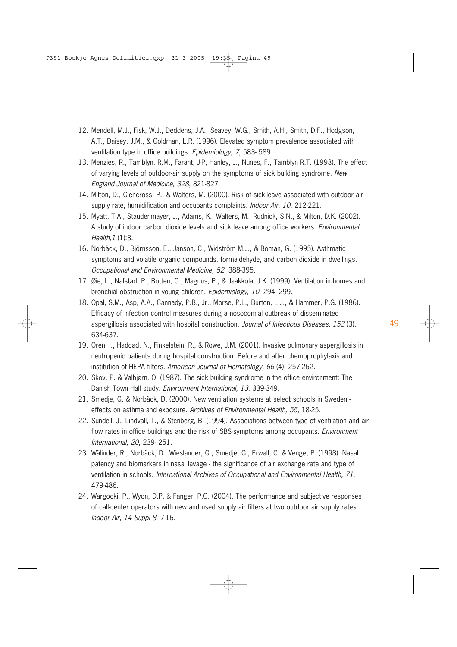- 12. Mendell, M.J., Fisk, W.J., Deddens, J.A., Seavey, W.G., Smith, A.H., Smith, D.F., Hodgson, A.T., Daisey, J.M., & Goldman, L.R. (1996). Elevated symptom prevalence associated with ventilation type in office buildings. Epidemiology, 7, 583- 589.
- 13. Menzies, R., Tamblyn, R.M., Farant, J-P, Hanley, J., Nunes, F., Tamblyn R.T. (1993). The effect of varying levels of outdoor-air supply on the symptoms of sick building syndrome. New England Journal of Medicine, 328, 821-827
- 14. Milton, D., Glencross, P., & Walters, M. (2000). Risk of sick-leave associated with outdoor air supply rate, humidification and occupants complaints. Indoor Air, 10, 212-221.
- 15. Myatt, T.A., Staudenmayer, J., Adams, K., Walters, M., Rudnick, S.N., & Milton, D.K. (2002). A study of indoor carbon dioxide levels and sick leave among office workers. Environmental Health,1 (1):3.
- 16. Norbäck, D., Björnsson, E., Janson, C., Widström M.J., & Boman, G. (1995). Asthmatic symptoms and volatile organic compounds, formaldehyde, and carbon dioxide in dwellings. Occupational and Environmental Medicine, 52, 388-395.
- 17. Øie, L., Nafstad, P., Botten, G., Magnus, P., & Jaakkola, J.K. (1999). Ventilation in homes and bronchial obstruction in young children. Epidemiology, 10, 294- 299.
- 18. Opal, S.M., Asp, A.A., Cannady, P.B., Jr., Morse, P.L., Burton, L.J., & Hammer, P.G. (1986). Efficacy of infection control measures during a nosocomial outbreak of disseminated aspergillosis associated with hospital construction. Journal of Infectious Diseases. 153(3). 634-637.
- 19. Oren, I., Haddad, N., Finkelstein, R., & Rowe, J.M. (2001). Invasive pulmonary aspergillosis in neutropenic patients during hospital construction: Before and after chemoprophylaxis and institution of HEPA filters. American Journal of Hematology, 66 (4), 257-262.
- 20. Skov, P. & Valbjørn, O. (1987). The sick building syndrome in the office environment: The Danish Town Hall study. Environment International, 13, 339-349.
- 21. Smedje, G. & Norbäck, D. (2000). New ventilation systems at select schools in Sweden effects on asthma and exposure. Archives of Environmental Health, 55, 18-25.
- 22. Sundell, J., Lindvall, T., & Stenberg, B. (1994). Associations between type of ventilation and air flow rates in office buildings and the risk of SBS-symptoms among occupants. *Environment* International, 20, 239- 251.
- 23. Wälinder, R., Norbäck, D., Wieslander, G., Smedje, G., Erwall, C. & Venge, P. (1998). Nasal patency and biomarkers in nasal lavage - the significance of air exchange rate and type of ventilation in schools. International Archives of Occupational and Environmental Health, 71, 479-486.
- 24. Wargocki, P., Wyon, D.P. & Fanger, P.O. (2004). The performance and subjective responses of call-center operators with new and used supply air filters at two outdoor air supply rates. Indoor Air, 14 Suppl 8, 7-16.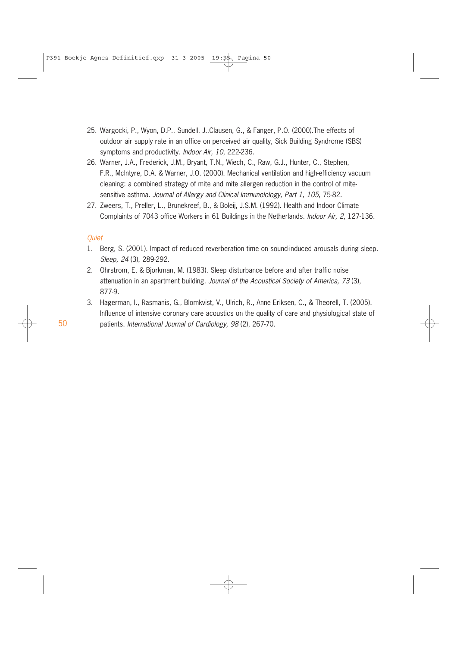- 25. Wargocki, P., Wyon, D.P., Sundell, J.,Clausen, G., & Fanger, P.O. (2000).The effects of outdoor air supply rate in an office on perceived air quality, Sick Building Syndrome (SBS) symptoms and productivity. Indoor Air, 10, 222-236.
- 26. Warner, J.A., Frederick, J.M., Bryant, T.N., Wiech, C., Raw, G.J., Hunter, C., Stephen, F.R., McIntyre, D.A. & Warner, J.O. (2000). Mechanical ventilation and high-efficiency vacuum cleaning: a combined strategy of mite and mite allergen reduction in the control of mitesensitive asthma. Journal of Allergy and Clinical Immunolology, Part 1, 105, 75-82.
- 27. Zweers, T., Preller, L., Brunekreef, B., & Boleij, J.S.M. (1992). Health and Indoor Climate Complaints of 7043 office Workers in 61 Buildings in the Netherlands. Indoor Air, 2, 127-136.

#### **Ouiet**

- 1. Berg, S. (2001). Impact of reduced reverberation time on sound-induced arousals during sleep. Sleep, 24 (3), 289-292.
- 2. Ohrstrom, E. & Bjorkman, M. (1983). Sleep disturbance before and after traffic noise attenuation in an apartment building. Journal of the Acoustical Society of America, 73 (3), 877-9.
- 3. Hagerman, I., Rasmanis, G., Blomkvist, V., Ulrich, R., Anne Eriksen, C., & Theorell, T. (2005). Influence of intensive coronary care acoustics on the quality of care and physiological state of 50 patients. International Journal of Cardiology, 98 (2), 267-70.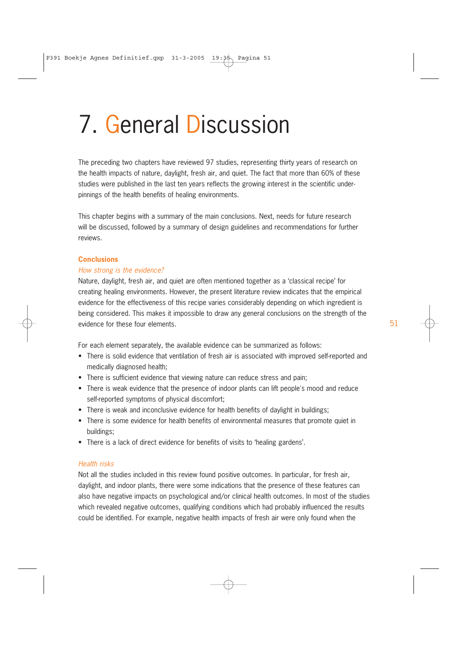# 7. General Discussion

The preceding two chapters have reviewed 97 studies, representing thirty years of research on the health impacts of nature, daylight, fresh air, and quiet. The fact that more than 60% of these studies were published in the last ten years reflects the growing interest in the scientific underpinnings of the health benefits of healing environments.

This chapter begins with a summary of the main conclusions. Next, needs for future research will be discussed, followed by a summary of design guidelines and recommendations for further reviews.

### **Conclusions**

#### How strong is the evidence?

Nature, daylight, fresh air, and quiet are often mentioned together as a 'classical recipe' for creating healing environments. However, the present literature review indicates that the empirical evidence for the effectiveness of this recipe varies considerably depending on which ingredient is being considered. This makes it impossible to draw any general conclusions on the strength of the evidence for these four elements.

For each element separately, the available evidence can be summarized as follows:

- There is solid evidence that ventilation of fresh air is associated with improved self-reported and medically diagnosed health;
- There is sufficient evidence that viewing nature can reduce stress and pain;
- There is weak evidence that the presence of indoor plants can lift people's mood and reduce self-reported symptoms of physical discomfort;
- There is weak and inconclusive evidence for health benefits of daylight in buildings;
- There is some evidence for health benefits of environmental measures that promote quiet in buildings;
- There is a lack of direct evidence for benefits of visits to 'healing gardens'.

#### Health risks

Not all the studies included in this review found positive outcomes. In particular, for fresh air, daylight, and indoor plants, there were some indications that the presence of these features can also have negative impacts on psychological and/or clinical health outcomes. In most of the studies which revealed negative outcomes, qualifying conditions which had probably influenced the results could be identified. For example, negative health impacts of fresh air were only found when the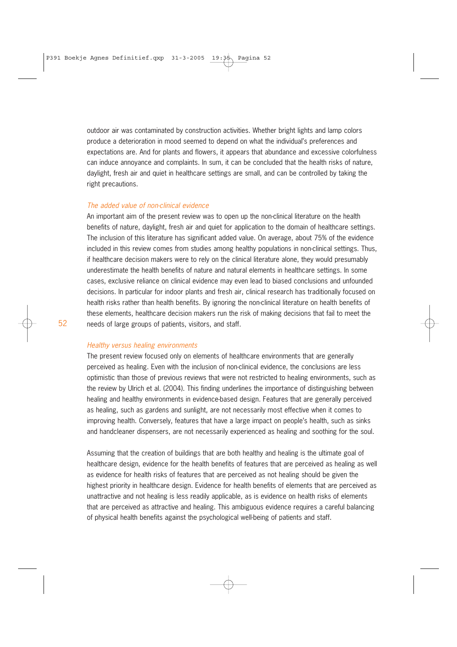outdoor air was contaminated by construction activities. Whether bright lights and lamp colors produce a deterioration in mood seemed to depend on what the individual's preferences and expectations are. And for plants and flowers, it appears that abundance and excessive colorfulness can induce annoyance and complaints. In sum, it can be concluded that the health risks of nature, daylight, fresh air and quiet in healthcare settings are small, and can be controlled by taking the right precautions.

#### The added value of non-clinical evidence

An important aim of the present review was to open up the non-clinical literature on the health benefits of nature, daylight, fresh air and quiet for application to the domain of healthcare settings. The inclusion of this literature has significant added value. On average, about 75% of the evidence included in this review comes from studies among healthy populations in non-clinical settings. Thus, if healthcare decision makers were to rely on the clinical literature alone, they would presumably underestimate the health benefits of nature and natural elements in healthcare settings. In some cases, exclusive reliance on clinical evidence may even lead to biased conclusions and unfounded decisions. In particular for indoor plants and fresh air, clinical research has traditionally focused on health risks rather than health benefits. By ignoring the non-clinical literature on health benefits of these elements, healthcare decision makers run the risk of making decisions that fail to meet the needs of large groups of patients, visitors, and staff.

#### Healthy versus healing environments

The present review focused only on elements of healthcare environments that are generally perceived as healing. Even with the inclusion of non-clinical evidence, the conclusions are less optimistic than those of previous reviews that were not restricted to healing environments, such as the review by Ulrich et al. (2004). This finding underlines the importance of distinguishing between healing and healthy environments in evidence-based design. Features that are generally perceived as healing, such as gardens and sunlight, are not necessarily most effective when it comes to improving health. Conversely, features that have a large impact on people's health, such as sinks and handcleaner dispensers, are not necessarily experienced as healing and soothing for the soul.

Assuming that the creation of buildings that are both healthy and healing is the ultimate goal of healthcare design, evidence for the health benefits of features that are perceived as healing as well as evidence for health risks of features that are perceived as not healing should be given the highest priority in healthcare design. Evidence for health benefits of elements that are perceived as unattractive and not healing is less readily applicable, as is evidence on health risks of elements that are perceived as attractive and healing. This ambiguous evidence requires a careful balancing of physical health benefits against the psychological well-being of patients and staff.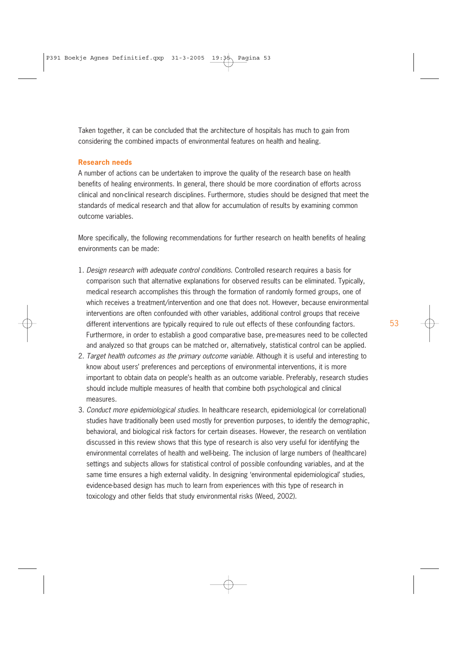Taken together, it can be concluded that the architecture of hospitals has much to gain from considering the combined impacts of environmental features on health and healing.

#### **Research needs**

A number of actions can be undertaken to improve the quality of the research base on health benefits of healing environments. In general, there should be more coordination of efforts across clinical and non-clinical research disciplines. Furthermore, studies should be designed that meet the standards of medical research and that allow for accumulation of results by examining common outcome variables.

More specifically, the following recommendations for further research on health benefits of healing environments can be made:

- 1. Design research with adequate control conditions. Controlled research requires a basis for comparison such that alternative explanations for observed results can be eliminated. Typically, medical research accomplishes this through the formation of randomly formed groups, one of which receives a treatment/intervention and one that does not. However, because environmental interventions are often confounded with other variables, additional control groups that receive different interventions are typically required to rule out effects of these confounding factors. Furthermore, in order to establish a good comparative base, pre-measures need to be collected and analyzed so that groups can be matched or, alternatively, statistical control can be applied.
- 2. Target health outcomes as the primary outcome variable. Although it is useful and interesting to know about users' preferences and perceptions of environmental interventions, it is more important to obtain data on people's health as an outcome variable. Preferably, research studies should include multiple measures of health that combine both psychological and clinical measures.
- 3. Conduct more epidemiological studies. In healthcare research, epidemiological (or correlational) studies have traditionally been used mostly for prevention purposes, to identify the demographic, behavioral, and biological risk factors for certain diseases. However, the research on ventilation discussed in this review shows that this type of research is also very useful for identifying the environmental correlates of health and well-being. The inclusion of large numbers of (healthcare) settings and subjects allows for statistical control of possible confounding variables, and at the same time ensures a high external validity. In designing 'environmental epidemiological' studies, evidence-based design has much to learn from experiences with this type of research in toxicology and other fields that study environmental risks (Weed, 2002).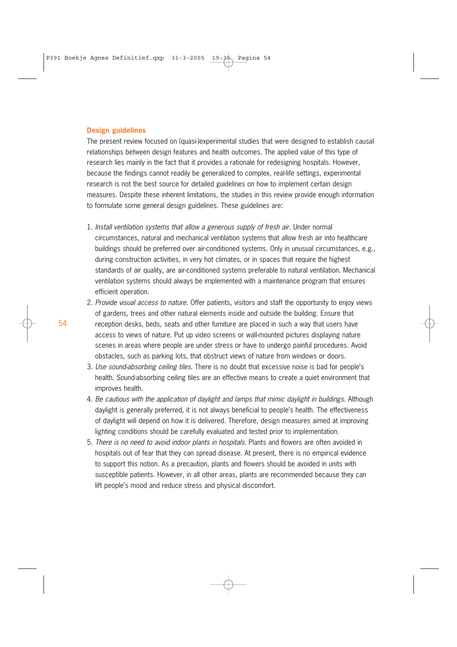#### **Design guidelines**

The present review focused on (quasi-)experimental studies that were designed to establish causal relationships between design features and health outcomes. The applied value of this type of research lies mainly in the fact that it provides a rationale for redesigning hospitals. However, because the findings cannot readily be generalized to complex, real-life settings, experimental research is not the best source for detailed guidelines on how to implement certain design measures. Despite these inherent limitations, the studies in this review provide enough information to formulate some general design guidelines. These guidelines are:

- 1. Install ventilation systems that allow a generous supply of fresh air. Under normal circumstances, natural and mechanical ventilation systems that allow fresh air into healthcare buildings should be preferred over air-conditioned systems. Only in unusual circumstances, e.g., during construction activities, in very hot climates, or in spaces that require the highest standards of air quality, are air-conditioned systems preferable to natural ventilation. Mechanical ventilation systems should always be implemented with a maintenance program that ensures efficient operation.
- 2. Provide visual access to nature. Offer patients, visitors and staff the opportunity to enjoy views of gardens, trees and other natural elements inside and outside the building. Ensure that reception desks, beds, seats and other furniture are placed in such a way that users have access to views of nature. Put up video screens or wall-mounted pictures displaying nature scenes in areas where people are under stress or have to undergo painful procedures. Avoid obstacles, such as parking lots, that obstruct views of nature from windows or doors.
- 3. Use sound-absorbing ceiling tiles. There is no doubt that excessive noise is bad for people's health. Sound-absorbing ceiling tiles are an effective means to create a quiet environment that improves health.
- 4. Be cautious with the application of daylight and lamps that mimic daylight in buildings. Although daylight is generally preferred, it is not always beneficial to people's health. The effectiveness of daylight will depend on how it is delivered. Therefore, design measures aimed at improving lighting conditions should be carefully evaluated and tested prior to implementation.
- 5. There is no need to avoid indoor plants in hospitals. Plants and flowers are often avoided in hospitals out of fear that they can spread disease. At present, there is no empirical evidence to support this notion. As a precaution, plants and flowers should be avoided in units with susceptible patients. However, in all other areas, plants are recommended because they can lift people's mood and reduce stress and physical discomfort.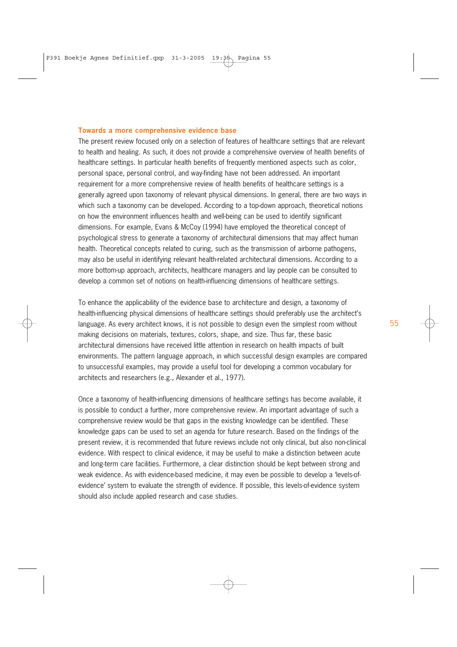#### **Towards a more comprehensive evidence base**

The present review focused only on a selection of features of healthcare settings that are relevant to health and healing. As such, it does not provide a comprehensive overview of health benefits of healthcare settings. In particular health benefits of frequently mentioned aspects such as color, personal space, personal control, and way-finding have not been addressed. An important requirement for a more comprehensive review of health benefits of healthcare settings is a generally agreed upon taxonomy of relevant physical dimensions. In general, there are two ways in which such a taxonomy can be developed. According to a top-down approach, theoretical notions on how the environment influences health and well-being can be used to identify significant dimensions. For example, Evans & McCoy (1994) have employed the theoretical concept of psychological stress to generate a taxonomy of architectural dimensions that may affect human health. Theoretical concepts related to curing, such as the transmission of airborne pathogens, may also be useful in identifying relevant health-related architectural dimensions. According to a more bottom-up approach, architects, healthcare managers and lay people can be consulted to develop a common set of notions on health-influencing dimensions of healthcare settings.

To enhance the applicability of the evidence base to architecture and design, a taxonomy of health-influencing physical dimensions of healthcare settings should preferably use the architect's language. As every architect knows, it is not possible to design even the simplest room without making decisions on materials, textures, colors, shape, and size. Thus far, these basic architectural dimensions have received little attention in research on health impacts of built environments. The pattern language approach, in which successful design examples are compared to unsuccessful examples, may provide a useful tool for developing a common vocabulary for architects and researchers (e.g., Alexander et al., 1977).

Once a taxonomy of health-influencing dimensions of healthcare settings has become available, it is possible to conduct a further, more comprehensive review. An important advantage of such a comprehensive review would be that gaps in the existing knowledge can be identified. These knowledge gaps can be used to set an agenda for future research. Based on the findings of the present review, it is recommended that future reviews include not only clinical, but also non-clinical evidence. With respect to clinical evidence, it may be useful to make a distinction between acute and long-term care facilities. Furthermore, a clear distinction should be kept between strong and weak evidence. As with evidence-based medicine, it may even be possible to develop a 'levels-ofevidence' system to evaluate the strength of evidence. If possible, this levels-of-evidence system should also include applied research and case studies.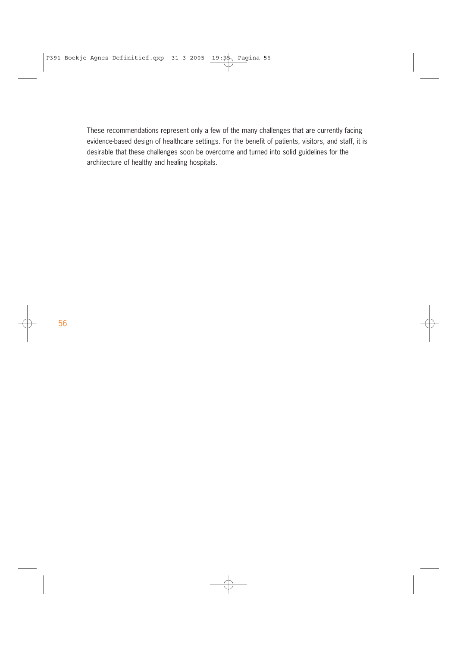These recommendations represent only a few of the many challenges that are currently facing evidence-based design of healthcare settings. For the benefit of patients, visitors, and staff, it is desirable that these challenges soon be overcome and turned into solid guidelines for the architecture of healthy and healing hospitals.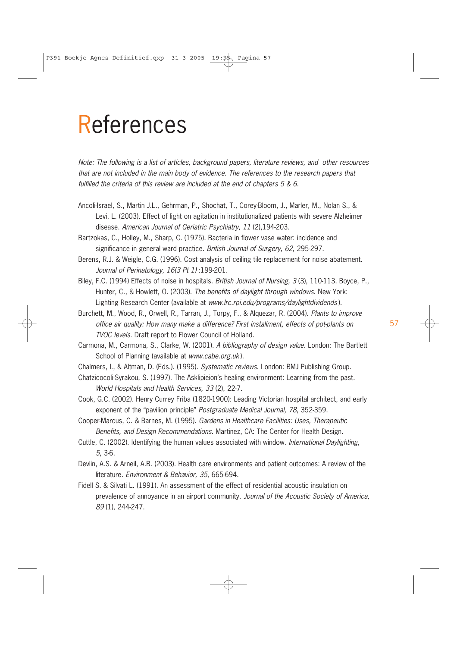## **References**

Note: The following is a list of articles, background papers, literature reviews, and other resources that are not included in the main body of evidence. The references to the research papers that fulfilled the criteria of this review are included at the end of chapters 5 & 6.

- Ancoli-Israel, S., Martin J.L., Gehrman, P., Shochat, T., Corey-Bloom, J., Marler, M., Nolan S., & Levi, L. (2003). Effect of light on agitation in institutionalized patients with severe Alzheimer disease. American Journal of Geriatric Psychiatry, 11 (2),194-203.
- Bartzokas, C., Holley, M., Sharp, C. (1975). Bacteria in flower vase water: incidence and significance in general ward practice. British Journal of Surgery, 62, 295-297.
- Berens, R.J. & Weigle, C.G. (1996). Cost analysis of ceiling tile replacement for noise abatement. Journal of Perinatology, 16(3 Pt 1) :199-201.
- Biley, F.C. (1994) Effects of noise in hospitals. British Journal of Nursing, 3 (3), 110-113. Boyce, P., Hunter, C., & Howlett, O. (2003). The benefits of daylight through windows. New York: Lighting Research Center (available at www.lrc.rpi.edu/programs/daylightdividends).
- Burchett, M., Wood, R., Orwell, R., Tarran, J., Torpy, F., & Alquezar, R. (2004). Plants to improve office air quality: How many make a difference? First installment, effects of pot-plants on TVOC levels. Draft report to Flower Council of Holland.
- Carmona, M., Carmona, S., Clarke, W. (2001). A bibliography of design value. London: The Bartlett School of Planning (available at www.cabe.org.uk).
- Chalmers, I., & Altman, D. (Eds.). (1995). Systematic reviews. London: BMJ Publishing Group.
- Chatzicocoli-Syrakou, S. (1997). The Asklipieion's healing environment: Learning from the past. World Hospitals and Health Services, 33 (2), 22-7.
- Cook, G.C. (2002). Henry Currey Friba (1820-1900): Leading Victorian hospital architect, and early exponent of the "pavilion principle" Postgraduate Medical Journal, 78, 352-359.
- Cooper-Marcus, C. & Barnes, M. (1995). Gardens in Healthcare Facilities: Uses, Therapeutic Benefits, and Design Recommendations. Martinez, CA: The Center for Health Design.
- Cuttle, C. (2002). Identifying the human values associated with window. International Daylighting, 5, 3-6.
- Devlin, A.S. & Arneil, A.B. (2003). Health care environments and patient outcomes: A review of the literature. Environment & Behavior, 35, 665-694.
- Fidell S. & Silvati L. (1991). An assessment of the effect of residential acoustic insulation on prevalence of annoyance in an airport community. Journal of the Acoustic Society of America, 89 (1), 244-247.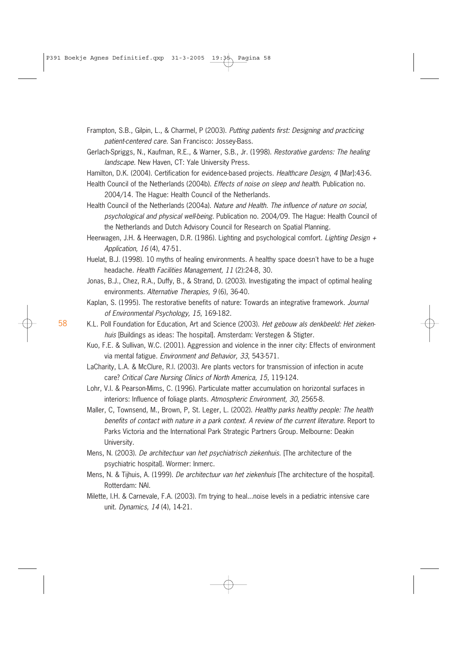- Frampton, S.B., Gilpin, L., & Charmel, P (2003). Putting patients first: Designing and practicing patient-centered care. San Francisco: Jossey-Bass.
- Gerlach-Spriggs, N., Kaufman, R.E., & Warner, S.B., Jr. (1998). Restorative gardens: The healing landscape. New Haven, CT: Yale University Press.

Hamilton, D.K. (2004). Certification for evidence-based projects. Healthcare Design, 4 [Mar]:43-6.

Health Council of the Netherlands (2004b). Effects of noise on sleep and health. Publication no. 2004/14. The Hague: Health Council of the Netherlands.

- Health Council of the Netherlands (2004a). Nature and Health. The influence of nature on social, psychological and physical well-being. Publication no. 2004/09. The Hague: Health Council of the Netherlands and Dutch Advisory Council for Research on Spatial Planning.
- Heerwagen, J.H. & Heerwagen, D.R. (1986). Lighting and psychological comfort. *Lighting Design* + Application, 16 (4), 47-51.
- Huelat, B.J. (1998). 10 myths of healing environments. A healthy space doesn't have to be a huge headache. Health Facilities Management, 11 (2):24-8, 30.
- Jonas, B.J., Chez, R.A., Duffy, B., & Strand, D. (2003). Investigating the impact of optimal healing environments. Alternative Therapies, 9 (6), 36-40.
- Kaplan, S. (1995). The restorative benefits of nature: Towards an integrative framework. Journal of Environmental Psychology, 15, 169-182.
- K.L. Poll Foundation for Education, Art and Science (2003). Het gebouw als denkbeeld: Het ziekenhuis [Buildings as ideas: The hospital]. Amsterdam: Verstegen & Stigter.

58

- Kuo, F.E. & Sullivan, W.C. (2001). Aggression and violence in the inner city: Effects of environment via mental fatigue. Environment and Behavior, 33, 543-571.
- LaCharity, L.A. & McClure, R.l. (2003). Are plants vectors for transmission of infection in acute care? Critical Care Nursing Clinics of North America, 15, 119-124.
- Lohr, V.I. & Pearson-Mims, C. (1996). Particulate matter accumulation on horizontal surfaces in interiors: Influence of foliage plants. Atmospheric Environment, 30, 2565-8.
- Maller, C, Townsend, M., Brown, P, St. Leger, L. (2002). Healthy parks healthy people: The health benefits of contact with nature in a park context. A review of the current literature. Report to Parks Victoria and the International Park Strategic Partners Group. Melbourne: Deakin University.
- Mens, N. (2003). De architectuur van het psychiatrisch ziekenhuis. [The architecture of the psychiatric hospital]. Wormer: Inmerc.
- Mens, N. & Tijhuis, A. (1999). De architectuur van het ziekenhuis [The architecture of the hospital]. Rotterdam: NAI.
- Milette, I.H. & Carnevale, F.A. (2003). I'm trying to heal...noise levels in a pediatric intensive care unit. Dynamics, 14 (4), 14-21.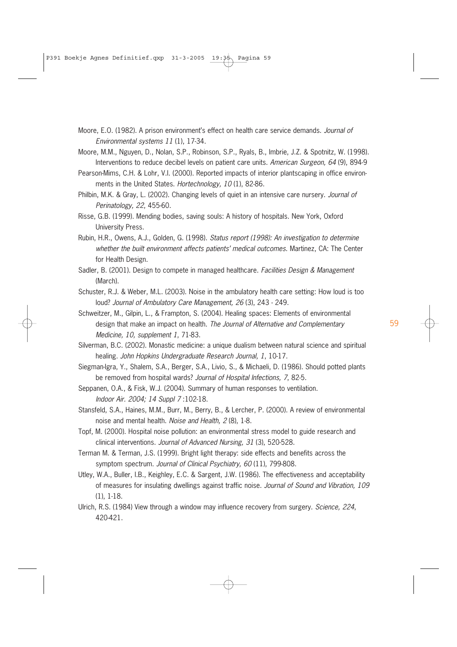- Moore, E.O. (1982). A prison environment's effect on health care service demands. Journal of Environmental systems 11 (1), 17-34.
- Moore, M.M., Nguyen, D., Nolan, S.P., Robinson, S.P., Ryals, B., Imbrie, J.Z. & Spotnitz, W. (1998). Interventions to reduce decibel levels on patient care units. American Surgeon, 64 (9), 894-9
- Pearson-Mims, C.H. & Lohr, V.I. (2000). Reported impacts of interior plantscaping in office environments in the United States. Hortechnology, 10(1), 82-86.
- Philbin, M.K. & Gray, L. (2002). Changing levels of quiet in an intensive care nursery. Journal of Perinatology, 22, 455-60.
- Risse, G.B. (1999). Mending bodies, saving souls: A history of hospitals. New York, Oxford University Press.
- Rubin, H.R., Owens, A.J., Golden, G. (1998). Status report (1998): An investigation to determine whether the built environment affects patients' medical outcomes. Martinez, CA: The Center for Health Design.
- Sadler, B. (2001). Design to compete in managed healthcare. Facilities Design & Management (March).
- Schuster, R.J. & Weber, M.L. (2003). Noise in the ambulatory health care setting: How loud is too loud? Journal of Ambulatory Care Management, 26 (3), 243 - 249.
- Schweitzer, M., Gilpin, L., & Frampton, S. (2004). Healing spaces: Elements of environmental design that make an impact on health. The Journal of Alternative and Complementary Medicine, 10, supplement 1, 71-83.
- Silverman, B.C. (2002). Monastic medicine: a unique dualism between natural science and spiritual healing. John Hopkins Undergraduate Research Journal, 1, 10-17.
- Siegman-Igra, Y., Shalem, S.A., Berger, S.A., Livio, S., & Michaeli, D. (1986). Should potted plants be removed from hospital wards? Journal of Hospital Infections, 7, 82-5.
- Seppanen, O.A., & Fisk, W.J. (2004). Summary of human responses to ventilation. Indoor Air. 2004; 14 Suppl 7 :102-18.
- Stansfeld, S.A., Haines, M.M., Burr, M., Berry, B., & Lercher, P. (2000). A review of environmental noise and mental health. Noise and Health, 2 (8), 1-8.
- Topf, M. (2000). Hospital noise pollution: an environmental stress model to guide research and clinical interventions. Journal of Advanced Nursing, 31 (3), 520-528.
- Terman M. & Terman, J.S. (1999). Bright light therapy: side effects and benefits across the symptom spectrum. Journal of Clinical Psychiatry, 60 (11), 799-808.
- Utley, W.A., Buller, I.B., Keighley, E.C. & Sargent, J.W. (1986). The effectiveness and acceptability of measures for insulating dwellings against traffic noise. Journal of Sound and Vibration, 109 (1), 1-18.
- Ulrich, R.S. (1984) View through a window may influence recovery from surgery. Science, 224, 420-421.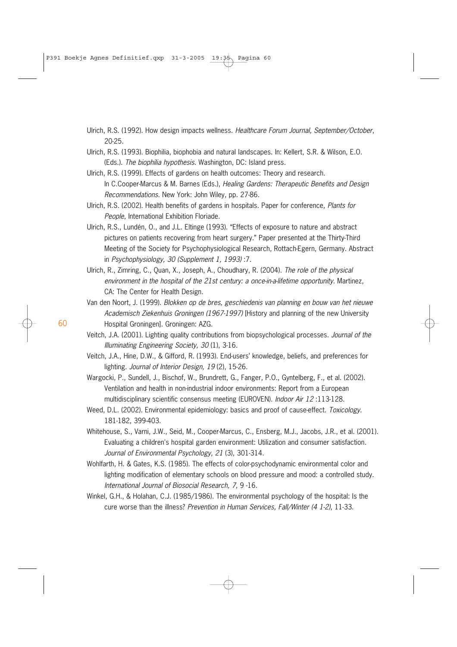- Ulrich, R.S. (1992). How design impacts wellness. Healthcare Forum Journal, September/October, 20-25.
- Ulrich, R.S. (1993). Biophilia, biophobia and natural landscapes. In: Kellert, S.R. & Wilson, E.O. (Eds.). The biophilia hypothesis. Washington, DC: Island press.
- Ulrich, R.S. (1999). Effects of gardens on health outcomes: Theory and research. In C.Cooper-Marcus & M. Barnes (Eds.), Healing Gardens: Therapeutic Benefits and Design Recommendations. New York: John Wiley, pp. 27-86.
- Ulrich, R.S. (2002). Health benefits of gardens in hospitals. Paper for conference, Plants for People, International Exhibition Floriade.
- Ulrich, R.S., Lundén, O., and J.L. Eltinge (1993). "Effects of exposure to nature and abstract pictures on patients recovering from heart surgery." Paper presented at the Thirty-Third Meeting of the Society for Psychophysiological Research, Rottach-Egern, Germany. Abstract in Psychophysiology, 30 (Supplement 1, 1993) :7.
- Ulrich, R., Zimring, C., Quan, X., Joseph, A., Choudhary, R. (2004). The role of the physical environment in the hospital of the 21st century: a once-in-a-lifetime opportunity. Martinez, CA: The Center for Health Design.
- Van den Noort, J. (1999). Blokken op de bres, geschiedenis van planning en bouw van het nieuwe Academisch Ziekenhuis Groningen (1967-1997) [History and planning of the new University Hospital Groningen]. Groningen: AZG.
- Veitch, J.A. (2001). Lighting quality contributions from biopsychological processes. Journal of the Illuminating Engineering Society, 30 (1), 3-16.
- Veitch, J.A., Hine, D.W., & Gifford, R. (1993). End-users' knowledge, beliefs, and preferences for lighting. Journal of Interior Design, 19(2), 15-26.
- Wargocki, P., Sundell, J., Bischof, W., Brundrett, G., Fanger, P.O., Gyntelberg, F., et al. (2002). Ventilation and health in non-industrial indoor environments: Report from a European multidisciplinary scientific consensus meeting (EUROVEN). Indoor Air 12 :113-128.
- Weed, D.L. (2002). Environmental epidemiology: basics and proof of cause-effect. Toxicology. 181-182, 399-403.
- Whitehouse, S., Varni, J.W., Seid, M., Cooper-Marcus, C., Ensberg, M.J., Jacobs, J.R., et al. (2001). Evaluating a children's hospital garden environment: Utilization and consumer satisfaction. Journal of Environmental Psychology, 21 (3), 301-314.
- Wohlfarth, H. & Gates, K.S. (1985). The effects of color-psychodynamic environmental color and lighting modification of elementary schools on blood pressure and mood: a controlled study. International Journal of Biosocial Research, 7, 9 -16.
- Winkel, G.H., & Holahan, C.J. (1985/1986). The environmental psychology of the hospital: Is the cure worse than the illness? Prevention in Human Services, Fall/Winter (4 1-2), 11-33.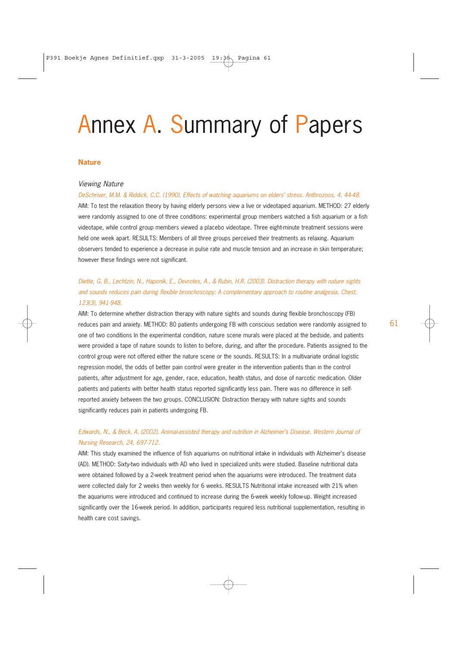## Annex A. Summary of Papers

#### **Nature**

#### Viewing Nature

DeSchriver, M.M. & Riddick, C.C. (1990). Effects of watching aquariums on elders' stress. Anthrozoos, 4, 44-48. AIM: To test the relaxation theory by having elderly persons view a live or videotaped aquarium. METHOD: 27 elderly were randomly assigned to one of three conditions: experimental group members watched a fish aquarium or a fish videotape, while control group members viewed a placebo videotape. Three eight-minute treatment sessions were held one week apart. RESULTS: Members of all three groups perceived their treatments as relaxing. Aquarium observers tended to experience a decrease in pulse rate and muscle tension and an increase in skin temperature; however these findings were not significant.

## Diette, G. B., Lechtzin, N., Haponik, E., Devrotes, A., & Rubin, H.R. (2003). Distraction therapy with nature sights and sounds reduces pain during flexible bronchoscopy: A complementary approach to routine analgesia. Chest, 123(3), 941-948.

AIM: To determine whether distraction therapy with nature sights and sounds during flexible bronchoscopy (FB) reduces pain and anxiety. METHOD: 80 patients undergoing FB with conscious sedation were randomly assigned to one of two conditions In the experimental condition, nature scene murals were placed at the bedside, and patients were provided a tape of nature sounds to listen to before, during, and after the procedure. Patients assigned to the control group were not offered either the nature scene or the sounds. RESULTS: In a multivariate ordinal logistic regression model, the odds of better pain control were greater in the intervention patients than in the control patients, after adjustment for age, gender, race, education, health status, and dose of narcotic medication. Older patients and patients with better health status reported significantly less pain. There was no difference in selfreported anxiety between the two groups. CONCLUSION: Distraction therapy with nature sights and sounds significantly reduces pain in patients undergoing FB.

## Edwards, N., & Beck, A. (2002). Animal-assisted therapy and nutrition in Alzheimer's Disease. Western Journal of Nursing Research, 24, 697-712.

AIM: This study examined the influence of fish aquariums on nutritional intake in individuals with Alzheimer's disease (AD). METHOD: Sixty-two individuals with AD who lived in specialized units were studied. Baseline nutritional data were obtained followed by a 2-week treatment period when the aquariums were introduced. The treatment data were collected daily for 2 weeks then weekly for 6 weeks. RESULTS Nutritional intake increased with 21% when the aquariums were introduced and continued to increase during the 6-week weekly follow-up. Weight increased significantly over the 16-week period. In addition, participants required less nutritional supplementation, resulting in health care cost savings.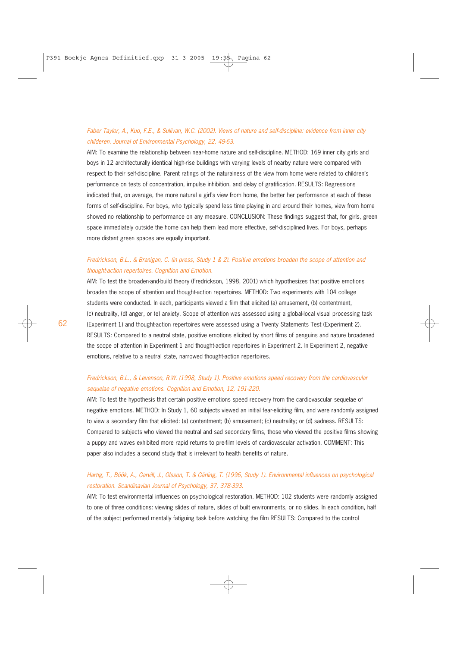## Faber Taylor, A., Kuo, F.E., & Sullivan, W.C. (2002). Views of nature and self-discipline: evidence from inner city childeren. Journal of Environmental Psychology, 22, 49-63.

AIM: To examine the relationship between near-home nature and self-discipline. METHOD: 169 inner city girls and boys in 12 architecturally identical high-rise buildings with varying levels of nearby nature were compared with respect to their self-discipline. Parent ratings of the naturalness of the view from home were related to children's performance on tests of concentration, impulse inhibition, and delay of gratification. RESULTS: Regressions indicated that, on average, the more natural a girl's view from home, the better her performance at each of these forms of self-discipline. For boys, who typically spend less time playing in and around their homes, view from home showed no relationship to performance on any measure. CONCLUSION: These findings suggest that, for girls, green space immediately outside the home can help them lead more effective, self-disciplined lives. For boys, perhaps more distant green spaces are equally important.

## Fredrickson, B.L., & Branigan, C. (in press, Study 1 & 2). Positive emotions broaden the scope of attention and thought-action repertoires. Cognition and Emotion.

AIM: To test the broaden-and-build theory (Fredrickson, 1998, 2001) which hypothesizes that positive emotions broaden the scope of attention and thought-action repertoires. METHOD: Two experiments with 104 college students were conducted. In each, participants viewed a film that elicited (a) amusement, (b) contentment, (c) neutrality, (d) anger, or (e) anxiety. Scope of attention was assessed using a global-local visual processing task (Experiment 1) and thought-action repertoires were assessed using a Twenty Statements Test (Experiment 2). RESULTS: Compared to a neutral state, positive emotions elicited by short films of penguins and nature broadened the scope of attention in Experiment 1 and thought-action repertoires in Experiment 2. In Experiment 2, negative emotions, relative to a neutral state, narrowed thought-action repertoires.

## Fredrickson, B.L., & Levenson, R.W. (1998, Study 1). Positive emotions speed recovery from the cardiovascular sequelae of negative emotions. Cognition and Emotion, 12, 191-220.

AIM: To test the hypothesis that certain positive emotions speed recovery from the cardiovascular sequelae of negative emotions. METHOD: In Study 1, 60 subjects viewed an initial fear-eliciting film, and were randomly assigned to view a secondary film that elicited: (a) contentment; (b) amusement; (c) neutrality; or (d) sadness. RESULTS: Compared to subjects who viewed the neutral and sad secondary films, those who viewed the positive films showing a puppy and waves exhibited more rapid returns to pre-film levels of cardiovascular activation. COMMENT: This paper also includes a second study that is irrelevant to health benefits of nature.

## Hartig, T., Böök, A., Garvill, J., Olsson, T. & Gärling, T. (1996, Study 1). Environmental influences on psychological restoration. Scandinavian Journal of Psychology, 37, 378-393.

AIM: To test environmental influences on psychological restoration. METHOD: 102 students were randomly assigned to one of three conditions: viewing slides of nature, slides of built environments, or no slides. In each condition, half of the subject performed mentally fatiguing task before watching the film RESULTS: Compared to the control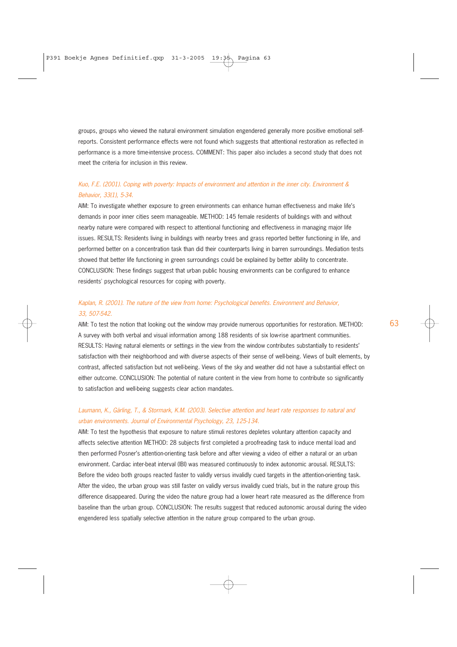groups, groups who viewed the natural environment simulation engendered generally more positive emotional selfreports. Consistent performance effects were not found which suggests that attentional restoration as reflected in performance is a more time-intensive process. COMMENT: This paper also includes a second study that does not meet the criteria for inclusion in this review.

### Kuo, F.E. (2001). Coping with poverty: Impacts of environment and attention in the inner city. Environment & Behavior, 33(1), 5-34.

AIM: To investigate whether exposure to green environments can enhance human effectiveness and make life's demands in poor inner cities seem manageable. METHOD: 145 female residents of buildings with and without nearby nature were compared with respect to attentional functioning and effectiveness in managing major life issues. RESULTS: Residents living in buildings with nearby trees and grass reported better functioning in life, and performed better on a concentration task than did their counterparts living in barren surroundings. Mediation tests showed that better life functioning in green surroundings could be explained by better ability to concentrate. CONCLUSION: These findings suggest that urban public housing environments can be configured to enhance residents' psychological resources for coping with poverty.

## Kaplan, R. (2001). The nature of the view from home: Psychological benefits. Environment and Behavior, 33, 507-542.

AIM: To test the notion that looking out the window may provide numerous opportunities for restoration. METHOD: A survey with both verbal and visual information among 188 residents of six low-rise apartment communities. RESULTS: Having natural elements or settings in the view from the window contributes substantially to residents' satisfaction with their neighborhood and with diverse aspects of their sense of well-being. Views of built elements, by contrast, affected satisfaction but not well-being. Views of the sky and weather did not have a substantial effect on either outcome. CONCLUSION: The potential of nature content in the view from home to contribute so significantly to satisfaction and well-being suggests clear action mandates.

## Laumann, K., Gärling, T., & Stormark, K.M. (2003). Selective attention and heart rate responses to natural and urban environments. Journal of Environmental Psychology, 23, 125-134.

AIM: To test the hypothesis that exposure to nature stimuli restores depletes voluntary attention capacity and affects selective attention METHOD: 28 subjects first completed a proofreading task to induce mental load and then performed Posner's attention-orienting task before and after viewing a video of either a natural or an urban environment. Cardiac inter-beat interval (IBI) was measured continuously to index autonomic arousal. RESULTS: Before the video both groups reacted faster to validly versus invalidly cued targets in the attention-orienting task. After the video, the urban group was still faster on validly versus invalidly cued trials, but in the nature group this difference disappeared. During the video the nature group had a lower heart rate measured as the difference from baseline than the urban group. CONCLUSION: The results suggest that reduced autonomic arousal during the video engendered less spatially selective attention in the nature group compared to the urban group.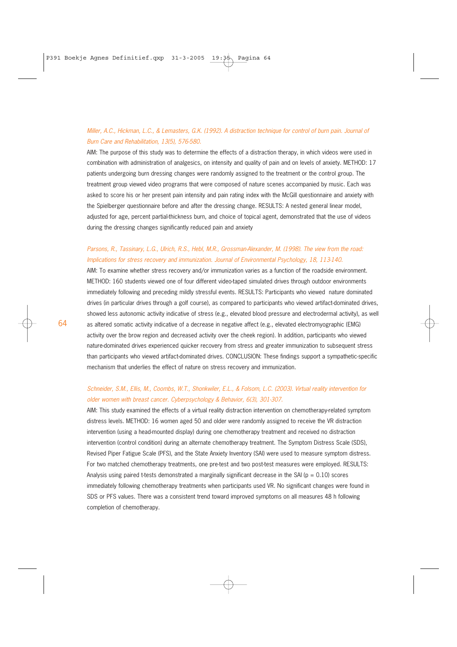## Miller, A.C., Hickman, L.C., & Lemasters, G.K. (1992). A distraction technique for control of burn pain. Journal of Burn Care and Rehabilitation, 13(5), 576-580.

AIM: The purpose of this study was to determine the effects of a distraction therapy, in which videos were used in combination with administration of analgesics, on intensity and quality of pain and on levels of anxiety. METHOD: 17 patients undergoing burn dressing changes were randomly assigned to the treatment or the control group. The treatment group viewed video programs that were composed of nature scenes accompanied by music. Each was asked to score his or her present pain intensity and pain rating index with the McGill questionnaire and anxiety with the Spielberger questionnaire before and after the dressing change. RESULTS: A nested general linear model, adjusted for age, percent partial-thickness burn, and choice of topical agent, demonstrated that the use of videos during the dressing changes significantly reduced pain and anxiety

#### Parsons, R., Tassinary, L.G., Ulrich, R.S., Hebl, M.R., Grossman-Alexander, M. (1998). The view from the road: Implications for stress recovery and immunization. Journal of Environmental Psychology, 18, 113-140.

AIM: To examine whether stress recovery and/or immunization varies as a function of the roadside environment. METHOD: 160 students viewed one of four different video-taped simulated drives through outdoor environments immediately following and preceding mildly stressful events. RESULTS: Participants who viewed nature dominated drives (in particular drives through a golf course), as compared to participants who viewed artifact-dominated drives, showed less autonomic activity indicative of stress (e.g., elevated blood pressure and electrodermal activity), as well as altered somatic activity indicative of a decrease in negative affect (e.g., elevated electromyographic (EMG) activity over the brow region and decreased activity over the cheek region). In addition, participants who viewed nature-dominated drives experienced quicker recovery from stress and greater immunization to subsequent stress than participants who viewed artifact-dominated drives. CONCLUSION: These findings support a sympathetic-specific mechanism that underlies the effect of nature on stress recovery and immunization.

#### Schneider, S.M., Ellis, M., Coombs, W.T., Shonkwiler, E.L., & Folsom, L.C. (2003). Virtual reality intervention for older women with breast cancer. Cyberpsychology & Behavior, 6(3), 301-307.

AIM: This study examined the effects of a virtual reality distraction intervention on chemotherapy-related symptom distress levels. METHOD: 16 women aged 50 and older were randomly assigned to receive the VR distraction intervention (using a head-mounted display) during one chemotherapy treatment and received no distraction intervention (control condition) during an alternate chemotherapy treatment. The Symptom Distress Scale (SDS), Revised Piper Fatigue Scale (PFS), and the State Anxiety Inventory (SAI) were used to measure symptom distress. For two matched chemotherapy treatments, one pre-test and two post-test measures were employed. RESULTS: Analysis using paired t-tests demonstrated a marginally significant decrease in the SAI ( $p = 0.10$ ) scores immediately following chemotherapy treatments when participants used VR. No significant changes were found in SDS or PFS values. There was a consistent trend toward improved symptoms on all measures 48 h following completion of chemotherapy.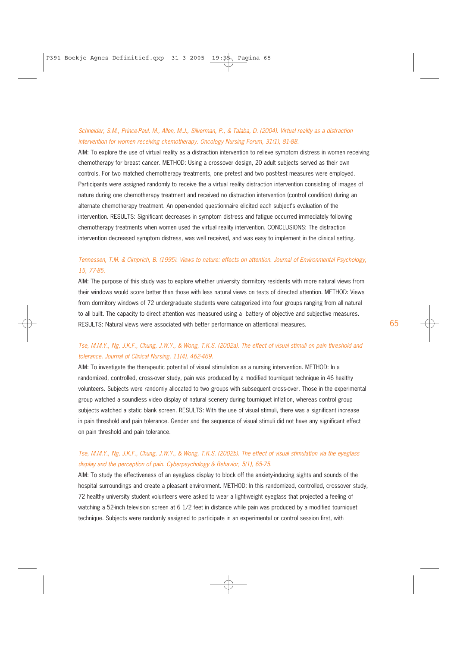### Schneider, S.M., Prince-Paul, M., Allen, M.J., Silverman, P., & Talaba, D. (2004). Virtual reality as a distraction intervention for women receiving chemotherapy. Oncology Nursing Forum, 31(1), 81-88.

AIM: To explore the use of virtual reality as a distraction intervention to relieve symptom distress in women receiving chemotherapy for breast cancer. METHOD: Using a crossover design, 20 adult subjects served as their own controls. For two matched chemotherapy treatments, one pretest and two post-test measures were employed. Participants were assigned randomly to receive the a virtual reality distraction intervention consisting of images of nature during one chemotherapy treatment and received no distraction intervention (control condition) during an alternate chemotherapy treatment. An open-ended questionnaire elicited each subject's evaluation of the intervention. RESULTS: Significant decreases in symptom distress and fatigue occurred immediately following chemotherapy treatments when women used the virtual reality intervention. CONCLUSIONS: The distraction intervention decreased symptom distress, was well received, and was easy to implement in the clinical setting.

## Tennessen, T.M. & Cimprich, B. (1995). Views to nature: effects on attention. Journal of Environmental Psychology, 15, 77-85.

AIM: The purpose of this study was to explore whether university dormitory residents with more natural views from their windows would score better than those with less natural views on tests of directed attention. METHOD: Views from dormitory windows of 72 undergraduate students were categorized into four groups ranging from all natural to all built. The capacity to direct attention was measured using a battery of objective and subjective measures. RESULTS: Natural views were associated with better performance on attentional measures.

## Tse, M.M.Y., Ng, J.K.F., Chung, J.W.Y., & Wong, T.K.S. (2002a). The effect of visual stimuli on pain threshold and tolerance. Journal of Clinical Nursing, 11(4), 462-469.

AIM: To investigate the therapeutic potential of visual stimulation as a nursing intervention. METHOD: In a randomized, controlled, cross-over study, pain was produced by a modified tourniquet technique in 46 healthy volunteers. Subjects were randomly allocated to two groups with subsequent cross-over. Those in the experimental group watched a soundless video display of natural scenery during tourniquet inflation, whereas control group subjects watched a static blank screen. RESULTS: With the use of visual stimuli, there was a significant increase in pain threshold and pain tolerance. Gender and the sequence of visual stimuli did not have any significant effect on pain threshold and pain tolerance.

### Tse, M.M.Y., Ng, J.K.F., Chung, J.W.Y., & Wong, T.K.S. (2002b). The effect of visual stimulation via the eyeglass display and the perception of pain. Cyberpsychology & Behavior, 5(1), 65-75.

AIM: To study the effectiveness of an eyeglass display to block off the anxiety-inducing sights and sounds of the hospital surroundings and create a pleasant environment. METHOD: In this randomized, controlled, crossover study, 72 healthy university student volunteers were asked to wear a light-weight eyeglass that projected a feeling of watching a 52-inch television screen at 6 1/2 feet in distance while pain was produced by a modified tourniquet technique. Subjects were randomly assigned to participate in an experimental or control session first, with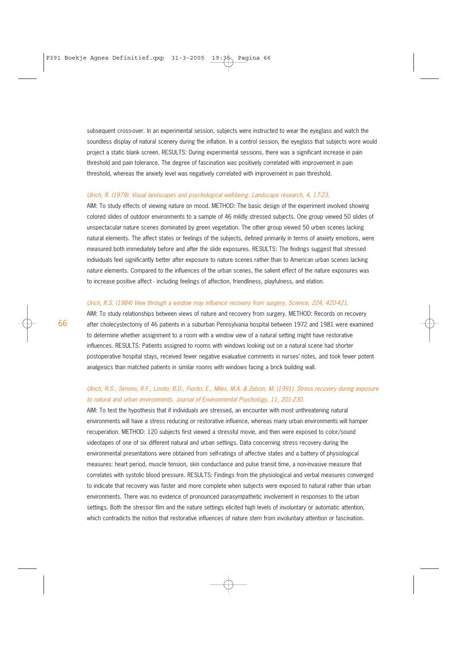subsequent cross-over. In an experimental session, subjects were instructed to wear the eyeglass and watch the soundless display of natural scenery during the inflation. In a control session, the eyeglass that subjects wore would project a static blank screen. RESULTS: During experimental sessions, there was a significant increase in pain threshold and pain tolerance. The degree of fascination was positively correlated with improvement in pain threshold, whereas the anxiety level was negatively correlated with improvement in pain threshold.

#### Ulrich, R. (1979). Visual landscapes and psychological well-being. Landscape research, 4, 17-23.

AIM: To study effects of viewing nature on mood. METHOD: The basic design of the experiment involved showing colored slides of outdoor environments to a sample of 46 mildly stressed subjects. One group viewed 50 slides of unspectacular nature scenes dominated by green vegetation. The other group viewed 50 urben scenes lacking natural elements. The affect states or feelings of the subjects, defined primarily in terms of anxiety emotions, were measured both immediately before and after the slide exposures. RESULTS: The findings suggest that stressed individuals feel significantly better after exposure to nature scenes rather than to American urban scenes lacking nature elements. Compared to the influences of the urban scenes, the salient effect of the nature exposures was to increase positive affect - including feelings of affection, friendliness, playfulness, and elation.

#### Urich, R.S. (1984) View through a window may influence recovery from surgery. Science, 224, 420-421.

AIM: To study relationships between views of nature and recovery from surgery. METHOD: Records on recovery after cholecystectomy of 46 patients in a suburban Pennsylvania hospital between 1972 and 1981 were examined to determine whether assignment to a room with a window view of a natural setting might have restorative influences. RESULTS: Patients assigned to rooms with windows looking out on a natural scene had shorter postoperative hospital stays, received fewer negative evaluative comments in nurses' notes, and took fewer potent analgesics than matched patients in similar rooms with windows facing a brick building wall.

## Ulrich, R.S., Simons, R.F., Losito, B.D., Fiorito, E., Miles, M.A. & Zelson, M. (1991). Stress recovery during exposure to natural and urban environments. Journal of Environmental Psychology, 11, 201-230.

AIM: To test the hypothesis that if individuals are stressed, an encounter with most unthreatening natural environments will have a stress reducing or restorative influence, whereas many urban environments will hamper recuperation. METHOD: 120 subjects first viewed a stressful movie, and then were exposed to color/sound videotapes of one of six different natural and urban settings. Data concerning stress recovery during the environmental presentations were obtained from self-ratings of affective states and a battery of physiological measures: heart period, muscle tension, skin conductance and pulse transit time, a non-invasive measure that correlates with systolic blood pressure. RESULTS: Findings from the physiological and verbal measures converged to indicate that recovery was faster and more complete when subjects were exposed to natural rather than urban environments. There was no evidence of pronounced parasympathetic involvement in responses to the urban settings. Both the stressor film and the nature settings elicited high levels of involuntary or automatic attention, which contradicts the notion that restorative influences of nature stem from involuntary attention or fascination.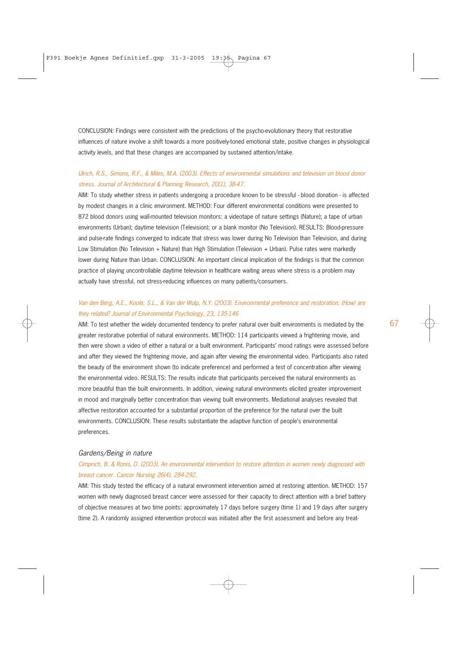CONCLUSION: Findings were consistent with the predictions of the psycho-evolutionary theory that restorative influences of nature involve a shift towards a more positively-toned emotional state, positive changes in physiological activity levels, and that these changes are accompanied by sustained attention/intake.

## Ulrich, R.S., Simons, R.F., & Miles, M.A. (2003). Effects of environmental simulations and television on blood donor stress. Journal of Architectural & Planning Research, 20(1), 38-47.

AIM: To study whether stress in patients undergoing a procedure known to be stressful - blood donation - is affected by modest changes in a clinic environment. METHOD: Four different environmental conditions were presented to 872 blood donors using wall-mounted television monitors: a videotape of nature settings (Nature); a tape of urban environments (Urban); daytime television (Television); or a blank monitor (No Television). RESULTS: Blood-pressure and pulse-rate findings converged to indicate that stress was lower during No Television than Television, and during Low Stimulation (No Television + Nature) than High Stimulation (Television + Urban). Pulse rates were markedly lower during Nature than Urban. CONCLUSION: An important clinical implication of the findings is that the common practice of playing uncontrollable daytime television in healthcare waiting areas where stress is a problem may actually have stressful, not stress-reducing influences on many patients/consumers.

## Van den Berg, A.E., Koole, S.L., & Van der Wulp, N.Y. (2003). Environmental preference and restoration: (How) are they related? Journal of Environmental Psychology, 23, 135-146

AIM: To test whether the widely documented tendency to prefer natural over built environments is mediated by the greater restorative potential of natural environments. METHOD: 114 participants viewed a frightening movie, and then were shown a video of either a natural or a built environment. Participants' mood ratings were assessed before and after they viewed the frightening movie, and again after viewing the environmental video. Participants also rated the beauty of the environment shown (to indicate preference) and performed a test of concentration after viewing the environmental video. RESULTS: The results indicate that participants perceived the natural environments as more beautiful than the built environments. In addition, viewing natural environments elicited greater improvement in mood and marginally better concentration than viewing built environments. Mediational analyses revealed that affective restoration accounted for a substantial proportion of the preference for the natural over the built environments. CONCLUSION: These results substantiate the adaptive function of people's environmental preferences.

#### Gardens/Being in nature

## Cimprich, B. & Ronis, D. (2003). An environmental intervention to restore attention in women newly diagnosed with breast cancer. Cancer Nursing 26(4), 284-292.

AIM: This study tested the efficacy of a natural environment intervention aimed at restoring attention. METHOD: 157 women with newly diagnosed breast cancer were assessed for their capacity to direct attention with a brief battery of objective measures at two time points: approximately 17 days before surgery (time 1) and 19 days after surgery (time 2). A randomly assigned intervention protocol was initiated after the first assessment and before any treat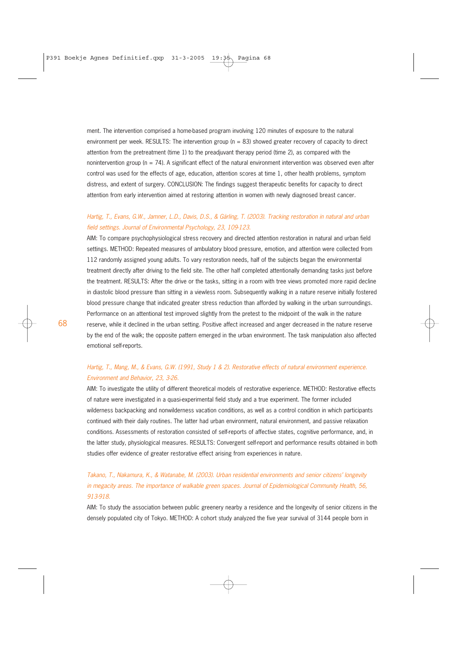ment. The intervention comprised a home-based program involving 120 minutes of exposure to the natural environment per week. RESULTS: The intervention group (n = 83) showed greater recovery of capacity to direct attention from the pretreatment (time 1) to the preadjuvant therapy period (time 2), as compared with the nonintervention group ( $n = 74$ ). A significant effect of the natural environment intervention was observed even after control was used for the effects of age, education, attention scores at time 1, other health problems, symptom distress, and extent of surgery. CONCLUSION: The findings suggest therapeutic benefits for capacity to direct attention from early intervention aimed at restoring attention in women with newly diagnosed breast cancer.

#### Hartig, T., Evans, G.W., Jamner, L.D., Davis, D.S., & Gärling, T. (2003). Tracking restoration in natural and urban field settings. Journal of Environmental Psychology, 23, 109-123.

AIM: To compare psychophysiological stress recovery and directed attention restoration in natural and urban field settings. METHOD: Repeated measures of ambulatory blood pressure, emotion, and attention were collected from 112 randomly assigned young adults. To vary restoration needs, half of the subjects began the environmental treatment directly after driving to the field site. The other half completed attentionally demanding tasks just before the treatment. RESULTS: After the drive or the tasks, sitting in a room with tree views promoted more rapid decline in diastolic blood pressure than sitting in a viewless room. Subsequently walking in a nature reserve initially fostered blood pressure change that indicated greater stress reduction than afforded by walking in the urban surroundings. Performance on an attentional test improved slightly from the pretest to the midpoint of the walk in the nature reserve, while it declined in the urban setting. Positive affect increased and anger decreased in the nature reserve by the end of the walk; the opposite pattern emerged in the urban environment. The task manipulation also affected emotional self-reports.

## Hartig, T., Mang, M., & Evans, G.W. (1991, Study 1 & 2). Restorative effects of natural environment experience. Environment and Behavior, 23, 3-26.

AIM: To investigate the utility of different theoretical models of restorative experience. METHOD: Restorative effects of nature were investigated in a quasi-experimental field study and a true experiment. The former included wilderness backpacking and nonwilderness vacation conditions, as well as a control condition in which participants continued with their daily routines. The latter had urban environment, natural environment, and passive relaxation conditions. Assessments of restoration consisted of self-reports of affective states, cognitive performance, and, in the latter study, physiological measures. RESULTS: Convergent self-report and performance results obtained in both studies offer evidence of greater restorative effect arising from experiences in nature.

## Takano, T., Nakamura, K., & Watanabe, M. (2003). Urban residential environments and senior citizens' longevity in megacity areas. The importance of walkable green spaces. Journal of Epidemiological Community Health, 56, 913-918.

AIM: To study the association between public greenery nearby a residence and the longevity of senior citizens in the densely populated city of Tokyo. METHOD: A cohort study analyzed the five year survival of 3144 people born in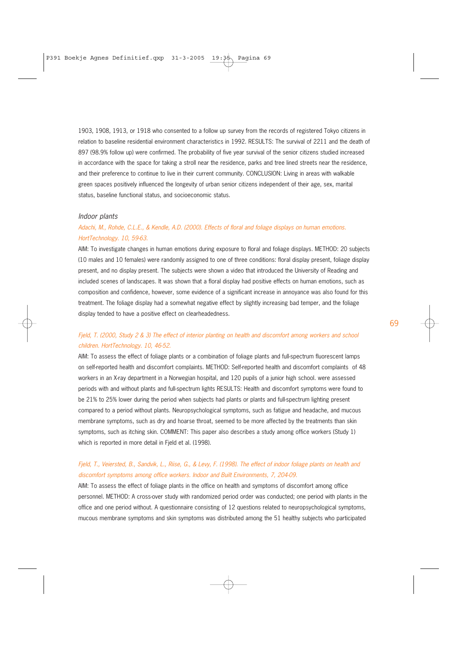1903, 1908, 1913, or 1918 who consented to a follow up survey from the records of registered Tokyo citizens in relation to baseline residential environment characteristics in 1992. RESULTS: The survival of 2211 and the death of 897 (98.9% follow up) were confirmed. The probability of five year survival of the senior citizens studied increased in accordance with the space for taking a stroll near the residence, parks and tree lined streets near the residence, and their preference to continue to live in their current community. CONCLUSION: Living in areas with walkable green spaces positively influenced the longevity of urban senior citizens independent of their age, sex, marital status, baseline functional status, and socioeconomic status.

#### Indoor plants

## Adachi, M., Rohde, C.L.E., & Kendle, A.D. (2000). Effects of floral and foliage displays on human emotions. HortTechnology. 10, 59-63.

AIM: To investigate changes in human emotions during exposure to floral and foliage displays. METHOD: 20 subjects (10 males and 10 females) were randomly assigned to one of three conditions: floral display present, foliage display present, and no display present. The subjects were shown a video that introduced the University of Reading and included scenes of landscapes. It was shown that a floral display had positive effects on human emotions, such as composition and confidence, however, some evidence of a significant increase in annoyance was also found for this treatment. The foliage display had a somewhat negative effect by slightly increasing bad temper, and the foliage display tended to have a positive effect on clearheadedness.

## Fjeld, T. (2000, Study 2 & 3) The effect of interior planting on health and discomfort among workers and school children. HortTechnology. 10, 46-52.

AIM: To assess the effect of foliage plants or a combination of foliage plants and full-spectrum fluorescent lamps on self-reported health and discomfort complaints. METHOD: Self-reported health and discomfort complaints of 48 workers in an X-ray department in a Norwegian hospital, and 120 pupils of a junior high school. were assessed periods with and without plants and full-spectrum lights RESULTS: Health and discomfort symptoms were found to be 21% to 25% lower during the period when subjects had plants or plants and full-spectrum lighting present compared to a period without plants. Neuropsychological symptoms, such as fatigue and headache, and mucous membrane symptoms, such as dry and hoarse throat, seemed to be more affected by the treatments than skin symptoms, such as itching skin. COMMENT: This paper also describes a study among office workers (Study 1) which is reported in more detail in Fjeld et al. (1998).

#### Fjeld, T., Veiersted, B., Sandvik, L., Riise, G., & Levy, F. (1998). The effect of indoor foliage plants on health and discomfort symptoms among office workers. Indoor and Built Environments, 7, 204-09.

AIM: To assess the effect of foliage plants in the office on health and symptoms of discomfort among office personnel. METHOD: A cross-over study with randomized period order was conducted; one period with plants in the office and one period without. A questionnaire consisting of 12 questions related to neuropsychological symptoms, mucous membrane symptoms and skin symptoms was distributed among the 51 healthy subjects who participated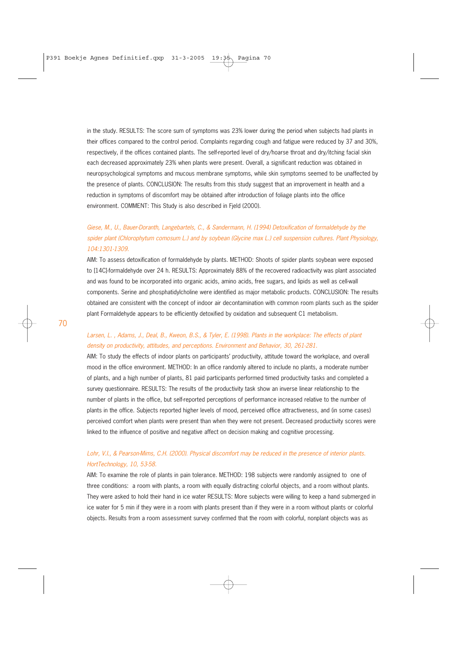in the study. RESULTS: The score sum of symptoms was 23% lower during the period when subjects had plants in their offices compared to the control period. Complaints regarding cough and fatigue were reduced by 37 and 30%, respectively, if the offices contained plants. The self-reported level of dry/hoarse throat and dry/itching facial skin each decreased approximately 23% when plants were present. Overall, a significant reduction was obtained in neuropsychological symptoms and mucous membrane symptoms, while skin symptoms seemed to be unaffected by the presence of plants. CONCLUSION: The results from this study suggest that an improvement in health and a reduction in symptoms of discomfort may be obtained after introduction of foliage plants into the office environment. COMMENT: This Study is also described in Field (2000).

## Giese, M., U., Bauer-Doranth, Langebartels, C., & Sandermann, H. (1994) Detoxification of formaldehyde by the spider plant (Chlorophytum comosum L.) and by soybean (Glycine max L.) cell suspension cultures. Plant Physiology, 104:1301-1309.

AIM: To assess detoxification of formaldehyde by plants. METHOD: Shoots of spider plants soybean were exposed to [14C]-formaldehyde over 24 h. RESULTS: Approximately 88% of the recovered radioactivity was plant associated and was found to be incorporated into organic acids, amino acids, free sugars, and lipids as well as cell-wall components. Serine and phosphatidylcholine were identified as major metabolic products. CONCLUSION: The results obtained are consistent with the concept of indoor air decontamination with common room plants such as the spider plant Formaldehyde appears to be efficiently detoxified by oxidation and subsequent C1 metabolism.

#### Larsen, L. , Adams, J., Deal, B., Kweon, B.S., & Tyler, E. (1998). Plants in the workplace: The effects of plant density on productivity, attitudes, and perceptions. Environment and Behavior, 30, 261-281.

AIM: To study the effects of indoor plants on participants' productivity, attitude toward the workplace, and overall mood in the office environment. METHOD: In an office randomly altered to include no plants, a moderate number of plants, and a high number of plants, 81 paid participants performed timed productivity tasks and completed a survey questionnaire. RESULTS: The results of the productivity task show an inverse linear relationship to the number of plants in the office, but self-reported perceptions of performance increased relative to the number of plants in the office. Subjects reported higher levels of mood, perceived office attractiveness, and (in some cases) perceived comfort when plants were present than when they were not present. Decreased productivity scores were linked to the influence of positive and negative affect on decision making and cognitive processing.

## Lohr, V.I., & Pearson-Mims, C.H. (2000). Physical discomfort may be reduced in the presence of interior plants. HortTechnology, 10, 53-58.

AIM: To examine the role of plants in pain tolerance. METHOD: 198 subjects were randomly assigned to one of three conditions: a room with plants, a room with equally distracting colorful objects, and a room without plants. They were asked to hold their hand in ice water RESULTS: More subjects were willing to keep a hand submerged in ice water for 5 min if they were in a room with plants present than if they were in a room without plants or colorful objects. Results from a room assessment survey confirmed that the room with colorful, nonplant objects was as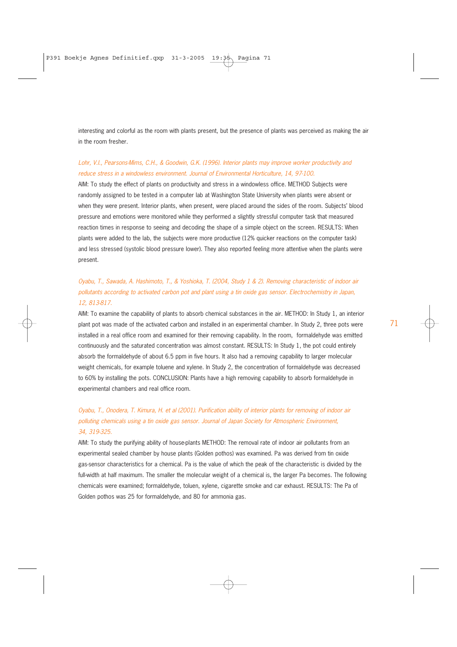interesting and colorful as the room with plants present, but the presence of plants was perceived as making the air in the room fresher.

## Lohr, V.I., Pearsons-Mims, C.H., & Goodwin, G.K. (1996). Interior plants may improve worker productivity and reduce stress in a windowless environment. Journal of Environmental Horticulture, 14, 97-100.

AIM: To study the effect of plants on productivity and stress in a windowless office. METHOD Subjects were randomly assigned to be tested in a computer lab at Washington State University when plants were absent or when they were present. Interior plants, when present, were placed around the sides of the room. Subjects' blood pressure and emotions were monitored while they performed a slightly stressful computer task that measured reaction times in response to seeing and decoding the shape of a simple object on the screen. RESULTS: When plants were added to the lab, the subjects were more productive (12% quicker reactions on the computer task) and less stressed (systolic blood pressure lower). They also reported feeling more attentive when the plants were present.

## Oyabu, T., Sawada, A. Hashimoto, T., & Yoshioka, T. (2004, Study 1 & 2). Removing characteristic of indoor air pollutants according to activated carbon pot and plant using a tin oxide gas sensor. Electrochemistry in Japan, 12, 813-817.

AIM: To examine the capability of plants to absorb chemical substances in the air. METHOD: In Study 1, an interior plant pot was made of the activated carbon and installed in an experimental chamber. In Study 2, three pots were installed in a real office room and examined for their removing capability. In the room, formaldehyde was emitted continuously and the saturated concentration was almost constant. RESULTS: In Study 1, the pot could entirely absorb the formaldehyde of about 6.5 ppm in five hours. It also had a removing capability to larger molecular weight chemicals, for example toluene and xylene. In Study 2, the concentration of formaldehyde was decreased to 60% by installing the pots. CONCLUSION: Plants have a high removing capability to absorb formaldehyde in experimental chambers and real office room.

## Oyabu, T., Onodera, T. Kimura, H. et al (2001). Purification ability of interior plants for removing of indoor air polluting chemicals using a tin oxide gas sensor. Journal of Japan Society for Atmospheric Environment, 34, 319-325.

AIM: To study the purifying ability of house-plants METHOD: The removal rate of indoor air pollutants from an experimental sealed chamber by house plants (Golden pothos) was examined. Pa was derived from tin oxide gas-sensor characteristics for a chemical. Pa is the value of which the peak of the characteristic is divided by the full-width at half maximum. The smaller the molecular weight of a chemical is, the larger Pa becomes. The following chemicals were examined; formaldehyde, toluen, xylene, cigarette smoke and car exhaust. RESULTS: The Pa of Golden pothos was 25 for formaldehyde, and 80 for ammonia gas.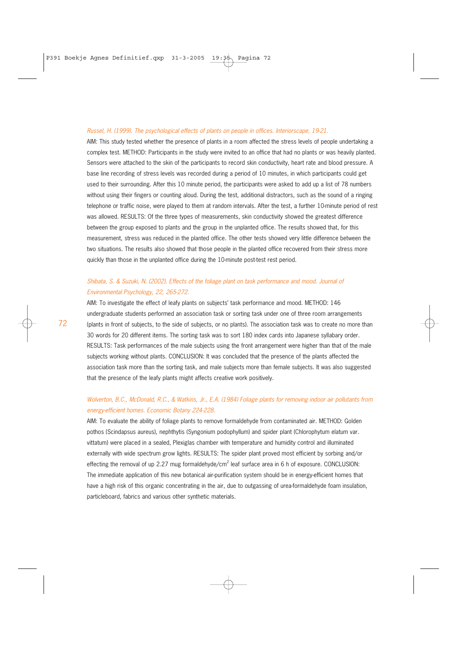#### Russel, H. (1999). The psychological effects of plants on people in offices. Interiorscape, 19-21.

AIM: This study tested whether the presence of plants in a room affected the stress levels of people undertaking a complex test. METHOD: Participants in the study were invited to an office that had no plants or was heavily planted. Sensors were attached to the skin of the participants to record skin conductivity, heart rate and blood pressure. A base line recording of stress levels was recorded during a period of 10 minutes, in which participants could get used to their surrounding. After this 10 minute period, the participants were asked to add up a list of 78 numbers without using their fingers or counting aloud. During the test, additional distractors, such as the sound of a ringing telephone or traffic noise, were played to them at random intervals. After the test, a further 10-minute period of rest was allowed. RESULTS: Of the three types of measurements, skin conductivity showed the greatest difference between the group exposed to plants and the group in the unplanted office. The results showed that, for this measurement, stress was reduced in the planted office. The other tests showed very little difference between the two situations. The results also showed that those people in the planted office recovered from their stress more quickly than those in the unplanted office during the 10-minute post-test rest period.

## Shibata, S. & Suzuki, N. (2002). Effects of the foliage plant on task performance and mood. Journal of Environmental Psychology, 22, 265-272.

AIM: To investigate the effect of leafy plants on subjects' task performance and mood. METHOD: 146 undergraduate students performed an association task or sorting task under one of three room arrangements (plants in front of subjects, to the side of subjects, or no plants). The association task was to create no more than 30 words for 20 different items. The sorting task was to sort 180 index cards into Japanese syllabary order. RESULTS: Task performances of the male subjects using the front arrangement were higher than that of the male subjects working without plants. CONCLUSION: It was concluded that the presence of the plants affected the association task more than the sorting task, and male subjects more than female subjects. It was also suggested that the presence of the leafy plants might affects creative work positively.

## Wolverton, B.C., McDonald, R.C., & Watkins, Jr., E.A. (1984) Foliage plants for removing indoor air pollutants from energy-efficient homes. Economic Botany 224-228.

AIM: To evaluate the ability of foliage plants to remove formaldehyde from contaminated air. METHOD: Golden pothos (Scindapsus aureus), nephthytis (Syngonium podophyllum) and spider plant (Chlorophytum elatum var. vittatum) were placed in a sealed, Plexiglas chamber with temperature and humidity control and illuminated externally with wide spectrum grow lights. RESULTS: The spider plant proved most efficient by sorbing and/or effecting the removal of up 2.27 mug formaldehyde/ $\text{cm}^2$  leaf surface area in 6 h of exposure. CONCLUSION: The immediate application of this new botanical air-purification system should be in energy-efficient homes that have a high risk of this organic concentrating in the air, due to outgassing of urea-formaldehyde foam insulation, particleboard, fabrics and various other synthetic materials.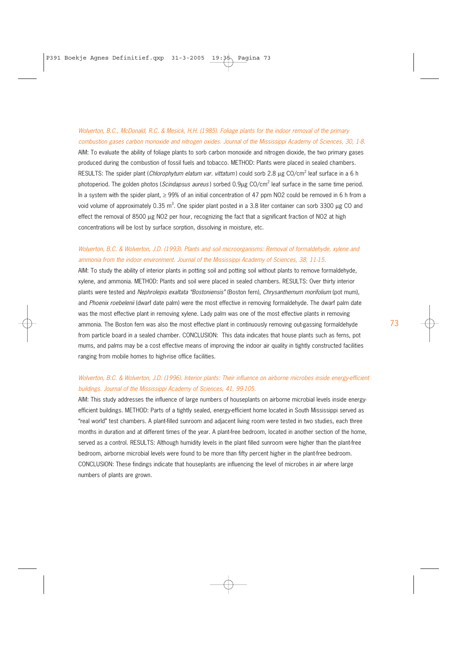## Wolverton, B.C., McDonald, R.C. & Mesick, H.H. (1985). Foliage plants for the indoor removal of the primary combustion gases carbon monoxide and nitrogen oxides. Journal of the Mississippi Academy of Sciences, 30, 1-8.

AIM: To evaluate the ability of foliage plants to sorb carbon monoxide and nitrogen dioxide, the two primary gases produced during the combustion of fossil fuels and tobacco. METHOD: Plants were placed in sealed chambers. RESULTS: The spider plant (Chlorophytum elatum var. vittatum) could sorb 2.8 µg CO/cm<sup>2</sup> leaf surface in a 6 h photoperiod. The golden photos (Scindapsus aureus) sorbed  $0.9\mu$ g CO/cm<sup>2</sup> leaf surface in the same time period. In a system with the spider plant, ≥ 99% of an initial concentration of 47 ppm NO2 could be removed in 6 h from a void volume of approximately 0.35 m<sup>3</sup>. One spider plant posted in a 3.8 liter container can sorb 3300  $\mu$ g CO and effect the removal of 8500 µg NO2 per hour, recognizing the fact that a significant fraction of NO2 at high concentrations will be lost by surface sorption, dissolving in moisture, etc.

### Wolverton, B.C. & Wolverton, J.D. (1993). Plants and soil microorganisms: Removal of formaldehyde, xylene and ammonia from the indoor environment. Journal of the Mississippi Academy of Sciences, 38, 11-15.

AIM: To study the ability of interior plants in potting soil and potting soil without plants to remove formaldehyde, xylene, and ammonia. METHOD: Plants and soil were placed in sealed chambers. RESULTS: Over thirty interior plants were tested and Nephrolepis exaltata "Bostoniensis" (Boston fern), Chrysanthemum morifolium (pot mum), and Phoenix roebelenii (dwarf date palm) were the most effective in removing formaldehyde. The dwarf palm date was the most effective plant in removing xylene. Lady palm was one of the most effective plants in removing ammonia. The Boston fern was also the most effective plant in continuously removing out-gassing formaldehyde from particle board in a sealed chamber. CONCLUSION: This data indicates that house plants such as ferns, pot mums, and palms may be a cost effective means of improving the indoor air quality in tightly constructed facilities ranging from mobile homes to high-rise office facilities.

## Wolverton, B.C. & Wolverton, J.D. (1996). Interior plants: Their influence on airborne microbes inside energy-efficient buildings. Journal of the Mississippi Academy of Sciences, 41, 99-105.

AIM: This study addresses the influence of large numbers of houseplants on airborne microbial levels inside energyefficient buildings. METHOD: Parts of a tightly sealed, energy-efficient home located in South Mississippi served as "real world" test chambers. A plant-filled sunroom and adjacent living room were tested in two studies, each three months in duration and at different times of the year. A plant-free bedroom, located in another section of the home, served as a control. RESULTS: Although humidity levels in the plant filled sunroom were higher than the plant-free bedroom, airborne microbial levels were found to be more than fifty percent higher in the plant-free bedroom. CONCLUSION: These findings indicate that houseplants are influencing the level of microbes in air where large numbers of plants are grown.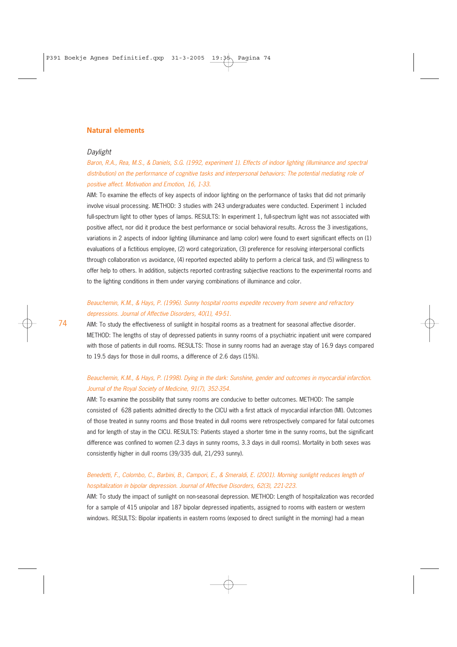#### **Natural elements**

#### Daylight

Baron, R.A., Rea, M.S., & Daniels, S.G. (1992, experiment 1). Effects of indoor lighting (illuminance and spectral distribution) on the performance of cognitive tasks and interpersonal behaviors: The potential mediating role of positive affect. Motivation and Emotion, 16, 1-33.

AIM: To examine the effects of key aspects of indoor lighting on the performance of tasks that did not primarily involve visual processing. METHOD: 3 studies with 243 undergraduates were conducted. Experiment 1 included full-spectrum light to other types of lamps. RESULTS: In experiment 1, full-spectrum light was not associated with positive affect, nor did it produce the best performance or social behavioral results. Across the 3 investigations, variations in 2 aspects of indoor lighting (illuminance and lamp color) were found to exert significant effects on (1) evaluations of a fictitious employee, (2) word categorization, (3) preference for resolving interpersonal conflicts through collaboration vs avoidance, (4) reported expected ability to perform a clerical task, and (5) willingness to offer help to others. In addition, subjects reported contrasting subjective reactions to the experimental rooms and to the lighting conditions in them under varying combinations of illuminance and color.

## Beauchemin, K.M., & Hays, P. (1996). Sunny hospital rooms expedite recovery from severe and refractory depressions. Journal of Affective Disorders, 40(1), 49-51.

74

AIM: To study the effectiveness of sunlight in hospital rooms as a treatment for seasonal affective disorder. METHOD: The lengths of stay of depressed patients in sunny rooms of a psychiatric inpatient unit were compared with those of patients in dull rooms. RESULTS: Those in sunny rooms had an average stay of 16.9 days compared to 19.5 days for those in dull rooms, a difference of 2.6 days (15%).

## Beauchemin, K.M., & Hays, P. (1998). Dying in the dark: Sunshine, gender and outcomes in myocardial infarction. Journal of the Royal Society of Medicine, 91(7), 352-354.

AIM: To examine the possibility that sunny rooms are conducive to better outcomes. METHOD: The sample consisted of 628 patients admitted directly to the CICU with a first attack of myocardial infarction (MI). Outcomes of those treated in sunny rooms and those treated in dull rooms were retrospectively compared for fatal outcomes and for length of stay in the CICU. RESULTS: Patients stayed a shorter time in the sunny rooms, but the significant difference was confined to women (2.3 days in sunny rooms, 3.3 days in dull rooms). Mortality in both sexes was consistently higher in dull rooms (39/335 dull, 21/293 sunny).

## Benedetti, F., Colombo, C., Barbini, B., Campori, E., & Smeraldi, E. (2001). Morning sunlight reduces length of hospitalization in bipolar depression. Journal of Affective Disorders, 62(3), 221-223.

AIM: To study the impact of sunlight on non-seasonal depression. METHOD: Length of hospitalization was recorded for a sample of 415 unipolar and 187 bipolar depressed inpatients, assigned to rooms with eastern or western windows. RESULTS: Bipolar inpatients in eastern rooms (exposed to direct sunlight in the morning) had a mean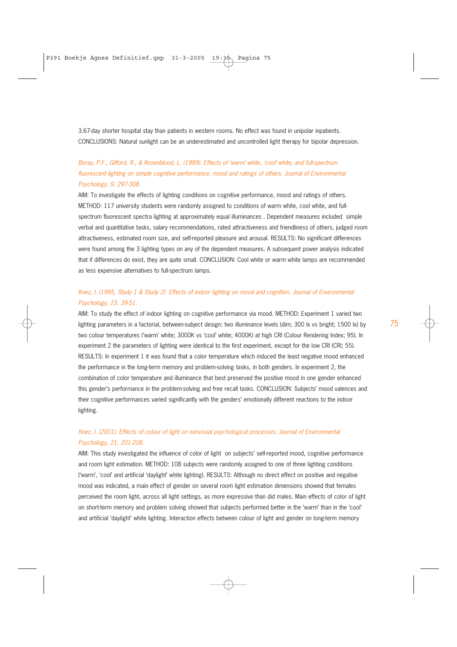3.67-day shorter hospital stay than patients in western rooms. No effect was found in unipolar inpatients. CONCLUSIONS: Natural sunlight can be an underestimated and uncontrolled light therapy for bipolar depression.

## Boray, P.F., Gifford, R., & Rosenblood, L. (1989). Effects of 'warm' white, 'cool' white, and full-spectrum fluorescent lighting on simple cognitive performance, mood and ratings of others. Journal of Environmental Psychology, 9, 297-308.

AIM: To investigate the effects of lighting conditions on cognitive performance, mood and ratings of others. METHOD: 117 university students were randomly assigned to conditions of warm white, cool white, and fullspectrum fluorescent spectra lighting at approximately equal illuminances . Dependent measures included simple verbal and quantitative tasks, salary recommendations, rated attractiveness and friendliness of others, judged room attractiveness, estimated room size, and self-reported pleasure and arousal. RESULTS: No significant differences were found among the 3 lighting types on any of the dependent measures. A subsequent power analysis indicated that if differences do exist, they are quite small. CONCLUSION: Cool white or warm white lamps are recommended as less expensive alternatives to full-spectrum lamps.

## Knez, I. (1995, Study 1 & Study 2). Effects of indoor lighting on mood and cognition. Journal of Environmental Psychology, 15, 39-51.

AIM: To study the effect of indoor lighting on cognitive performance via mood. METHOD: Experiment 1 varied two lighting parameters in a factorial, between-subject design: two illuminance levels (dim; 300 lx vs bright; 1500 lx) by two colour temperatures ('warm' white; 3000K vs 'cool' white; 4000K) at high CRI (Colour Rendering Index; 95). In experiment 2 the parameters of lighting were identical to the first experiment, except for the low CRI (CRI; 55). RESULTS: In experiment 1 it was found that a color temperature which induced the least negative mood enhanced the performance in the long-term memory and problem-solving tasks, in both genders. In experiment 2, the combination of color temperature and illuminance that best preserved the positive mood in one gender enhanced this gender's performance in the problem-solving and free recall tasks. CONCLUSION: Subjects' mood valences and their cognitive performances varied significantly with the genders' emotionally different reactions to the indoor lighting.

## Knez, I. (2001). Effects of colour of light on nonvisual psychological processes. Journal of Environmental Psychology, 21, 201-208.

AIM: This study investigated the influence of color of light on subjects' self-reported mood, cognitive performance and room light estimation. METHOD: 108 subjects were randomly assigned to one of three lighting conditions ('warm', 'cool' and artificial 'daylight' white lighting). RESULTS: Although no direct effect on positive and negative mood was indicated, a main effect of gender on several room light estimation dimensions showed that females perceived the room light, across all light settings, as more expressive than did males. Main effects of color of light on short-term memory and problem solving showed that subjects performed better in the 'warm' than in the 'cool' and artificial 'daylight' white lighting. Interaction effects between colour of light and gender on long-term memory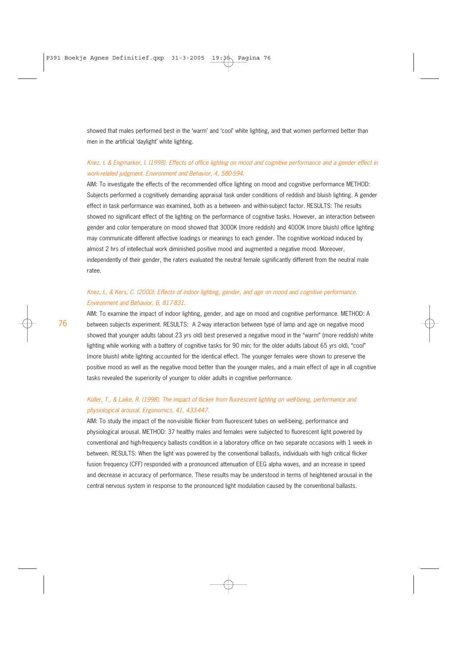showed that males performed best in the 'warm' and 'cool' white lighting, and that women performed better than men in the artificial 'daylight' white lighting.

## Knez, I. & Engmarker, I. (1998). Effects of office lighting on mood and cognitive performance and a gender effect in work-related judgment. Environment and Behavior, 4, 580-594.

AIM: To investigate the effects of the recommended office lighting on mood and cognitive performance METHOD: Subjects performed a cognitively demanding appraisal task under conditions of reddish and bluish lighting. A gender effect in task performance was examined, both as a between- and within-subject factor. RESULTS: The results showed no significant effect of the lighting on the performance of cognitive tasks. However, an interaction between gender and color temperature on mood showed that 3000K (more reddish) and 4000K (more bluish) office lighting may communicate different affective loadings or meanings to each gender. The cognitive workload induced by almost 2 hrs of intellectual work diminished positive mood and augmented a negative mood. Moreover, independently of their gender, the raters evaluated the neutral female significantly different from the neutral male ratee.

## Knez, I., & Kers, C. (2000). Effects of indoor lighting, gender, and age on mood and cognitive performance. Environment and Behavior, 6, 817-831.

AIM: To examine the impact of indoor lighting, gender, and age on mood and cognitive performance. METHOD: A between subjects experiment. RESULTS: A 2-way interaction between type of lamp and age on negative mood showed that younger adults (about 23 yrs old) best preserved a negative mood in the "warm" (more reddish) white lighting while working with a battery of cognitive tasks for 90 min; for the older adults (about 65 yrs old), "cool" (more bluish) white lighting accounted for the identical effect. The younger females were shown to preserve the positive mood as well as the negative mood better than the younger males, and a main effect of age in all cognitive tasks revealed the superiority of younger to older adults in cognitive performance.

## Küller, T., & Laike, R. (1998). The impact of flicker from fluorescent lighting on well-being, performance and physiological arousal. Ergonomics, 41, 433-447.

AIM: To study the impact of the non-visible flicker from fluorescent tubes on well-being, performance and physiological arousal. METHOD: 37 healthy males and females were subjected to fluorescent light powered by conventional and high-frequency ballasts condition in a laboratory office on two separate occasions with 1 week in between. RESULTS: When the light was powered by the conventional ballasts, individuals with high critical flicker fusion frequency (CFF) responded with a pronounced attenuation of EEG alpha waves, and an increase in speed and decrease in accuracy of performance. These results may be understood in terms of heightened arousal in the central nervous system in response to the pronounced light modulation caused by the conventional ballasts.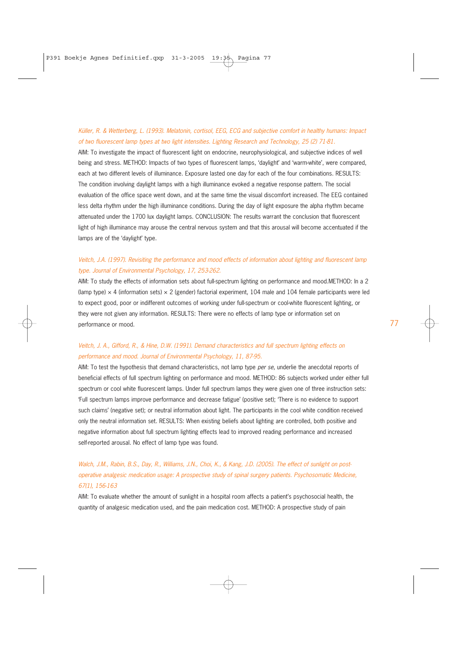## Küller, R. & Wetterberg, L. (1993). Melatonin, cortisol, EEG, ECG and subjective comfort in healthy humans: Impact of two fluorescent lamp types at two light intensities. Lighting Research and Technology, 25 (2) 71-81.

AIM: To investigate the impact of fluorescent light on endocrine, neurophysiological, and subjective indices of well being and stress. METHOD: Impacts of two types of fluorescent lamps, 'daylight' and 'warm-white', were compared, each at two different levels of illuminance. Exposure lasted one day for each of the four combinations. RESULTS: The condition involving daylight lamps with a high illuminance evoked a negative response pattern. The social evaluation of the office space went down, and at the same time the visual discomfort increased. The EEG contained less delta rhythm under the high illuminance conditions. During the day of light exposure the alpha rhythm became attenuated under the 1700 lux daylight lamps. CONCLUSION: The results warrant the conclusion that fluorescent light of high illuminance may arouse the central nervous system and that this arousal will become accentuated if the lamps are of the 'daylight' type.

## Veitch, J.A. (1997). Revisiting the performance and mood effects of information about lighting and fluorescent lamp type. Journal of Environmental Psychology, 17, 253-262.

AIM: To study the effects of information sets about full-spectrum lighting on performance and mood.METHOD: In a 2 (lamp type)  $\times$  4 (information sets)  $\times$  2 (gender) factorial experiment, 104 male and 104 female participants were led to expect good, poor or indifferent outcomes of working under full-spectrum or cool-white fluorescent lighting, or they were not given any information. RESULTS: There were no effects of lamp type or information set on performance or mood.

## Veitch, J. A., Gifford, R., & Hine, D.W. (1991). Demand characteristics and full spectrum lighting effects on performance and mood. Journal of Environmental Psychology, 11, 87-95.

AIM: To test the hypothesis that demand characteristics, not lamp type *per se*, underlie the anecdotal reports of beneficial effects of full spectrum lighting on performance and mood. METHOD: 86 subjects worked under either full spectrum or cool white fluorescent lamps. Under full spectrum lamps they were given one of three instruction sets: 'Full spectrum lamps improve performance and decrease fatigue' (positive set); 'There is no evidence to support such claims' (negative set); or neutral information about light. The participants in the cool white condition received only the neutral information set. RESULTS: When existing beliefs about lighting are controlled, both positive and negative information about full spectrum lighting effects lead to improved reading performance and increased self-reported arousal. No effect of lamp type was found.

## Walch, J.M., Rabin, B.S., Day, R., Williams, J.N., Choi, K., & Kang, J.D. (2005). The effect of sunlight on postoperative analgesic medication usage: A prospective study of spinal surgery patients. Psychosomatic Medicine, 67(1), 156-163

AIM: To evaluate whether the amount of sunlight in a hospital room affects a patient's psychosocial health, the quantity of analgesic medication used, and the pain medication cost. METHOD: A prospective study of pain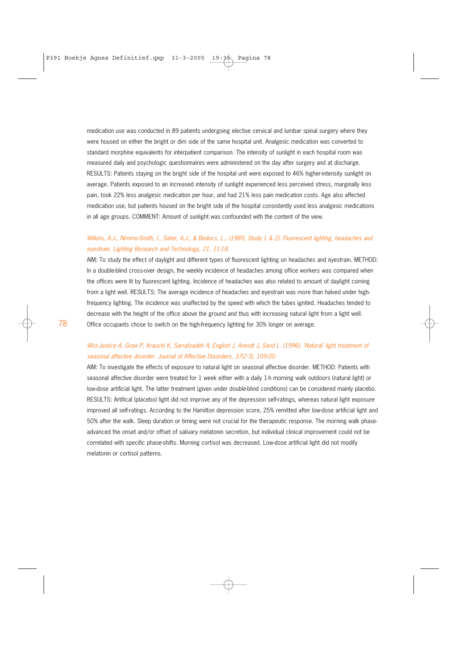medication use was conducted in 89 patients undergoing elective cervical and lumbar spinal surgery where they were housed on either the bright or dim side of the same hospital unit. Analgesic medication was converted to standard morphine equivalents for interpatient comparison. The intensity of sunlight in each hospital room was measured daily and psychologic questionnaires were administered on the day after surgery and at discharge. RESULTS: Patients staying on the bright side of the hospital unit were exposed to 46% higher-intensity sunlight on average. Patients exposed to an increased intensity of sunlight experienced less perceived stress, marginally less pain, took 22% less analgesic medication per hour, and had 21% less pain medication costs. Age also affected medication use, but patients housed on the bright side of the hospital consistently used less analgesic medications in all age groups. COMMENT: Amount of sunlight was confounded with the content of the view.

## Wilkins, A.J., Nimmo-Smith, I., Sater, A.J., & Bedocs, L., (1989, Study 1 & 2). Fluorescent lighting, headaches and eyestrain. Lighting Research and Technology, 21, 11-18.

AIM: To study the effect of daylight and different types of fluorescent lighting on headaches and eyestrain. METHOD: In a double-blind cross-over design, the weekly incidence of headaches among office workers was compared when the offices were lit by fluorescent lighting. Incidence of headaches was also related to amount of daylight coming from a light well. RESULTS: The average incidence of headaches and eyestrain was more than halved under highfrequency lighting. The incidence was unaffected by the speed with which the tubes ignited. Headaches tended to decrease with the height of the office above the ground and thus with increasing natural light from a light well. Office occupants chose to switch on the high-frequency lighting for 30% longer on average.

## Wirz-Justice A, Graw P, Krauchi K, Sarrafzadeh A, English J, Arendt J, Sand L. (1996). 'Natural' light treatment of seasonal affective disorder. Journal of Affective Disorders, 37(2-3), 109-20.

AIM: To investigate the effects of exposure to natural light on seasonal affective disorder. METHOD: Patients with seasonal affective disorder were treated for 1 week either with a daily 1-h morning walk outdoors (natural light) or low-dose artificial light. The latter treatment (given under double-blind conditions) can be considered mainly placebo. RESULTS: Artifical (placebo) light did not improve any of the depression self-ratings, whereas natural light exposure improved all self-ratings. According to the Hamilton depression score, 25% remitted after low-dose artificial light and 50% after the walk. Sleep duration or timing were not crucial for the therapeutic response. The morning walk phaseadvanced the onset and/or offset of salivary melatonin secretion, but individual clinical improvement could not be correlated with specific phase-shifts. Morning cortisol was decreased. Low-dose artificial light did not modify melatonin or cortisol patterns.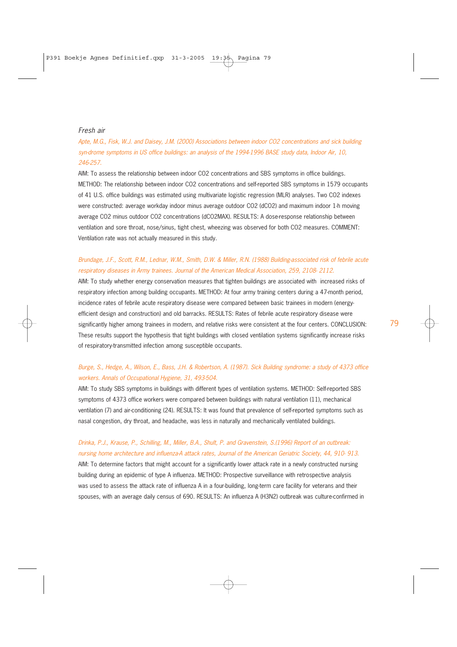#### Fresh air

## Apte, M.G., Fisk, W.J. and Daisey, J.M. (2000) Associations between indoor CO2 concentrations and sick building syn-drome symptoms in US office buildings: an analysis of the 1994-1996 BASE study data, Indoor Air, 10, 246-257.

AIM: To assess the relationship between indoor CO2 concentrations and SBS symptoms in office buildings. METHOD: The relationship between indoor CO2 concentrations and self-reported SBS symptoms in 1579 occupants of 41 U.S. office buildings was estimated using multivariate logistic regression (MLR) analyses. Two CO2 indexes were constructed: average workday indoor minus average outdoor CO2 (dCO2) and maximum indoor 1-h moving average CO2 minus outdoor CO2 concentrations (dCO2MAX). RESULTS: A dose-response relationship between ventilation and sore throat, nose/sinus, tight chest, wheezing was observed for both CO2 measures. COMMENT: Ventilation rate was not actually measured in this study.

## Brundage, J.F., Scott, R.M., Lednar, W.M., Smith, D.W. & Miller, R.N. (1988) Building-associated risk of febrile acute respiratory diseases in Army trainees. Journal of the American Medical Association, 259, 2108- 2112.

AIM: To study whether energy conservation measures that tighten buildings are associated with increased risks of respiratory infection among building occupants. METHOD: At four army training centers during a 47-month period, incidence rates of febrile acute respiratory disease were compared between basic trainees in modern (energyefficient design and construction) and old barracks. RESULTS: Rates of febrile acute respiratory disease were significantly higher among trainees in modern, and relative risks were consistent at the four centers. CONCLUSION: These results support the hypothesis that tight buildings with closed ventilation systems significantly increase risks of respiratory-transmitted infection among susceptible occupants.

## Burge, S., Hedge, A., Wilson, E., Bass, J.H. & Robertson, A. (1987). Sick Building syndrome: a study of 4373 office workers. Annals of Occupational Hygiene, 31, 493-504.

AIM: To study SBS symptoms in buildings with different types of ventilation systems. METHOD: Self-reported SBS symptoms of 4373 office workers were compared between buildings with natural ventilation (11), mechanical ventilation (7) and air-conditioning (24). RESULTS: It was found that prevalence of self-reported symptoms such as nasal congestion, dry throat, and headache, was less in naturally and mechanically ventilated buildings.

## Drinka, P.J., Krause, P., Schilling, M., Miller, B.A., Shult, P. and Gravenstein, S.(1996) Report of an outbreak: nursing home architecture and influenza-A attack rates, Journal of the American Geriatric Society, 44, 910-913.

AIM: To determine factors that might account for a significantly lower attack rate in a newly constructed nursing building during an epidemic of type A influenza. METHOD: Prospective surveillance with retrospective analysis was used to assess the attack rate of influenza A in a four-building, long-term care facility for veterans and their spouses, with an average daily census of 690. RESULTS: An influenza A (H3N2) outbreak was culture-confirmed in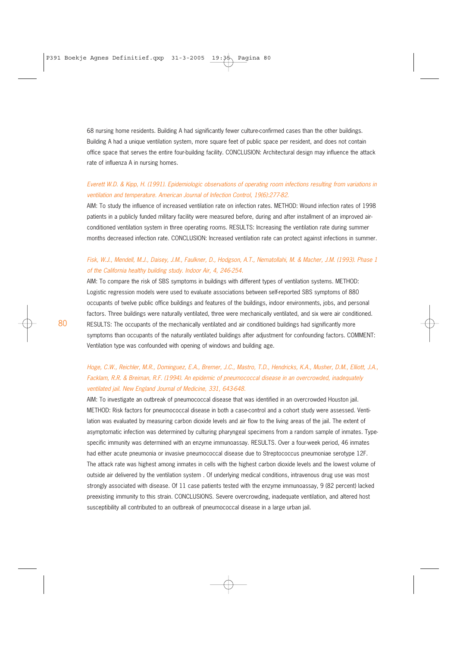68 nursing home residents. Building A had significantly fewer culture-confirmed cases than the other buildings. Building A had a unique ventilation system, more square feet of public space per resident, and does not contain office space that serves the entire four-building facility. CONCLUSION: Architectural design may influence the attack rate of influenza A in nursing homes.

#### Everett W.D. & Kipp, H. (1991). Epidemiologic observations of operating room infections resulting from variations in ventilation and temperature. American Journal of Infection Control, 19(6):277-82.

AIM: To study the influence of increased ventilation rate on infection rates. METHOD: Wound infection rates of 1998 patients in a publicly funded military facility were measured before, during and after installment of an improved airconditioned ventilation system in three operating rooms. RESULTS: Increasing the ventilation rate during summer months decreased infection rate. CONCLUSION: Increased ventilation rate can protect against infections in summer.

## Fisk, W.J., Mendell, M.J., Daisey, J.M., Faulkner, D., Hodgson, A.T., Nematollahi, M. & Macher, J.M. (1993). Phase 1 of the California healthy building study. Indoor Air, 4, 246-254.

AIM: To compare the risk of SBS symptoms in buildings with different types of ventilation systems. METHOD: Logistic regression models were used to evaluate associations between self-reported SBS symptoms of 880 occupants of twelve public office buildings and features of the buildings, indoor environments, jobs, and personal factors. Three buildings were naturally ventilated, three were mechanically ventilated, and six were air conditioned. RESULTS: The occupants of the mechanically ventilated and air conditioned buildings had significantly more symptoms than occupants of the naturally ventilated buildings after adjustment for confounding factors. COMMENT: Ventilation type was confounded with opening of windows and building age.

## Hoge, C.W., Reichler, M.R., Dominguez, E.A., Bremer, J.C., Mastro, T.D., Hendricks, K.A., Musher, D.M., Elliott, J.A., Facklam, R.R. & Breiman, R.F. (1994). An epidemic of pneumococcal disease in an overcrowded, inadequately ventilated jail. New England Journal of Medicine, 331, 643-648.

AIM: To investigate an outbreak of pneumococcal disease that was identified in an overcrowded Houston jail. METHOD: Risk factors for pneumococcal disease in both a case-control and a cohort study were assessed. Ventilation was evaluated by measuring carbon dioxide levels and air flow to the living areas of the jail. The extent of asymptomatic infection was determined by culturing pharyngeal specimens from a random sample of inmates. Typespecific immunity was determined with an enzyme immunoassay. RESULTS. Over a four-week period, 46 inmates had either acute pneumonia or invasive pneumococcal disease due to Streptococcus pneumoniae serotype 12F. The attack rate was highest among inmates in cells with the highest carbon dioxide levels and the lowest volume of outside air delivered by the ventilation system . Of underlying medical conditions, intravenous drug use was most strongly associated with disease. Of 11 case patients tested with the enzyme immunoassay, 9 (82 percent) lacked preexisting immunity to this strain. CONCLUSIONS. Severe overcrowding, inadequate ventilation, and altered host susceptibility all contributed to an outbreak of pneumococcal disease in a large urban jail.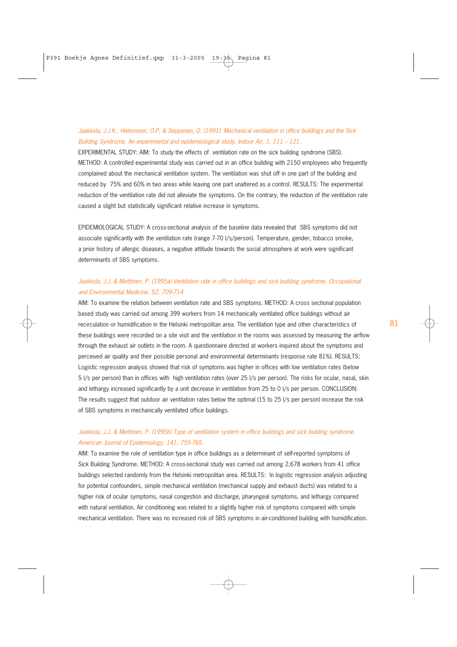## Jaakkola, J.J.K., Heinoneon, O.P, & Seppanen, O. (1991). Mechanical ventilation in office buildings and the Sick Building Syndrome. An experimental and epidemiological study. Indoor Air, 1, 111 - 121.

EXPERIMENTAL STUDY: AIM: To study the effects of ventilation rate on the sick building syndrome (SBS). METHOD: A controlled experimental study was carried out in an office building with 2150 employees who frequently complained about the mechanical ventilation system. The ventilation was shut off in one part of the building and reduced by 75% and 60% in two areas while leaving one part unaltered as a control. RESULTS: The experimental reduction of the ventilation rate did not alleviate the symptoms. On the contrary, the reduction of the ventilation rate caused a slight but statistically significant relative increase in symptoms.

EPIDEMIOLOGICAL STUDY: A cross-sectional analysis of the baseline data revealed that SBS symptoms did not associate significantly with the ventilation rate (range 7-70 l/s/person). Temperature, gender, tobacco smoke, a prior history of allergic diseases, a negative attitude towards the social atmosphere at work were significant determinants of SBS symptoms.

## Jaakkola, J.J. & Miettinen, P. (1995a) Ventilation rate in office buildings and sick building syndrome. Occupational and Environmental Medicine, 52, 709-714.

AIM: To examine the relation between ventilation rate and SBS symptoms. METHOD: A cross sectional population based study was carried out among 399 workers from 14 mechanically ventilated office buildings without air recirculation or humidification in the Helsinki metropolitan area. The ventilation type and other characteristics of these buildings were recorded on a site visit and the ventilation in the rooms was assessed by measuring the airflow through the exhaust air outlets in the room. A questionnaire directed at workers inquired about the symptoms and perceived air quality and their possible personal and environmental determinants (response rate 81%). RESULTS: Logistic regression analysis showed that risk of symptoms was higher in offices with low ventilation rates (below 5 l/s per person) than in offices with high ventilation rates (over 25 l/s per person). The risks for ocular, nasal, skin and lethargy increased significantly by a unit decrease in ventilation from 25 to 0 l/s per person. CONCLUSION: The results suggest that outdoor air ventilation rates below the optimal (15 to 25 l/s per person) increase the risk of SBS symptoms in mechanically ventilated office buildings.

## Jaakkola, J.J. & Miettinen, P. (1995b) Type of ventilation system in office buildings and sick building syndrome. American Journal of Epidemiology, 141, 755-765.

AIM: To examine the role of ventilation type in office buildings as a determinant of self-reported symptoms of Sick Building Syndrome. METHOD: A cross-sectional study was carried out among 2,678 workers from 41 office buildings selected randomly from the Helsinki metropolitan area. RESULTS: In logistic regression analysis adjusting for potential confounders, simple mechanical ventilation (mechanical supply and exhaust ducts) was related to a higher risk of ocular symptoms, nasal congestion and discharge, pharyngeal symptoms, and lethargy compared with natural ventilation. Air conditioning was related to a slightly higher risk of symptoms compared with simple mechanical ventilation. There was no increased risk of SBS symptoms in air-conditioned building with humidification.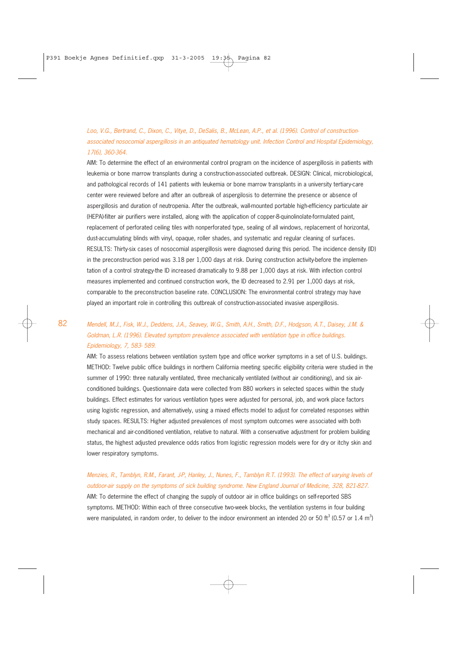## Loo, V.G., Bertrand, C., Dixon, C., Vitye, D., DeSalis, B., McLean, A.P., et al. (1996). Control of constructionassociated nosocomial aspergillosis in an antiquated hematology unit. Infection Control and Hospital Epidemiology, 17(6), 360-364.

AIM: To determine the effect of an environmental control program on the incidence of aspergillosis in patients with leukemia or bone marrow transplants during a construction-associated outbreak. DESIGN: Clinical, microbiological, and pathological records of 141 patients with leukemia or bone marrow transplants in a university tertiary-care center were reviewed before and after an outbreak of aspergilosis to determine the presence or absence of aspergillosis and duration of neutropenia. After the outbreak, wall-mounted portable high-efficiency particulate air (HEPA)-filter air purifiers were installed, along with the application of copper-8-quinolinolate-formulated paint, replacement of perforated ceiling tiles with nonperforated type, sealing of all windows, replacement of horizontal, dust-accumulating blinds with vinyl, opaque, roller shades, and systematic and regular cleaning of surfaces. RESULTS: Thirty-six cases of nosocomial aspergillosis were diagnosed during this period. The incidence density (ID) in the preconstruction period was 3.18 per 1,000 days at risk. During construction activity-before the implementation of a control strategy-the ID increased dramatically to 9.88 per 1,000 days at risk. With infection control measures implemented and continued construction work, the ID decreased to 2.91 per 1,000 days at risk, comparable to the preconstruction baseline rate. CONCLUSION: The environmental control strategy may have played an important role in controlling this outbreak of construction-associated invasive aspergillosis.

## Mendell, M.J., Fisk, W.J., Deddens, J.A., Seavey, W.G., Smith, A.H., Smith, D.F., Hodgson, A.T., Daisey, J.M. & Goldman, L.R. (1996). Elevated symptom prevalence associated with ventilation type in office buildings. Epidemiology, 7, 583- 589.

AIM: To assess relations between ventilation system type and office worker symptoms in a set of U.S. buildings. METHOD: Twelve public office buildings in northern California meeting specific eligibility criteria were studied in the summer of 1990: three naturally ventilated, three mechanically ventilated (without air conditioning), and six airconditioned buildings. Questionnaire data were collected from 880 workers in selected spaces within the study buildings. Effect estimates for various ventilation types were adjusted for personal, job, and work place factors using logistic regression, and alternatively, using a mixed effects model to adjust for correlated responses within study spaces. RESULTS: Higher adjusted prevalences of most symptom outcomes were associated with both mechanical and air-conditioned ventilation, relative to natural. With a conservative adjustment for problem building status, the highest adjusted prevalence odds ratios from logistic regression models were for dry or itchy skin and lower respiratory symptoms.

Menzies, R., Tamblyn, R.M., Farant, J-P, Hanley, J., Nunes, F., Tamblyn R.T. (1993). The effect of varying levels of outdoor-air supply on the symptoms of sick building syndrome. New England Journal of Medicine, 328, 821-827. AIM: To determine the effect of changing the supply of outdoor air in office buildings on self-reported SBS symptoms. METHOD: Within each of three consecutive two-week blocks, the ventilation systems in four building were manipulated, in random order, to deliver to the indoor environment an intended 20 or 50 ft<sup>3</sup> (0.57 or 1.4 m<sup>3</sup>)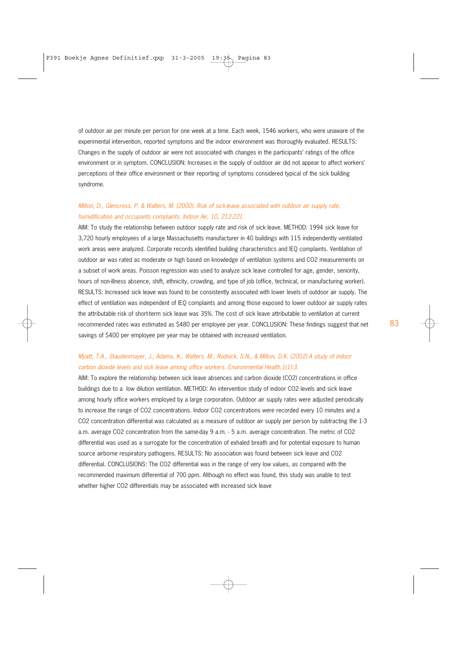of outdoor air per minute per person for one week at a time. Each week, 1546 workers, who were unaware of the experimental intervention, reported symptoms and the indoor environment was thoroughly evaluated. RESULTS: Changes in the supply of outdoor air were not associated with changes in the participants' ratings of the office environment or in symptom. CONCLUSION: Increases in the supply of outdoor air did not appear to affect workers' perceptions of their office environment or their reporting of symptoms considered typical of the sick building syndrome.

## Milton, D., Glencross, P. & Walters, M. (2000). Risk of sick-leave associated with outdoor air supply rate, humidification and occupants complaints. Indoor Air, 10, 212-221.

AIM: To study the relationship between outdoor supply rate and risk of sick leave. METHOD: 1994 sick leave for 3,720 hourly employees of a large Massachusetts manufacturer in 40 buildings with 115 independently ventilated work areas were analyzed. Corporate records identified building characteristics and IEQ complaints. Ventilation of outdoor air was rated as moderate or high based on knowledge of ventilation systems and CO2 measurements on a subset of work areas. Poisson regression was used to analyze sick leave controlled for age, gender, seniority, hours of non-illness absence, shift, ethnicity, crowding, and type of job (office, technical, or manufacturing worker). RESULTS: Increased sick leave was found to be consistently associated with lower levels of outdoor air supply. The effect of ventilation was independent of IEQ complaints and among those exposed to lower outdoor air supply rates the attributable risk of short-term sick leave was 35%. The cost of sick leave attributable to ventilation at current recommended rates was estimated as \$480 per employee per year. CONCLUSION: These findings suggest that net savings of \$400 per employee per year may be obtained with increased ventilation.

## Myatt, T.A., Staudenmayer, J., Adams, K., Walters, M., Rudnick, S.N., & Milton, D.K. (2002) A study of indoor carbon dioxide levels and sick leave among office workers. Environmental Health,1(1):3.

AIM: To explore the relationship between sick leave absences and carbon dioxide (CO2) concentrations in office buildings due to a low dilution ventilation. METHOD: An intervention study of indoor CO2 levels and sick leave among hourly office workers employed by a large corporation. Outdoor air supply rates were adjusted periodically to increase the range of CO2 concentrations. Indoor CO2 concentrations were recorded every 10 minutes and a CO2 concentration differential was calculated as a measure of outdoor air supply per person by subtracting the 1-3 a.m. average CO2 concentration from the same-day 9 a.m. - 5 a.m. average concentration. The metric of CO2 differential was used as a surrogate for the concentration of exhaled breath and for potential exposure to human source airborne respiratory pathogens. RESULTS: No association was found between sick leave and CO2 differential. CONCLUSIONS: The CO2 differential was in the range of very low values, as compared with the recommended maximum differential of 700 ppm. Although no effect was found, this study was unable to test whether higher CO2 differentials may be associated with increased sick leave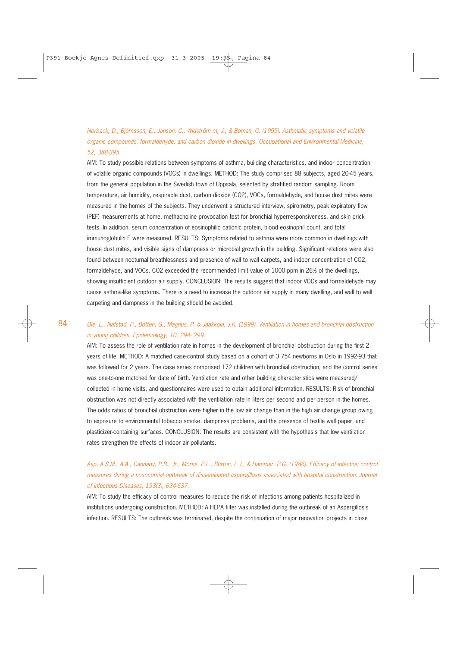## Norbäck, D., Björnsson, E., Janson, C., Widström m, J., & Boman, G. (1995). Asthmatic symptoms and volatile organic compounds, formaldehyde, and carbon dioxide in dwellings. Occupational and Environmental Medicine, 52, 388-395.

AIM: To study possible relations between symptoms of asthma, building characteristics, and indoor concentration of volatile organic compounds (VOCs) in dwellings. METHOD: The study comprised 88 subjects, aged 20-45 years, from the general population in the Swedish town of Uppsala, selected by stratified random sampling. Room temperature, air humidity, respirable dust, carbon dioxide (CO2), VOCs, formaldehyde, and house dust mites were measured in the homes of the subjects. They underwent a structured interview, spirometry, peak expiratory flow (PEF) measurements at home, methacholine provocation test for bronchial hyperresponsiveness, and skin prick tests. In addition, serum concentration of eosinophilic cationic protein, blood eosinophil count, and total immunoglobulin E were measured. RESULTS: Symptoms related to asthma were more common in dwellings with house dust mites, and visible signs of dampness or microbial growth in the building. Significant relations were also found between nocturnal breathlessness and presence of wall to wall carpets, and indoor concentration of CO2, formaldehyde, and VOCs. CO2 exceeded the recommended limit value of 1000 ppm in 26% of the dwellings, showing insufficient outdoor air supply. CONCLUSION: The results suggest that indoor VOCs and formaldehyde may cause asthma-like symptoms. There is a need to increase the outdoor air supply in many dwelling, and wall to wall carpeting and dampness in the building should be avoided.

## Øie, L., Nafstad, P., Botten, G., Magnus, P. & Jaakkola, J.K. (1999). Ventilation in homes and bronchial obstruction in young children. Epidemiology, 10, 294- 299.

AIM: To assess the role of ventilation rate in homes in the development of bronchial obstruction during the first 2 years of life. METHOD: A matched case-control study based on a cohort of 3,754 newborns in Oslo in 1992-93 that was followed for 2 years. The case series comprised 172 children with bronchial obstruction, and the control series was one-to-one matched for date of birth. Ventilation rate and other building characteristics were measured/ collected in home visits, and questionnaires were used to obtain additional information. RESULTS: Risk of bronchial obstruction was not directly associated with the ventilation rate in liters per second and per person in the homes. The odds ratios of bronchial obstruction were higher in the low air change than in the high air change group owing to exposure to environmental tobacco smoke, dampness problems, and the presence of textile wall paper, and plasticizer-containing surfaces. CONCLUSION: The results are consistent with the hypothesis that low ventilation rates strengthen the effects of indoor air pollutants.

# Asp, A.S.M., A.A., Cannady, P.B., Jr., Morse, P.L., Burton, L.J., & Hammer, P.G. (1986). Efficacy of infection control measures during a nosocomial outbreak of disseminated aspergillosis associated with hospital construction. Journal of Infectious Diseases, 153(3), 634-637.

AIM: To study the efficacy of control measures to reduce the risk of infections among patients hospitalized in institutions undergoing construction. METHOD: A HEPA filter was installed during the outbreak of an Aspergillosis infection. RESULTS: The outbreak was terminated, despite the continuation of major renovation projects in close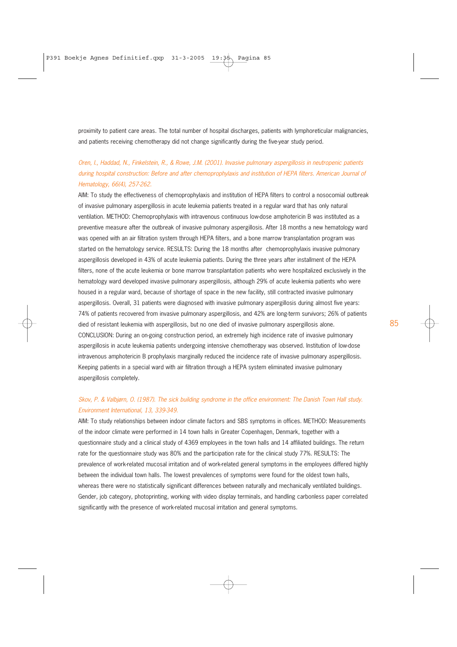proximity to patient care areas. The total number of hospital discharges, patients with lymphoreticular malignancies, and patients receiving chemotherapy did not change significantly during the five-year study period.

## Oren, I., Haddad, N., Finkelstein, R., & Rowe, J.M. (2001). Invasive pulmonary aspergillosis in neutropenic patients during hospital construction: Before and after chemoprophylaxis and institution of HEPA filters. American Journal of Hematology, 66(4), 257-262.

AIM: To study the effectiveness of chemoprophylaxis and institution of HEPA filters to control a nosocomial outbreak of invasive pulmonary aspergillosis in acute leukemia patients treated in a regular ward that has only natural ventilation. METHOD: Chemoprophylaxis with intravenous continuous low-dose amphotericin B was instituted as a preventive measure after the outbreak of invasive pulmonary aspergillosis. After 18 months a new hematology ward was opened with an air filtration system through HEPA filters, and a bone marrow transplantation program was started on the hematology service. RESULTS: During the 18 months after chemoprophylaxis invasive pulmonary aspergillosis developed in 43% of acute leukemia patients. During the three years after installment of the HEPA filters, none of the acute leukemia or bone marrow transplantation patients who were hospitalized exclusively in the hematology ward developed invasive pulmonary aspergillosis, although 29% of acute leukemia patients who were housed in a regular ward, because of shortage of space in the new facility, still contracted invasive pulmonary aspergillosis. Overall, 31 patients were diagnosed with invasive pulmonary aspergillosis during almost five years: 74% of patients recovered from invasive pulmonary aspergillosis, and 42% are long-term survivors; 26% of patients died of resistant leukemia with aspergillosis, but no one died of invasive pulmonary aspergillosis alone. CONCLUSION: During an on-going construction period, an extremely high incidence rate of invasive pulmonary aspergillosis in acute leukemia patients undergoing intensive chemotherapy was observed. Institution of low-dose intravenous amphotericin B prophylaxis marginally reduced the incidence rate of invasive pulmonary aspergillosis. Keeping patients in a special ward with air filtration through a HEPA system eliminated invasive pulmonary aspergillosis completely.

## Skov, P. & Valbjørn, O. (1987). The sick building syndrome in the office environment: The Danish Town Hall study. Environment International, 13, 339-349.

AIM: To study relationships between indoor climate factors and SBS symptoms in offices. METHOD: Measurements of the indoor climate were performed in 14 town halls in Greater Copenhagen, Denmark, together with a questionnaire study and a clinical study of 4369 employees in the town halls and 14 affiliated buildings. The return rate for the questionnaire study was 80% and the participation rate for the clinical study 77%. RESULTS: The prevalence of work-related mucosal irritation and of work-related general symptoms in the employees differed highly between the individual town halls. The lowest prevalences of symptoms were found for the oldest town halls, whereas there were no statistically significant differences between naturally and mechanically ventilated buildings. Gender, job category, photoprinting, working with video display terminals, and handling carbonless paper correlated significantly with the presence of work-related mucosal irritation and general symptoms.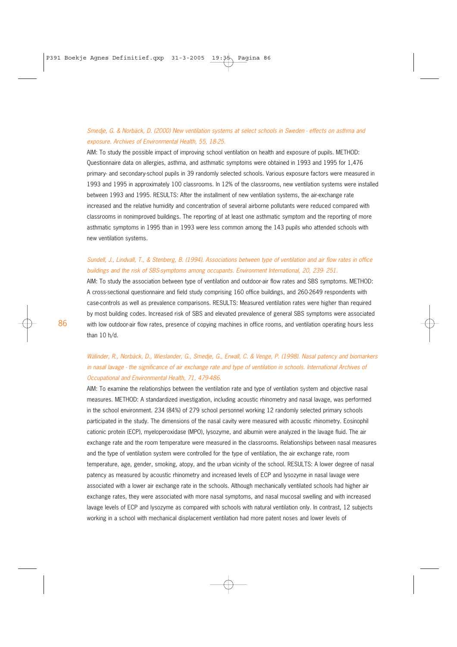## Smedje, G. & Norbäck, D. (2000) New ventilation systems at select schools in Sweden - effects on asthma and exposure. Archives of Environmental Health, 55, 18-25.

AIM: To study the possible impact of improving school ventilation on health and exposure of pupils. METHOD: Questionnaire data on allergies, asthma, and asthmatic symptoms were obtained in 1993 and 1995 for 1,476 primary- and secondary-school pupils in 39 randomly selected schools. Various exposure factors were measured in 1993 and 1995 in approximately 100 classrooms. In 12% of the classrooms, new ventilation systems were installed between 1993 and 1995. RESULTS: After the installment of new ventilation systems, the air-exchange rate increased and the relative humidity and concentration of several airborne pollutants were reduced compared with classrooms in nonimproved buildings. The reporting of at least one asthmatic symptom and the reporting of more asthmatic symptoms in 1995 than in 1993 were less common among the 143 pupils who attended schools with new ventilation systems.

## Sundell, J., Lindvall, T., & Stenberg, B. (1994). Associations between type of ventilation and air flow rates in office buildings and the risk of SBS-symptoms among occupants. Environment International, 20, 239- 251.

AIM: To study the association between type of ventilation and outdoor-air flow rates and SBS symptoms. METHOD: A cross-sectional questionnaire and field study comprising 160 office buildings, and 260-2649 respondents with case-controls as well as prevalence comparisons. RESULTS: Measured ventilation rates were higher than required by most building codes. Increased risk of SBS and elevated prevalence of general SBS symptoms were associated with low outdoor-air flow rates, presence of copying machines in office rooms, and ventilation operating hours less than 10 h/d.

## Wälinder, R., Norbäck, D., Wieslander, G., Smedje, G., Erwall, C. & Venge, P. (1998). Nasal patency and biomarkers in nasal lavage - the significance of air exchange rate and type of ventilation in schools. International Archives of Occupational and Environmental Health, 71, 479-486.

AIM: To examine the relationships between the ventilation rate and type of ventilation system and objective nasal measures. METHOD: A standardized investigation, including acoustic rhinometry and nasal lavage, was performed in the school environment. 234 (84%) of 279 school personnel working 12 randomly selected primary schools participated in the study. The dimensions of the nasal cavity were measured with acoustic rhinometry. Eosinophil cationic protein (ECP), myeloperoxidase (MPO), lysozyme, and albumin were analyzed in the lavage fluid. The air exchange rate and the room temperature were measured in the classrooms. Relationships between nasal measures and the type of ventilation system were controlled for the type of ventilation, the air exchange rate, room temperature, age, gender, smoking, atopy, and the urban vicinity of the school. RESULTS: A lower degree of nasal patency as measured by acoustic rhinometry and increased levels of ECP and lysozyme in nasal lavage were associated with a lower air exchange rate in the schools. Although mechanically ventilated schools had higher air exchange rates, they were associated with more nasal symptoms, and nasal mucosal swelling and with increased lavage levels of ECP and lysozyme as compared with schools with natural ventilation only. In contrast, 12 subjects working in a school with mechanical displacement ventilation had more patent noses and lower levels of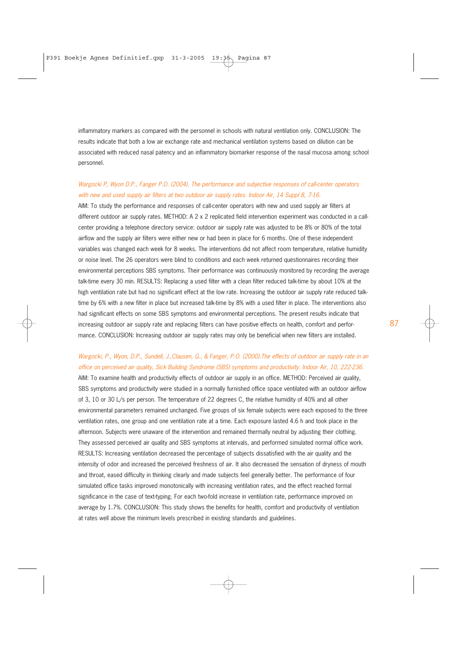inflammatory markers as compared with the personnel in schools with natural ventilation only. CONCLUSION: The results indicate that both a low air exchange rate and mechanical ventilation systems based on dilution can be associated with reduced nasal patency and an inflammatory biomarker response of the nasal mucosa among school personnel.

#### Wargocki P, Wyon D.P., Fanger P.O. (2004). The performance and subjective responses of call-center operators with new and used supply air filters at two outdoor air supply rates. Indoor Air, 14 Suppl 8, 7-16.

AIM: To study the performance and responses of call-center operators with new and used supply air filters at different outdoor air supply rates. METHOD: A 2 x 2 replicated field intervention experiment was conducted in a callcenter providing a telephone directory service: outdoor air supply rate was adjusted to be 8% or 80% of the total airflow and the supply air filters were either new or had been in place for 6 months. One of these independent variables was changed each week for 8 weeks. The interventions did not affect room temperature, relative humidity or noise level. The 26 operators were blind to conditions and each week returned questionnaires recording their environmental perceptions SBS symptoms. Their performance was continuously monitored by recording the average talk-time every 30 min. RESULTS: Replacing a used filter with a clean filter reduced talk-time by about 10% at the high ventilation rate but had no significant effect at the low rate. Increasing the outdoor air supply rate reduced talktime by 6% with a new filter in place but increased talk-time by 8% with a used filter in place. The interventions also had significant effects on some SBS symptoms and environmental perceptions. The present results indicate that increasing outdoor air supply rate and replacing filters can have positive effects on health, comfort and performance. CONCLUSION: Increasing outdoor air supply rates may only be beneficial when new filters are installed.

#### Wargocki, P., Wyon, D.P., Sundell, J.,Clausen, G., & Fanger, P.O. (2000).The effects of outdoor air supply rate in an office on perceived air quality, Sick Building Syndrome (SBS) symptoms and productivity. Indoor Air, 10, 222-236.

AIM: To examine health and productivity effects of outdoor air supply in an office. METHOD: Perceived air quality, SBS symptoms and productivity were studied in a normally furnished office space ventilated with an outdoor airflow of 3, 10 or 30 L/s per person. The temperature of 22 degrees C, the relative humidity of 40% and all other environmental parameters remained unchanged. Five groups of six female subjects were each exposed to the three ventilation rates, one group and one ventilation rate at a time. Each exposure lasted 4.6 h and took place in the afternoon. Subjects were unaware of the intervention and remained thermally neutral by adjusting their clothing. They assessed perceived air quality and SBS symptoms at intervals, and performed simulated normal office work. RESULTS: Increasing ventilation decreased the percentage of subjects dissatisfied with the air quality and the intensity of odor and increased the perceived freshness of air. It also decreased the sensation of dryness of mouth and throat, eased difficulty in thinking clearly and made subjects feel generally better. The performance of four simulated office tasks improved monotonically with increasing ventilation rates, and the effect reached formal significance in the case of text-typing. For each two-fold increase in ventilation rate, performance improved on average by 1.7%. CONCLUSION: This study shows the benefits for health, comfort and productivity of ventilation at rates well above the minimum levels prescribed in existing standards and guidelines.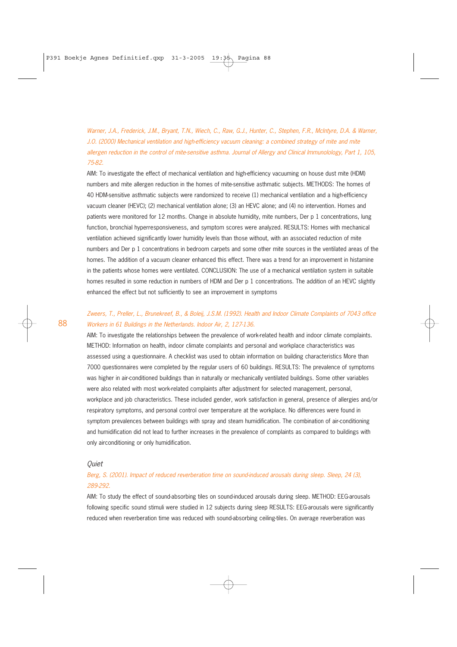Warner, J.A., Frederick, J.M., Bryant, T.N., Wiech, C., Raw, G.J., Hunter, C., Stephen, F.R., McIntyre, D.A. & Warner, J.O. (2000) Mechanical ventilation and high-efficiency vacuum cleaning: a combined strategy of mite and mite allergen reduction in the control of mite-sensitive asthma. Journal of Allergy and Clinical Immunolology, Part 1, 105, 75-82.

AIM: To investigate the effect of mechanical ventilation and high-efficiency vacuuming on house dust mite (HDM) numbers and mite allergen reduction in the homes of mite-sensitive asthmatic subjects. METHODS: The homes of 40 HDM-sensitive asthmatic subjects were randomized to receive (1) mechanical ventilation and a high-efficiency vacuum cleaner (HEVC); (2) mechanical ventilation alone; (3) an HEVC alone; and (4) no intervention. Homes and patients were monitored for 12 months. Change in absolute humidity, mite numbers, Der p 1 concentrations, lung function, bronchial hyperresponsiveness, and symptom scores were analyzed. RESULTS: Homes with mechanical ventilation achieved significantly lower humidity levels than those without, with an associated reduction of mite numbers and Der p 1 concentrations in bedroom carpets and some other mite sources in the ventilated areas of the homes. The addition of a vacuum cleaner enhanced this effect. There was a trend for an improvement in histamine in the patients whose homes were ventilated. CONCLUSION: The use of a mechanical ventilation system in suitable homes resulted in some reduction in numbers of HDM and Der p 1 concentrations. The addition of an HEVC slightly enhanced the effect but not sufficiently to see an improvement in symptoms

#### Zweers, T., Preller, L., Brunekreef, B., & Boleij, J.S.M. (1992). Health and Indoor Climate Complaints of 7043 office Workers in 61 Buildings in the Netherlands. Indoor Air, 2, 127-136.

AIM: To investigate the relationships between the prevalence of work-related health and indoor climate complaints. METHOD: Information on health, indoor climate complaints and personal and workplace characteristics was assessed using a questionnaire. A checklist was used to obtain information on building characteristics More than 7000 questionnaires were completed by the regular users of 60 buildings. RESULTS: The prevalence of symptoms was higher in air-conditioned buildings than in naturally or mechanically ventilated buildings. Some other variables were also related with most work-related complaints after adjustment for selected management, personal, workplace and job characteristics. These included gender, work satisfaction in general, presence of allergies and/or respiratory symptoms, and personal control over temperature at the workplace. No differences were found in symptom prevalences between buildings with spray and steam humidification. The combination of air-conditioning and humidification did not lead to further increases in the prevalence of complaints as compared to buildings with only airconditioning or only humidification.

#### **Ouiet**

## Berg, S. (2001). Impact of reduced reverberation time on sound-induced arousals during sleep. Sleep, 24 (3), 289-292.

AIM: To study the effect of sound-absorbing tiles on sound-induced arousals during sleep. METHOD: EEG-arousals following specific sound stimuli were studied in 12 subjects during sleep RESULTS: EEG-arousals were significantly reduced when reverberation time was reduced with sound-absorbing ceiling-tiles. On average reverberation was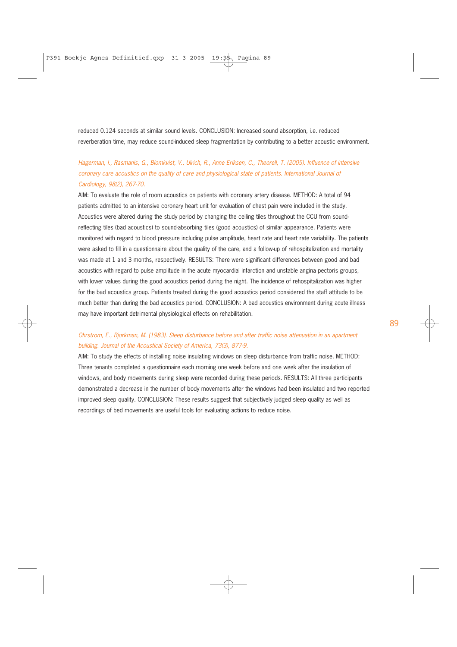reduced 0.124 seconds at similar sound levels. CONCLUSION: Increased sound absorption, i.e. reduced reverberation time, may reduce sound-induced sleep fragmentation by contributing to a better acoustic environment.

## Hagerman, I., Rasmanis, G., Blomkvist, V., Ulrich, R., Anne Eriksen, C., Theorell, T. (2005). Influence of intensive coronary care acoustics on the quality of care and physiological state of patients. International Journal of Cardiology, 98(2), 267-70.

AIM: To evaluate the role of room acoustics on patients with coronary artery disease. METHOD: A total of 94 patients admitted to an intensive coronary heart unit for evaluation of chest pain were included in the study. Acoustics were altered during the study period by changing the ceiling tiles throughout the CCU from soundreflecting tiles (bad acoustics) to sound-absorbing tiles (good acoustics) of similar appearance. Patients were monitored with regard to blood pressure including pulse amplitude, heart rate and heart rate variability. The patients were asked to fill in a questionnaire about the quality of the care, and a follow-up of rehospitalization and mortality was made at 1 and 3 months, respectively. RESULTS: There were significant differences between good and bad acoustics with regard to pulse amplitude in the acute myocardial infarction and unstable angina pectoris groups, with lower values during the good acoustics period during the night. The incidence of rehospitalization was higher for the bad acoustics group. Patients treated during the good acoustics period considered the staff attitude to be much better than during the bad acoustics period. CONCLUSION: A bad acoustics environment during acute illness may have important detrimental physiological effects on rehabilitation.

#### Ohrstrom, E., Bjorkman, M. (1983). Sleep disturbance before and after traffic noise attenuation in an apartment building. Journal of the Acoustical Society of America, 73(3), 877-9.

AIM: To study the effects of installing noise insulating windows on sleep disturbance from traffic noise. METHOD: Three tenants completed a questionnaire each morning one week before and one week after the insulation of windows, and body movements during sleep were recorded during these periods. RESULTS: All three participants demonstrated a decrease in the number of body movements after the windows had been insulated and two reported improved sleep quality. CONCLUSION: These results suggest that subjectively judged sleep quality as well as recordings of bed movements are useful tools for evaluating actions to reduce noise.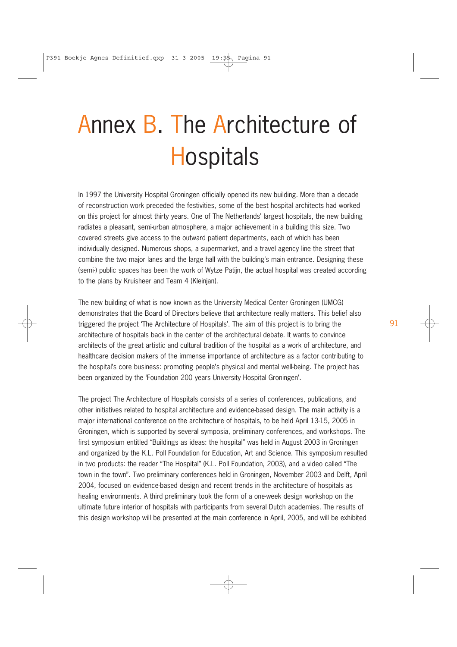# Annex B. The Architecture of **Hospitals**

In 1997 the University Hospital Groningen officially opened its new building. More than a decade of reconstruction work preceded the festivities, some of the best hospital architects had worked on this project for almost thirty years. One of The Netherlands' largest hospitals, the new building radiates a pleasant, semi-urban atmosphere, a major achievement in a building this size. Two covered streets give access to the outward patient departments, each of which has been individually designed. Numerous shops, a supermarket, and a travel agency line the street that combine the two major lanes and the large hall with the building's main entrance. Designing these (semi-) public spaces has been the work of Wytze Patijn, the actual hospital was created according to the plans by Kruisheer and Team 4 (Kleinjan).

The new building of what is now known as the University Medical Center Groningen (UMCG) demonstrates that the Board of Directors believe that architecture really matters. This belief also triggered the project 'The Architecture of Hospitals'. The aim of this project is to bring the architecture of hospitals back in the center of the architectural debate. It wants to convince architects of the great artistic and cultural tradition of the hospital as a work of architecture, and healthcare decision makers of the immense importance of architecture as a factor contributing to the hospital's core business: promoting people's physical and mental well-being. The project has been organized by the 'Foundation 200 years University Hospital Groningen'.

The project The Architecture of Hospitals consists of a series of conferences, publications, and other initiatives related to hospital architecture and evidence-based design. The main activity is a major international conference on the architecture of hospitals, to be held April 13-15, 2005 in Groningen, which is supported by several symposia, preliminary conferences, and workshops. The first symposium entitled "Buildings as ideas: the hospital" was held in August 2003 in Groningen and organized by the K.L. Poll Foundation for Education, Art and Science. This symposium resulted in two products: the reader "The Hospital" (K.L. Poll Foundation, 2003), and a video called "The town in the town". Two preliminary conferences held in Groningen, November 2003 and Delft, April 2004, focused on evidence-based design and recent trends in the architecture of hospitals as healing environments. A third preliminary took the form of a one-week design workshop on the ultimate future interior of hospitals with participants from several Dutch academies. The results of this design workshop will be presented at the main conference in April, 2005, and will be exhibited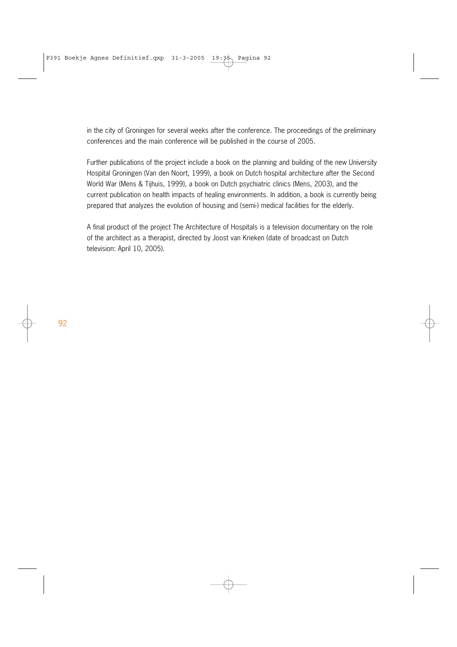in the city of Groningen for several weeks after the conference. The proceedings of the preliminary conferences and the main conference will be published in the course of 2005.

Further publications of the project include a book on the planning and building of the new University Hospital Groningen (Van den Noort, 1999), a book on Dutch hospital architecture after the Second World War (Mens & Tijhuis, 1999), a book on Dutch psychiatric clinics (Mens, 2003), and the current publication on health impacts of healing environments. In addition, a book is currently being prepared that analyzes the evolution of housing and (semi-) medical facilities for the elderly.

A final product of the project The Architecture of Hospitals is a television documentary on the role of the architect as a therapist, directed by Joost van Krieken (date of broadcast on Dutch television: April 10, 2005).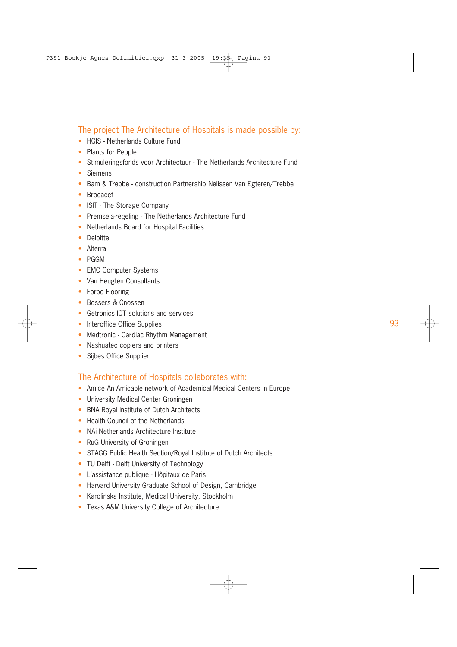# The project The Architecture of Hospitals is made possible by:

- HGIS Netherlands Culture Fund
- Plants for People
- Stimuleringsfonds voor Architectuur The Netherlands Architecture Fund
- Siemens
- Bam & Trebbe construction Partnership Nelissen Van Egteren/Trebbe
- Brocacef
- ISIT The Storage Company
- Premsela-regeling The Netherlands Architecture Fund
- Netherlands Board for Hospital Facilities
- Deloitte
- Alterra
- PGGM
- EMC Computer Systems
- Van Heugten Consultants
- Forbo Flooring
- Bossers & Cnossen
- Getronics ICT solutions and services
- Interoffice Office Supplies
- Medtronic Cardiac Rhythm Management
- Nashuatec copiers and printers
- Sijbes Office Supplier

# The Architecture of Hospitals collaborates with:

- Amice An Amicable network of Academical Medical Centers in Europe
- University Medical Center Groningen
- BNA Royal Institute of Dutch Architects
- Health Council of the Netherlands
- NAi Netherlands Architecture Institute
- RuG University of Groningen
- STAGG Public Health Section/Royal Institute of Dutch Architects
- TU Delft Delft University of Technology
- L'assistance publique Hôpitaux de Paris
- Harvard University Graduate School of Design, Cambridge
- Karolinska Institute, Medical University, Stockholm
- Texas A&M University College of Architecture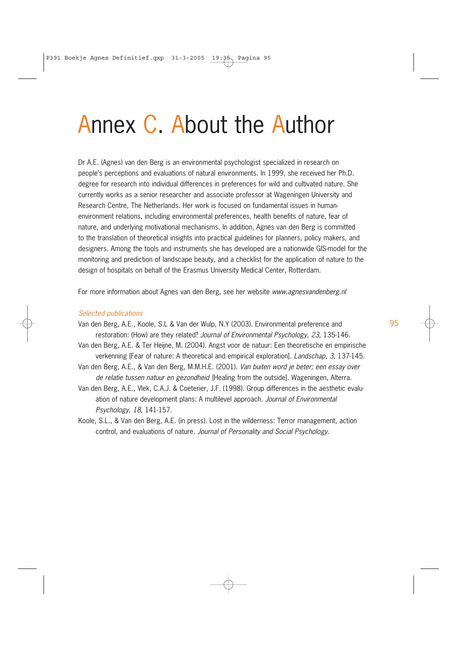# Annex C. About the Author

Dr A.E. (Agnes) van den Berg is an environmental psychologist specialized in research on people's perceptions and evaluations of natural environments. In 1999, she received her Ph.D. degree for research into individual differences in preferences for wild and cultivated nature. She currently works as a senior researcher and associate professor at Wageningen University and Research Centre, The Netherlands. Her work is focused on fundamental issues in humanenvironment relations, including environmental preferences, health benefits of nature, fear of nature, and underlying motivational mechanisms. In addition, Agnes van den Berg is committed to the translation of theoretical insights into practical guidelines for planners, policy makers, and designers. Among the tools and instruments she has developed are a nationwide GIS-model for the monitoring and prediction of landscape beauty, and a checklist for the application of nature to the design of hospitals on behalf of the Erasmus University Medical Center, Rotterdam.

For more information about Agnes van den Berg, see her website *www.agnesvandenberg.nl* 

#### Selected publications

- Van den Berg, A.E., Koole, S.L & Van der Wulp, N.Y (2003). Environmental preference and restoration: (How) are they related? Journal of Environmental Psychology, 23, 135-146.
- Van den Berg, A.E. & Ter Heijne, M. (2004). Angst voor de natuur: Een theoretische en empirische verkenning [Fear of nature: A theoretical and empirical exploration]. Landschap, 3, 137-145.
- Van den Berg, A.E., & Van den Berg, M.M.H.E. (2001). Van buiten word je beter; een essay over de relatie tussen natuur en gezondheid [Healing from the outside]. Wageningen, Alterra.
- Van den Berg, A.E., Vlek, C.A.J. & Coeterier, J.F. (1998). Group differences in the aesthetic evaluation of nature development plans: A multilevel approach. Journal of Environmental Psychology, 18, 141-157.
- Koole, S.L., & Van den Berg, A.E. (in press). Lost in the wilderness: Terror management, action control, and evaluations of nature. Journal of Personality and Social Psychology.